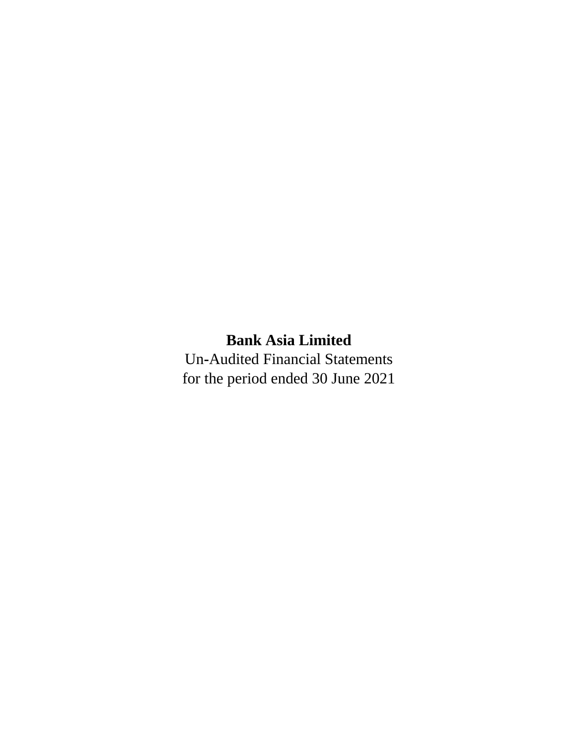# **Bank Asia Limited**

Un**-**Audited Financial Statements for the period ended 30 June 2021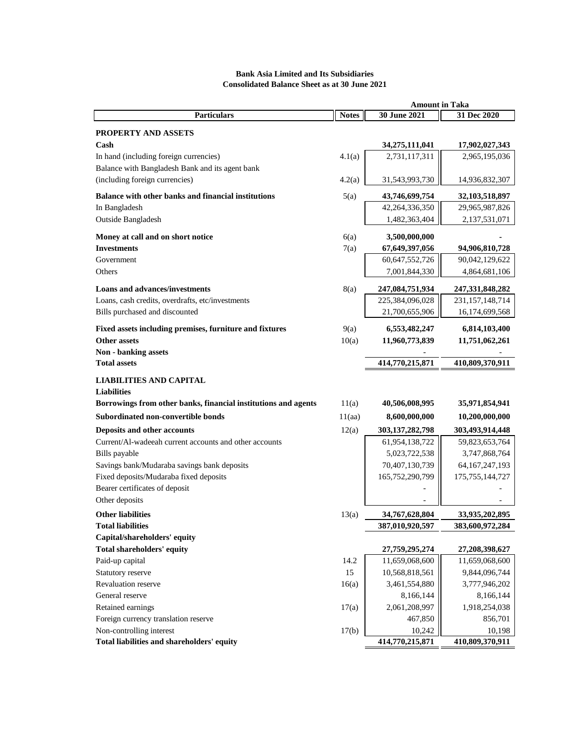# **Notes 30 June 2021 31 Dec 2020 PROPERTY AND ASSETS Cash 34,275,111,041 17,902,027,343** In hand (including foreign currencies) 4.1(a) 2,731,117,311 2,965,195,036 Balance with Bangladesh Bank and its agent bank (including foreign currencies)  $4.2(a)$   $31,543,993,730$   $|$   $14,936,832,307$ **Balance with other banks and financial institutions** 5(a) **43,746,699,754 32,103,518,897** In Bangladesh 29,965,987,826 29,965,987,826 Outside Bangladesh 1,482,363,404 2,137,531,071 **Money at call and on short notice** 6(a) **3,500,000,000 - Investments** 7(a) **67,649,397,056 94,906,810,728** Government 60,647,552,726 | 90,042,129,622 Others 2,001,844,330 4,864,681,106 **Loans and advances/investments** 8(a) **247,084,751,934 247,331,848,282** Loans, cash credits, overdrafts, etc/investments 225,384,096,028 | 231,157,148,714 Bills purchased and discounted 21,700,655,906 | 16,174,699,568 **Fixed assets including premises, furniture and fixtures** 9(a) **6,553,482,247 6,814,103,400 Other assets** 10(a) 11,960,773,839 11,751,062,261 **Non - banking assets Total assets 414,770,215,871 410,809,370,911 LIABILITIES AND CAPITAL Liabilities Borrowings from other banks, financial institutions and agents** 11(a) **40,506,008,995 35,971,854,941 Subordinated non-convertible bonds** 11(aa) **8,600,000,000 10,200,000,000 Deposits and other accounts** 12(a) **303,137,282,798 303,493,914,448** Current/Al-wadeeah current accounts and other accounts 61,954,138,722 | 59,823,653,764 Bills payable  $5,023,722,538$   $|$   $3,747,868,764$ Savings bank/Mudaraba savings bank deposits  $70,407,130,739$   $\vert$   $64,167,247,193$ Fixed deposits/Mudaraba fixed deposits 165,752,290,799 | 175,755,144,727 Bearer certificates of deposit Other deposits **Other liabilities** 13(a) **34,767,628,804 33,935,202,895 Total liabilities 387,010,920,597 383,600,972,284 Capital/shareholders' equity Total shareholders' equity 27,759,295,274 27,208,398,627** Paid-up capital 11,659,068,600 11,659,068,600 11,659,068,600 11,659,068,600 11,659,068,600 11,659,068 Statutory reserve 15 10,568,818,561 9,844,096,744 Revaluation reserve 16(a) 3,461,554,880 3,777,946,202 General reserve 8,166,144 8,166,144 8,166,144 8,166,144 8,166,144 8 Retained earnings  $17(a)$  2,061,208,997 | 1,918,254,038 Foreign currency translation reserve  $467,850$  856,701 Non-controlling interest 17(b)  $10,242$  10,242 10,198 **Total liabilities and shareholders' equity 414,770,215,871 410,809,370,911 Amount in Taka Particulars**

### **Bank Asia Limited and Its Subsidiaries Consolidated Balance Sheet as at 30 June 2021**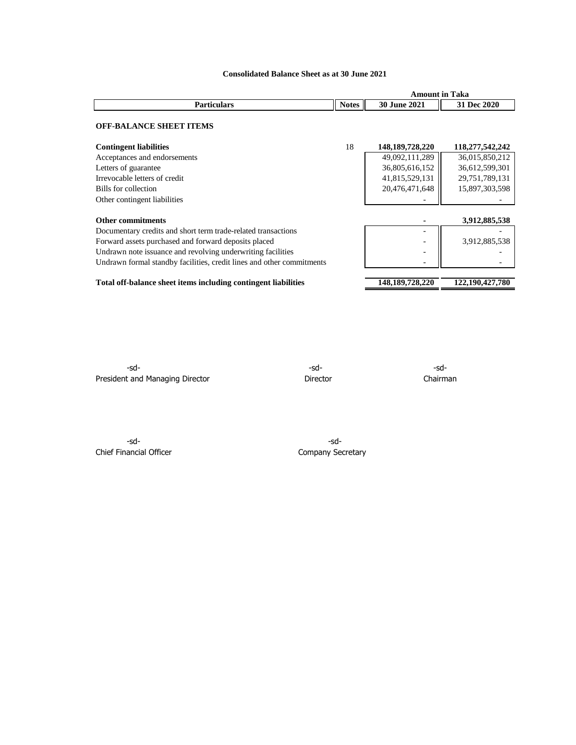|                                                                       |              | <b>Amount in Taka</b> |                 |  |  |
|-----------------------------------------------------------------------|--------------|-----------------------|-----------------|--|--|
| <b>Particulars</b>                                                    | <b>Notes</b> | <b>30 June 2021</b>   | 31 Dec 2020     |  |  |
| <b>OFF-BALANCE SHEET ITEMS</b>                                        |              |                       |                 |  |  |
| <b>Contingent liabilities</b>                                         | 18           | 148, 189, 728, 220    | 118,277,542,242 |  |  |
| Acceptances and endorsements                                          |              | 49,092,111,289        | 36,015,850,212  |  |  |
| Letters of guarantee                                                  |              | 36,805,616,152        | 36,612,599,301  |  |  |
| Irrevocable letters of credit                                         |              | 41,815,529,131        | 29,751,789,131  |  |  |
| Bills for collection                                                  |              | 20,476,471,648        | 15,897,303,598  |  |  |
| Other contingent liabilities                                          |              |                       |                 |  |  |
| <b>Other commitments</b>                                              |              |                       | 3,912,885,538   |  |  |
| Documentary credits and short term trade-related transactions         |              |                       |                 |  |  |
| Forward assets purchased and forward deposits placed                  |              |                       | 3,912,885,538   |  |  |
| Undrawn note issuance and revolving underwriting facilities           |              |                       |                 |  |  |
| Undrawn formal standby facilities, credit lines and other commitments |              |                       |                 |  |  |
| Total off-balance sheet items including contingent liabilities        |              | 148,189,728,220       | 122,190,427,780 |  |  |

**Consolidated Balance Sheet as at 30 June 2021**

-sd- -sd- -sd-President and Managing Director **Director** Director **Director** Chairman

-sd- -sd-Chief Financial Officer Chief Financial Officer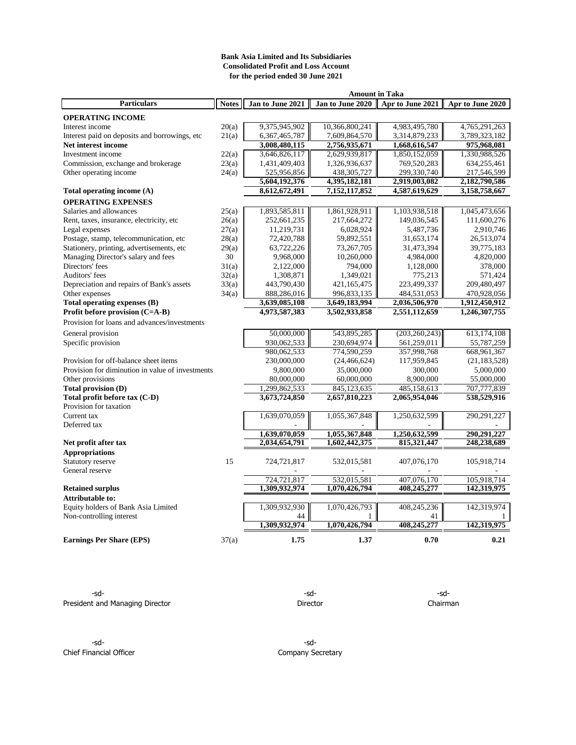### **Bank Asia Limited and Its Subsidiaries Consolidated Profit and Loss Account for the period ended 30 June 2021**

| Amount in Taka                                   |              |                  |                  |                  |                  |  |
|--------------------------------------------------|--------------|------------------|------------------|------------------|------------------|--|
| <b>Particulars</b>                               | <b>Notes</b> | Jan to June 2021 | Jan to June 2020 | Apr to June 2021 | Apr to June 2020 |  |
| <b>OPERATING INCOME</b>                          |              |                  |                  |                  |                  |  |
| Interest income                                  | 20(a)        | 9,375,945,902    | 10,366,800,241   | 4,983,495,780    | 4,765,291,263    |  |
| Interest paid on deposits and borrowings, etc    | 21(a)        | 6, 367, 465, 787 | 7,609,864,570    | 3,314,879,233    | 3,789,323,182    |  |
| Net interest income                              |              | 3,008,480,115    | 2,756,935,671    | 1,668,616,547    | 975,968,081      |  |
| Investment income                                | 22(a)        | 3,646,826,117    | 2,629,939,817    | 1,850,152,059    | 1,330,988,526    |  |
| Commission, exchange and brokerage               | 23(a)        | 1,431,409,403    | 1,326,936,637    | 769,520,283      | 634,255,461      |  |
| Other operating income                           | 24(a)        | 525,956,856      | 438, 305, 727    | 299,330,740      | 217,546,599      |  |
|                                                  |              | 5,604,192,376    | 4,395,182,181    | 2,919,003,082    | 2,182,790,586    |  |
| Total operating income (A)                       |              | 8,612,672,491    | 7,152,117,852    | 4,587,619,629    | 3,158,758,667    |  |
| <b>OPERATING EXPENSES</b>                        |              |                  |                  |                  |                  |  |
| Salaries and allowances                          | 25(a)        | 1,893,585,811    | 1,861,928,911    | 1,103,938,518    | 1,045,473,656    |  |
| Rent, taxes, insurance, electricity, etc.        | 26(a)        | 252,661,235      | 217,664,272      | 149,036,545      | 111,600,276      |  |
| Legal expenses                                   | 27(a)        | 11,219,731       | 6,028,924        | 5,487,736        | 2,910,746        |  |
| Postage, stamp, telecommunication, etc           | 28(a)        | 72,420,788       | 59,892,551       | 31,653,174       | 26,513,074       |  |
| Stationery, printing, advertisements, etc        | 29(a)        | 63,722,226       | 73,267,705       | 31,473,394       | 39,775,183       |  |
| Managing Director's salary and fees              | 30           | 9,968,000        | 10,260,000       | 4,984,000        | 4,820,000        |  |
| Directors' fees                                  | 31(a)        | 2,122,000        | 794,000          | 1,128,000        | 378,000          |  |
| Auditors' fees                                   | 32(a)        | 1,308,871        | 1,349,021        | 775,213          | 571,424          |  |
| Depreciation and repairs of Bank's assets        | 33(a)        | 443,790,430      | 421,165,475      | 223,499,337      | 209,480,497      |  |
| Other expenses                                   | 34(a)        | 888,286,016      | 996,833,135      | 484,531,053      | 470,928,056      |  |
| Total operating expenses (B)                     |              | 3,639,085,108    | 3,649,183,994    | 2,036,506,970    | 1,912,450,912    |  |
| Profit before provision (C=A-B)                  |              | 4,973,587,383    | 3,502,933,858    | 2,551,112,659    | 1,246,307,755    |  |
| Provision for loans and advances/investments     |              |                  |                  |                  |                  |  |
| General provision                                |              | 50,000,000       | 543,895,285      | (203, 260, 243)  | 613,174,108      |  |
| Specific provision                               |              | 930,062,533      | 230,694,974      | 561,259,011      | 55,787,259       |  |
|                                                  |              | 980,062,533      | 774,590,259      | 357,998,768      | 668, 961, 367    |  |
| Provision for off-balance sheet items            |              | 230,000,000      | (24, 466, 624)   | 117,959,845      | (21, 183, 528)   |  |
| Provision for diminution in value of investments |              | 9,800,000        | 35,000,000       | 300,000          | 5,000,000        |  |
| Other provisions                                 |              | 80,000,000       | 60,000,000       | 8,900,000        | 55,000,000       |  |
| Total provision (D)                              |              | 1,299,862,533    | 845,123,635      | 485.158.613      | 707,777,839      |  |
| Total profit before tax (C-D)                    |              | 3,673,724,850    | 2,657,810,223    | 2,065,954,046    | 538,529,916      |  |
| Provision for taxation                           |              |                  |                  |                  |                  |  |
| Current tax                                      |              | 1,639,070,059    | 1,055,367,848    | 1,250,632,599    | 290,291,227      |  |
| Deferred tax                                     |              |                  |                  |                  |                  |  |
|                                                  |              | 1,639,070,059    | 1,055,367,848    | 1,250,632,599    | 290,291,227      |  |
| Net profit after tax                             |              | 2,034,654,791    | 1,602,442,375    | 815,321,447      | 248,238,689      |  |
| <b>Appropriations</b>                            |              |                  |                  |                  |                  |  |
| Statutory reserve                                | 15           | 724,721,817      | 532,015,581      | 407,076,170      | 105,918,714      |  |
| General reserve                                  |              |                  |                  |                  |                  |  |
|                                                  |              | 724,721,817      | 532,015,581      | 407,076,170      | 105,918,714      |  |
| <b>Retained surplus</b>                          |              | 1,309,932,974    | 1,070,426,794    | 408,245,277      | 142,319,975      |  |
| <b>Attributable to:</b>                          |              |                  |                  |                  |                  |  |
| Equity holders of Bank Asia Limited              |              | 1,309,932,930    | 1,070,426,793    | 408,245,236      | 142,319,974      |  |
| Non-controlling interest                         |              | 44               |                  | 41               |                  |  |
|                                                  |              | 1.309,932,974    | 1,070,426,794    | 408,245,277      | 142,319,975      |  |
| <b>Earnings Per Share (EPS)</b>                  | 37(a)        | 1.75             | 1.37             | 0.70             | 0.21             |  |

-sd- -sd- -sd-President and Managing Director **Director** Director Director Chairman

-sd- -sd-Chief Financial Officer Company Secretary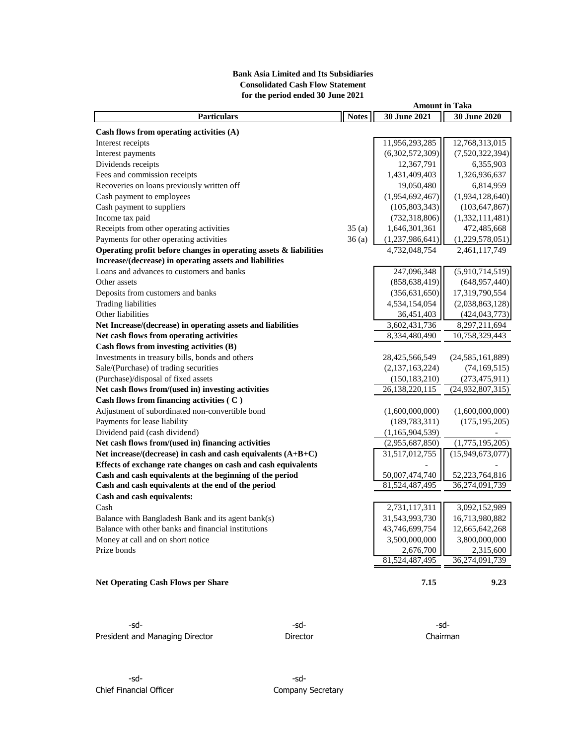# **Bank Asia Limited and Its Subsidiaries Consolidated Cash Flow Statement for the period ended 30 June 2021**

|                                                                   |              | <b>Amount in Taka</b> |                     |
|-------------------------------------------------------------------|--------------|-----------------------|---------------------|
| <b>Particulars</b>                                                | <b>Notes</b> | 30 June 2021          | 30 June 2020        |
| Cash flows from operating activities $(A)$                        |              |                       |                     |
| Interest receipts                                                 |              | 11,956,293,285        | 12,768,313,015      |
| Interest payments                                                 |              | (6,302,572,309)       | (7,520,322,394)     |
| Dividends receipts                                                |              | 12,367,791            | 6,355,903           |
| Fees and commission receipts                                      |              | 1,431,409,403         | 1,326,936,637       |
| Recoveries on loans previously written off                        |              | 19,050,480            | 6,814,959           |
| Cash payment to employees                                         |              | (1,954,692,467)       | (1,934,128,640)     |
| Cash payment to suppliers                                         |              | (105, 803, 343)       | (103, 647, 867)     |
| Income tax paid                                                   |              | (732, 318, 806)       | (1,332,111,481)     |
| Receipts from other operating activities                          | 35(a)        | 1,646,301,361         | 472,485,668         |
| Payments for other operating activities                           | 36(a)        | (1,237,986,641)       | (1,229,578,051)     |
| Operating profit before changes in operating assets & liabilities |              | 4,732,048,754         | 2,461,117,749       |
| Increase/(decrease) in operating assets and liabilities           |              |                       |                     |
| Loans and advances to customers and banks                         |              | 247,096,348           | (5,910,714,519)     |
| Other assets                                                      |              | (858, 638, 419)       | (648, 957, 440)     |
| Deposits from customers and banks                                 |              | (356, 631, 650)       | 17,319,790,554      |
| <b>Trading liabilities</b>                                        |              | 4,534,154,054         | (2,038,863,128)     |
| Other liabilities                                                 |              | 36,451,403            | (424, 043, 773)     |
| Net Increase/(decrease) in operating assets and liabilities       |              | 3,602,431,736         | 8,297,211,694       |
| Net cash flows from operating activities                          |              | 8,334,480,490         | 10,758,329,443      |
| Cash flows from investing activities (B)                          |              |                       |                     |
| Investments in treasury bills, bonds and others                   |              | 28,425,566,549        | (24, 585, 161, 889) |
| Sale/(Purchase) of trading securities                             |              | (2,137,163,224)       | (74, 169, 515)      |
| (Purchase)/disposal of fixed assets                               |              | (150, 183, 210)       | (273, 475, 911)     |
| Net cash flows from/(used in) investing activities                |              | 26,138,220,115        | (24,932,807,315)    |
| Cash flows from financing activities (C)                          |              |                       |                     |
| Adjustment of subordinated non-convertible bond                   |              | (1,600,000,000)       | (1,600,000,000)     |
| Payments for lease liability                                      |              | (189, 783, 311)       | (175, 195, 205)     |
| Dividend paid (cash dividend)                                     |              | (1,165,904,539)       |                     |
| Net cash flows from/(used in) financing activities                |              | (2,955,687,850)       | (1,775,195,205)     |
| Net increase/(decrease) in cash and cash equivalents $(A+B+C)$    |              | 31,517,012,755        | (15,949,673,077)    |
| Effects of exchange rate changes on cash and cash equivalents     |              |                       |                     |
| Cash and cash equivalents at the beginning of the period          |              | 50,007,474,740        | 52,223,764,816      |
| Cash and cash equivalents at the end of the period                |              | 81,524,487,495        | 36,274,091,739      |
| Cash and cash equivalents:                                        |              |                       |                     |
| Cash                                                              |              | 2,731,117,311         | 3,092,152,989       |
| Balance with Bangladesh Bank and its agent bank(s)                |              | 31,543,993,730        | 16,713,980,882      |
| Balance with other banks and financial institutions               |              | 43,746,699,754        | 12,665,642,268      |
| Money at call and on short notice                                 |              | 3,500,000,000         | 3,800,000,000       |
| Prize bonds                                                       |              | 2,676,700             | 2,315,600           |
|                                                                   |              | 81,524,487,495        | 36,274,091,739      |
| <b>Net Operating Cash Flows per Share</b>                         |              | 7.15                  | 9.23                |
|                                                                   |              |                       |                     |

-sd- -sd- -sd-President and Managing Director **Director** Director **Director** Chairman

-sd- -sd-Chief Financial Officer Chief Financial Officer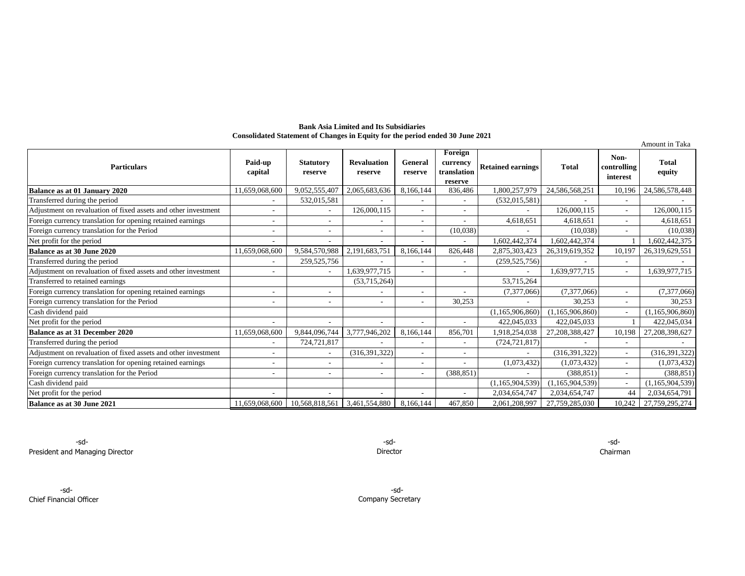#### **Bank Asia Limited and Its Subsidiaries Consolidated Statement of Changes in Equity for the period ended 30 June 2021**

|                                                                |                    |                             |                               |                          |                                               |                          |                    |                                 | Amount in Taka  |
|----------------------------------------------------------------|--------------------|-----------------------------|-------------------------------|--------------------------|-----------------------------------------------|--------------------------|--------------------|---------------------------------|-----------------|
| <b>Particulars</b>                                             | Paid-up<br>capital | <b>Statutory</b><br>reserve | <b>Revaluation</b><br>reserve | General<br>reserve       | Foreign<br>currency<br>translation<br>reserve | <b>Retained earnings</b> | <b>Total</b>       | Non-<br>controlling<br>interest | Total<br>equity |
| Balance as at 01 January 2020                                  | 11,659,068,600     | 9,052,555,407               | 2,065,683,636                 | 8,166,144                | 836,486                                       | 800,257,979              | 24,586,568,251     | 10,196                          | 24,586,578,448  |
| Transferred during the period                                  |                    | 532,015,581                 |                               |                          |                                               | (532, 015, 581)          |                    |                                 |                 |
| Adjustment on revaluation of fixed assets and other investment |                    |                             | 126,000,115                   | $\overline{\phantom{a}}$ |                                               |                          | 126,000,115        |                                 | 126,000,115     |
| Foreign currency translation for opening retained earnings     |                    | ٠                           |                               | $\overline{\phantom{a}}$ |                                               | 4,618,651                | 4,618,651          |                                 | 4,618,651       |
| Foreign currency translation for the Period                    |                    |                             |                               | ٠                        | (10,038)                                      |                          | (10.038)           |                                 | (10,038)        |
| Net profit for the period                                      |                    | ٠                           | ٠                             | ٠                        | ٠                                             | 1,602,442,374            | 1,602,442,374      |                                 | .602,442,375    |
| Balance as at 30 June 2020                                     | 11,659,068,600     | 9,584,570,988               | 2,191,683,751                 | 8,166,144                | 826,448                                       | 2,875,303,423            | 26,319,619,352     | 10.197                          | 26,319,629,551  |
| Transferred during the period                                  |                    | 259,525,756                 |                               |                          |                                               | (259, 525, 756)          |                    |                                 |                 |
| Adjustment on revaluation of fixed assets and other investment |                    |                             | 1,639,977,715                 | $\overline{\phantom{a}}$ | $\overline{\phantom{a}}$                      |                          | 1.639.977.715      | $\overline{\phantom{a}}$        | 1,639,977,715   |
| Transferred to retained earnings                               |                    |                             | (53,715,264)                  |                          |                                               | 53,715,264               |                    |                                 |                 |
| Foreign currency translation for opening retained earnings     |                    |                             |                               | $\overline{\phantom{a}}$ |                                               | (7,377,066)              | (7,377,066)        |                                 | (7,377,066)     |
| Foreign currency translation for the Period                    |                    | ٠                           |                               | $\overline{\phantom{a}}$ | 30,253                                        |                          | 30,253             |                                 | 30,253          |
| Cash dividend paid                                             |                    |                             |                               |                          |                                               | (1,165,906,860)          | (1, 165, 906, 860) | $\overline{\phantom{a}}$        | (1,165,906,860) |
| Net profit for the period                                      |                    |                             |                               |                          |                                               | 422,045,033              | 422,045,033        |                                 | 422,045,034     |
| <b>Balance as at 31 December 2020</b>                          | 11,659,068,600     | 9,844,096,744               | 3,777,946,202                 | 8,166,144                | 856.701                                       | 1,918,254,038            | 27,208,388,427     | 10.198                          | 27,208,398,627  |
| Transferred during the period                                  |                    | 724,721,817                 |                               | $\overline{\phantom{a}}$ | $\overline{\phantom{0}}$                      | (724, 721, 817)          |                    | $\overline{\phantom{a}}$        |                 |
| Adjustment on revaluation of fixed assets and other investment |                    |                             | (316, 391, 322)               | $\overline{\phantom{a}}$ |                                               |                          | (316, 391, 322)    |                                 | (316, 391, 322) |
| Foreign currency translation for opening retained earnings     |                    | ٠                           |                               | $\overline{\phantom{a}}$ |                                               | (1,073,432)              | (1,073,432)        |                                 | (1,073,432)     |
| Foreign currency translation for the Period                    |                    | $\sim$                      | ٠                             | $\overline{\phantom{a}}$ | (388, 851)                                    |                          | (388.851)          | $\overline{\phantom{a}}$        | (388, 851)      |
| Cash dividend paid                                             |                    |                             |                               |                          |                                               | (1,165,904,539)          | (1, 165, 904, 539) |                                 | (1,165,904,539) |
| Net profit for the period                                      |                    |                             |                               |                          |                                               | 2,034,654,747            | 2.034.654.747      | 44                              | 2,034,654,791   |
| Balance as at 30 June 2021                                     | 11,659,068,600     | 10,568,818,561              | 3,461,554,880                 | 8,166,144                | 467,850                                       | 2,061,208,997            | 27,759,285,030     | 10.242                          | 27,759,295,274  |

Director -sd-

-sd- -sd-Company Secretary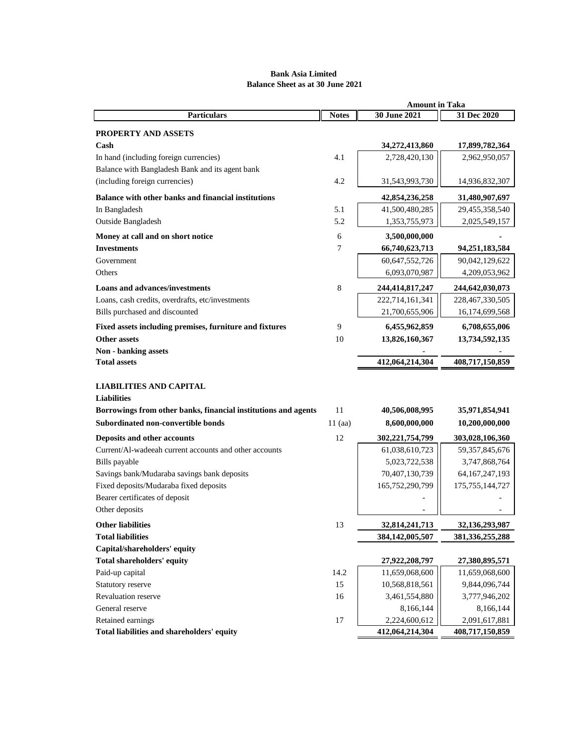# **Bank Asia Limited Balance Sheet as at 30 June 2021**

|                                                                                                      | <b>Amount in Taka</b> |                                   |                                         |  |  |
|------------------------------------------------------------------------------------------------------|-----------------------|-----------------------------------|-----------------------------------------|--|--|
| <b>Particulars</b>                                                                                   | <b>Notes</b>          | 30 June 2021                      | 31 Dec 2020                             |  |  |
| <b>PROPERTY AND ASSETS</b>                                                                           |                       |                                   |                                         |  |  |
| $\mathbf C$ ash                                                                                      |                       | 34,272,413,860                    | 17,899,782,364                          |  |  |
| In hand (including foreign currencies)                                                               | 4.1                   | 2,728,420,130                     | 2,962,950,057                           |  |  |
| Balance with Bangladesh Bank and its agent bank                                                      |                       |                                   |                                         |  |  |
| (including foreign currencies)                                                                       | 4.2                   | 31,543,993,730                    | 14,936,832,307                          |  |  |
| Balance with other banks and financial institutions                                                  |                       | 42,854,236,258                    | 31,480,907,697                          |  |  |
| In Bangladesh                                                                                        | 5.1                   | 41,500,480,285                    | 29,455,358,540                          |  |  |
| Outside Bangladesh                                                                                   | 5.2                   | 1,353,755,973                     | 2,025,549,157                           |  |  |
| Money at call and on short notice                                                                    | 6                     | 3,500,000,000                     |                                         |  |  |
| <b>Investments</b>                                                                                   | 7                     | 66,740,623,713                    | 94,251,183,584                          |  |  |
| Government                                                                                           |                       | 60,647,552,726                    | 90,042,129,622                          |  |  |
| Others                                                                                               |                       | 6,093,070,987                     | 4,209,053,962                           |  |  |
| <b>Loans and advances/investments</b>                                                                | 8                     | 244,414,817,247                   | 244,642,030,073                         |  |  |
| Loans, cash credits, overdrafts, etc/investments                                                     |                       | 222,714,161,341                   | 228, 467, 330, 505                      |  |  |
| Bills purchased and discounted                                                                       |                       | 21,700,655,906                    | 16,174,699,568                          |  |  |
| Fixed assets including premises, furniture and fixtures                                              | 9                     | 6,455,962,859                     | 6,708,655,006                           |  |  |
| <b>Other assets</b>                                                                                  | 10                    | 13,826,160,367                    | 13,734,592,135                          |  |  |
| <b>Non</b> - banking assets                                                                          |                       |                                   |                                         |  |  |
| <b>Total assets</b>                                                                                  |                       | 412,064,214,304                   | 408,717,150,859                         |  |  |
|                                                                                                      |                       |                                   |                                         |  |  |
| <b>LIABILITIES AND CAPITAL</b>                                                                       |                       |                                   |                                         |  |  |
| <b>Liabilities</b>                                                                                   | 11                    |                                   |                                         |  |  |
| Borrowings from other banks, financial institutions and agents<br>Subordinated non-convertible bonds |                       | 40,506,008,995                    | 35,971,854,941                          |  |  |
|                                                                                                      | $11$ (aa)             | 8,600,000,000                     | 10,200,000,000                          |  |  |
| Deposits and other accounts                                                                          | 12                    | 302,221,754,799                   | 303,028,106,360                         |  |  |
| Current/Al-wadeeah current accounts and other accounts                                               |                       | 61,038,610,723                    | 59, 357, 845, 676                       |  |  |
| Bills payable                                                                                        |                       | 5,023,722,538                     | 3,747,868,764                           |  |  |
| Savings bank/Mudaraba savings bank deposits<br>Fixed deposits/Mudaraba fixed deposits                |                       | 70,407,130,739<br>165,752,290,799 | 64, 167, 247, 193<br>175, 755, 144, 727 |  |  |
| Bearer certificates of deposit                                                                       |                       |                                   |                                         |  |  |
| Other deposits                                                                                       |                       |                                   |                                         |  |  |
| <b>Other liabilities</b>                                                                             | 13                    | 32,814,241,713                    | 32,136,293,987                          |  |  |
| <b>Total liabilities</b>                                                                             |                       | 384,142,005,507                   | 381, 336, 255, 288                      |  |  |
| Capital/shareholders' equity                                                                         |                       |                                   |                                         |  |  |
| Total shareholders' equity                                                                           |                       | 27,922,208,797                    | 27,380,895,571                          |  |  |
| Paid-up capital                                                                                      | 14.2                  | 11,659,068,600                    | 11,659,068,600                          |  |  |
| Statutory reserve                                                                                    | 15                    | 10,568,818,561                    | 9,844,096,744                           |  |  |
| Revaluation reserve                                                                                  | 16                    | 3,461,554,880                     | 3,777,946,202                           |  |  |
| General reserve                                                                                      |                       | 8,166,144                         | 8,166,144                               |  |  |
| Retained earnings                                                                                    | 17                    | 2,224,600,612                     | 2,091,617,881                           |  |  |
| Total liabilities and shareholders' equity                                                           |                       | 412,064,214,304                   | 408,717,150,859                         |  |  |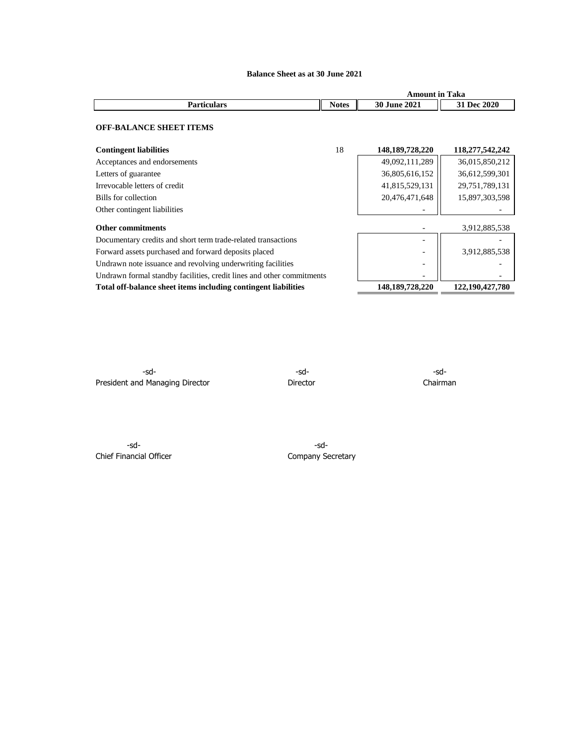# **Balance Sheet as at 30 June 2021**

|                | 1 aka<br>,,,,,,<br>în           |                     |  |
|----------------|---------------------------------|---------------------|--|
| 0.122<br>TULCS | $-30.7$<br>2021<br>iune<br>2021 | AA<br>a lec<br>ZUZU |  |

#### **OFF-BALANCE SHEET ITEMS**

| <b>Contingent liabilities</b>                                         | 18 | 148, 189, 728, 220 | 118,277,542,242 |
|-----------------------------------------------------------------------|----|--------------------|-----------------|
| Acceptances and endorsements                                          |    | 49,092,111,289     | 36,015,850,212  |
| Letters of guarantee                                                  |    | 36,805,616,152     | 36,612,599,301  |
| Irrevocable letters of credit                                         |    | 41,815,529,131     | 29,751,789,131  |
| Bills for collection                                                  |    | 20,476,471,648     | 15,897,303,598  |
| Other contingent liabilities                                          |    |                    |                 |
| <b>Other commitments</b>                                              |    |                    | 3,912,885,538   |
| Documentary credits and short term trade-related transactions         |    |                    |                 |
| Forward assets purchased and forward deposits placed                  |    |                    | 3,912,885,538   |
| Undrawn note issuance and revolving underwriting facilities           |    | -                  |                 |
| Undrawn formal standby facilities, credit lines and other commitments |    |                    |                 |
| Total off-balance sheet items including contingent liabilities        |    | 148, 189, 728, 220 | 122,190,427,780 |

-sd- -sd- -sd-President and Managing Director **Director** Director **Director** Chairman

-sd- -sd-Chief Financial Officer Chief Financial Officer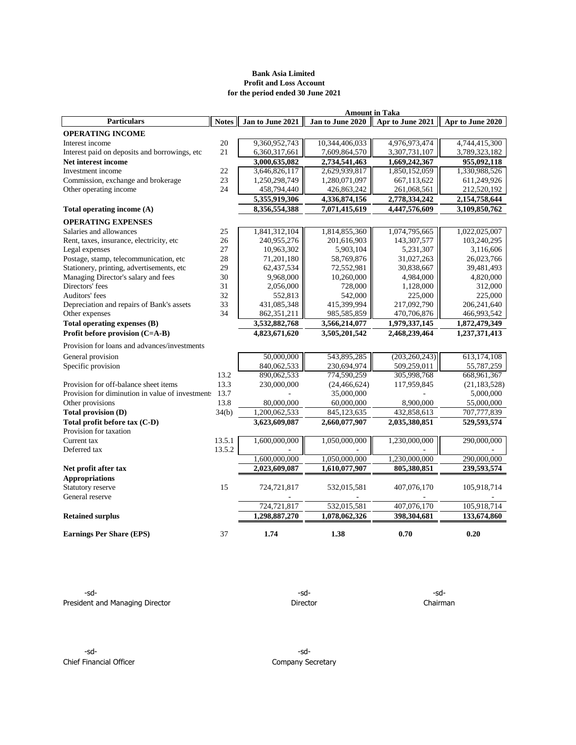### **Bank Asia Limited Profit and Loss Account for the period ended 30 June 2021**

| <b>Amount in Taka</b>                            |              |                  |                  |                  |                  |  |  |
|--------------------------------------------------|--------------|------------------|------------------|------------------|------------------|--|--|
| <b>Particulars</b>                               | <b>Notes</b> | Jan to June 2021 | Jan to June 2020 | Apr to June 2021 | Apr to June 2020 |  |  |
| <b>OPERATING INCOME</b>                          |              |                  |                  |                  |                  |  |  |
| Interest income                                  | 20           | 9,360,952,743    | 10,344,406,033   | 4,976,973,474    | 4,744,415,300    |  |  |
| Interest paid on deposits and borrowings, etc    | 21           | 6,360,317,661    | 7,609,864,570    | 3,307,731,107    | 3,789,323,182    |  |  |
| Net interest income                              |              | 3,000,635,082    | 2,734,541,463    | 1,669,242,367    | 955,092,118      |  |  |
| Investment income                                | 22           | 3,646,826,117    | 2,629,939,817    | 1,850,152,059    | 1,330,988,526    |  |  |
| Commission, exchange and brokerage               | 23           | 1,250,298,749    | 1,280,071,097    | 667,113,622      | 611,249,926      |  |  |
| Other operating income                           | 24           | 458,794,440      | 426,863,242      | 261,068,561      | 212,520,192      |  |  |
|                                                  |              | 5,355,919,306    | 4,336,874,156    | 2,778,334,242    | 2,154,758,644    |  |  |
| Total operating income (A)                       |              | 8,356,554,388    | 7,071,415,619    | 4,447,576,609    | 3,109,850,762    |  |  |
| <b>OPERATING EXPENSES</b>                        |              |                  |                  |                  |                  |  |  |
| Salaries and allowances                          | 25           | 1,841,312,104    | 1,814,855,360    | 1,074,795,665    | 1,022,025,007    |  |  |
| Rent, taxes, insurance, electricity, etc         | 26           | 240,955,276      | 201,616,903      | 143,307,577      | 103,240,295      |  |  |
| Legal expenses                                   | 27           | 10,963,302       | 5,903,104        | 5,231,307        | 3,116,606        |  |  |
| Postage, stamp, telecommunication, etc           | 28           | 71,201,180       | 58,769,876       | 31,027,263       | 26,023,766       |  |  |
| Stationery, printing, advertisements, etc        | 29           | 62,437,534       | 72,552,981       | 30,838,667       | 39,481,493       |  |  |
| Managing Director's salary and fees              | 30           | 9,968,000        | 10,260,000       | 4,984,000        | 4,820,000        |  |  |
| Directors' fees                                  | 31           | 2,056,000        | 728,000          | 1,128,000        | 312,000          |  |  |
| Auditors' fees                                   | 32           | 552,813          | 542,000          | 225,000          | 225,000          |  |  |
| Depreciation and repairs of Bank's assets        | 33           | 431,085,348      | 415,399,994      | 217,092,790      | 206, 241, 640    |  |  |
| Other expenses                                   | 34           | 862,351,211      | 985,585,859      | 470,706,876      | 466,993,542      |  |  |
| Total operating expenses (B)                     |              | 3,532,882,768    | 3,566,214,077    | 1,979,337,145    | 1,872,479,349    |  |  |
| Profit before provision (C=A-B)                  |              | 4,823,671,620    | 3,505,201,542    | 2,468,239,464    | 1,237,371,413    |  |  |
| Provision for loans and advances/investments     |              |                  |                  |                  |                  |  |  |
| General provision                                |              | 50,000,000       | 543,895,285      | (203, 260, 243)  | 613,174,108      |  |  |
| Specific provision                               |              | 840,062,533      | 230,694,974      | 509,259,011      | 55,787,259       |  |  |
|                                                  | 13.2         | 890,062,533      | 774,590,259      | 305,998,768      | 668, 961, 367    |  |  |
| Provision for off-balance sheet items            | 13.3         | 230,000,000      | (24, 466, 624)   | 117,959,845      | (21, 183, 528)   |  |  |
| Provision for diminution in value of investment. | 13.7         |                  | 35,000,000       |                  | 5,000,000        |  |  |
| Other provisions                                 | 13.8         | 80,000,000       | 60,000,000       | 8,900,000        | 55,000,000       |  |  |
| Total provision (D)                              | 34(b)        | 1,200,062,533    | 845,123,635      | 432,858,613      | 707,777,839      |  |  |
| Total profit before tax (C-D)                    |              | 3,623,609,087    | 2,660,077,907    | 2,035,380,851    | 529,593,574      |  |  |
| Provision for taxation                           |              |                  |                  |                  |                  |  |  |
| Current tax                                      | 13.5.1       | 1,600,000,000    | 1,050,000,000    | 1,230,000,000    | 290,000,000      |  |  |
| Deferred tax                                     | 13.5.2       |                  |                  |                  |                  |  |  |
|                                                  |              | 1,600,000,000    | 1.050.000.000    | 1,230,000,000    | 290,000,000      |  |  |
| Net profit after tax                             |              | 2,023,609,087    | 1,610,077,907    | 805,380,851      | 239,593,574      |  |  |
| <b>Appropriations</b>                            |              |                  |                  |                  |                  |  |  |
| Statutory reserve                                | 15           | 724,721,817      | 532,015,581      | 407,076,170      | 105,918,714      |  |  |
| General reserve                                  |              |                  |                  |                  |                  |  |  |
|                                                  |              | 724,721,817      | 532,015,581      | 407,076,170      | 105,918,714      |  |  |
| <b>Retained surplus</b>                          |              | 1,298,887,270    | 1,078,062,326    | 398,304,681      | 133,674,860      |  |  |
| <b>Earnings Per Share (EPS)</b>                  | 37           | 1.74             | 1.38             | 0.70             | 0.20             |  |  |

-sd- -sd- -sd-President and Managing Director **Director** Director Director **Director** Chairman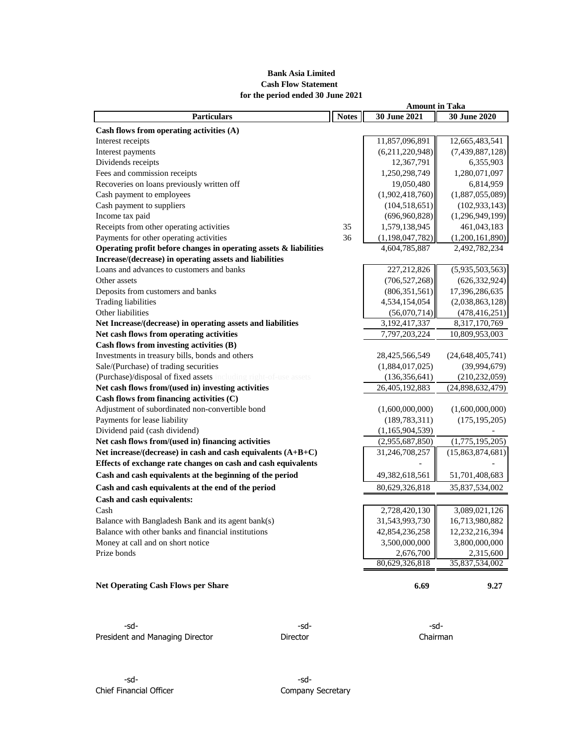# **Bank Asia Limited Cash Flow Statement for the period ended 30 June 2021**

| <b>Particulars</b>                                                | <b>Notes</b> | 30 June 2021       | 30 June 2020        |
|-------------------------------------------------------------------|--------------|--------------------|---------------------|
| Cash flows from operating activities (A)                          |              |                    |                     |
| Interest receipts                                                 |              | 11,857,096,891     | 12,665,483,541      |
| Interest payments                                                 |              | (6,211,220,948)    | (7,439,887,128)     |
| Dividends receipts                                                |              | 12,367,791         | 6,355,903           |
| Fees and commission receipts                                      |              | 1,250,298,749      | 1,280,071,097       |
| Recoveries on loans previously written off                        |              | 19,050,480         | 6,814,959           |
| Cash payment to employees                                         |              | (1,902,418,760)    | (1,887,055,089)     |
| Cash payment to suppliers                                         |              | (104, 518, 651)    | (102, 933, 143)     |
| Income tax paid                                                   |              | (696, 960, 828)    | (1,296,949,199)     |
| Receipts from other operating activities                          | 35           | 1,579,138,945      | 461,043,183         |
| Payments for other operating activities                           | 36           | (1, 198, 047, 782) | (1,200,161,890)     |
| Operating profit before changes in operating assets & liabilities |              | 4,604,785,887      | 2,492,782,234       |
| Increase/(decrease) in operating assets and liabilities           |              |                    |                     |
| Loans and advances to customers and banks                         |              | 227,212,826        | (5,935,503,563)     |
| Other assets                                                      |              | (706, 527, 268)    | (626, 332, 924)     |
| Deposits from customers and banks                                 |              | (806, 351, 561)    | 17,396,286,635      |
| <b>Trading liabilities</b>                                        |              | 4,534,154,054      | (2,038,863,128)     |
| Other liabilities                                                 |              | (56,070,714)       | (478, 416, 251)     |
| Net Increase/(decrease) in operating assets and liabilities       |              | 3, 192, 417, 337   | 8,317,170,769       |
| Net cash flows from operating activities                          |              | 7,797,203,224      | 10,809,953,003      |
| Cash flows from investing activities (B)                          |              |                    |                     |
| Investments in treasury bills, bonds and others                   |              | 28,425,566,549     | (24, 648, 405, 741) |
| Sale/(Purchase) of trading securities                             |              | (1,884,017,025)    | (39,994,679)        |
| (Purchase)/disposal of fixed assets including right-of-use assets |              | (136, 356, 641)    | (210, 232, 059)     |
| Net cash flows from/(used in) investing activities                |              | 26,405,192,883     | (24,898,632,479)    |
| Cash flows from financing activities $(C)$                        |              |                    |                     |
| Adjustment of subordinated non-convertible bond                   |              | (1,600,000,000)    | (1,600,000,000)     |
| Payments for lease liability                                      |              | (189, 783, 311)    | (175, 195, 205)     |
| Dividend paid (cash dividend)                                     |              | (1,165,904,539)    |                     |
| Net cash flows from/(used in) financing activities                |              | (2,955,687,850)    | (1,775,195,205)     |
| Net increase/(decrease) in cash and cash equivalents (A+B+C)      |              | 31,246,708,257     | (15,863,874,681)    |
| Effects of exchange rate changes on cash and cash equivalents     |              |                    |                     |
| Cash and cash equivalents at the beginning of the period          |              | 49,382,618,561     | 51,701,408,683      |
| Cash and cash equivalents at the end of the period                |              | 80,629,326,818     | 35,837,534,002      |
| Cash and cash equivalents:                                        |              |                    |                     |
| Cash                                                              |              | 2,728,420,130      | 3,089,021,126       |
| Balance with Bangladesh Bank and its agent bank(s)                |              | 31,543,993,730     | 16,713,980,882      |
| Balance with other banks and financial institutions               |              | 42,854,236,258     | 12,232,216,394      |
| Money at call and on short notice                                 |              | 3,500,000,000      | 3,800,000,000       |
| Prize bonds                                                       |              | 2,676,700          | 2,315,600           |
|                                                                   |              | 80,629,326,818     | 35,837,534,002      |
| <b>Net Operating Cash Flows per Share</b>                         |              | 6.69               | 9.27                |

-sd- -sd- -sd-President and Managing Director **Director** Director **Director** Chairman

**Amount in Taka** 

-sd- -sd-Chief Financial Officer Chief Financial Officer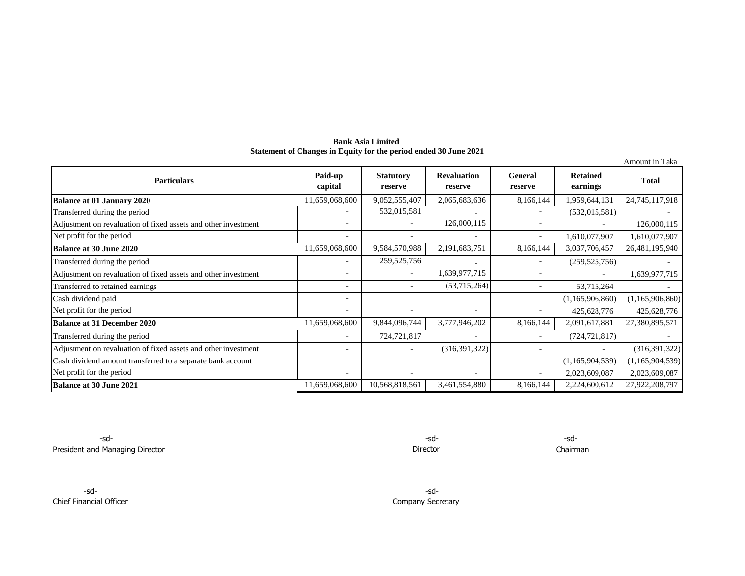**Bank Asia Limited Statement of Changes in Equity for the period ended 30 June 2021**

|                                                                |                          |                             |                               |                           |                             | Amount in Taka  |
|----------------------------------------------------------------|--------------------------|-----------------------------|-------------------------------|---------------------------|-----------------------------|-----------------|
| <b>Particulars</b>                                             | Paid-up<br>capital       | <b>Statutory</b><br>reserve | <b>Revaluation</b><br>reserve | <b>General</b><br>reserve | <b>Retained</b><br>earnings | <b>Total</b>    |
| <b>Balance at 01 January 2020</b>                              | 11,659,068,600           | 9,052,555,407               | 2,065,683,636                 | 8,166,144                 | 1,959,644,131               | 24,745,117,918  |
| Transferred during the period                                  |                          | 532,015,581                 |                               | $\overline{\phantom{a}}$  | (532, 015, 581)             |                 |
| Adjustment on revaluation of fixed assets and other investment |                          |                             | 126,000,115                   | $\overline{\phantom{a}}$  |                             | 126,000,115     |
| Net profit for the period                                      |                          |                             | $\overline{\phantom{a}}$      | $\overline{\phantom{a}}$  | 1,610,077,907               | 1,610,077,907   |
| Balance at 30 June 2020                                        | 11,659,068,600           | 9,584,570,988               | 2,191,683,751                 | 8,166,144                 | 3,037,706,457               | 26,481,195,940  |
| Transferred during the period                                  | $\overline{\phantom{a}}$ | 259, 525, 756               |                               | $\overline{\phantom{a}}$  | (259, 525, 756)             |                 |
| Adjustment on revaluation of fixed assets and other investment |                          |                             | 1,639,977,715                 | $\overline{\phantom{a}}$  |                             | 1,639,977,715   |
| Transferred to retained earnings                               | $\overline{\phantom{a}}$ |                             | (53,715,264)                  | $\overline{\phantom{a}}$  | 53,715,264                  |                 |
| Cash dividend paid                                             | $\overline{\phantom{0}}$ |                             |                               |                           | (1,165,906,860)             | (1,165,906,860) |
| Net profit for the period                                      |                          |                             | $\overline{\phantom{0}}$      | $\overline{\phantom{a}}$  | 425,628,776                 | 425,628,776     |
| <b>Balance at 31 December 2020</b>                             | 11,659,068,600           | 9,844,096,744               | 3,777,946,202                 | 8,166,144                 | 2,091,617,881               | 27,380,895,571  |
| Transferred during the period                                  |                          | 724,721,817                 | $\overline{\phantom{a}}$      | $\overline{\phantom{a}}$  | (724, 721, 817)             |                 |
| Adjustment on revaluation of fixed assets and other investment | ۳                        |                             | (316, 391, 322)               | $\overline{\phantom{a}}$  |                             | (316, 391, 322) |
| Cash dividend amount transferred to a separate bank account    |                          |                             |                               |                           | (1,165,904,539)             | (1,165,904,539) |
| Net profit for the period                                      |                          |                             |                               | ۰                         | 2,023,609,087               | 2,023,609,087   |
| Balance at 30 June 2021                                        | 11,659,068,600           | 10,568,818,561              | 3,461,554,880                 | 8,166,144                 | 2,224,600,612               | 27,922,208,797  |

 $-sd$ - $sd$ - $-sd$ - $-$ sd- $-$ sd- $-$ sd- $-$ sd- $-$ sd- $-$ sd- $-$ sd- $-$ sd- $-$ sd- $-$ sd- $-$ sd- $-$ sd- $-$ sd- $-$ sd- $-$ sd- $-$ sd- $-$ sd- $-$ sd- $-$ sd- $-$ sd- $-$ sd- $-$ sd- $-$ sd- $-$ sd- $-$ sd- $-$ sd- $-$ sd- $-$ sd- $-$ sd- $-$ sd- $-$ sd- $-$ sd- $-$ sd- $-$ sd- $-$ President and Managing Director **Chairman** 

Director

-sd- -sd-Chief Financial Officer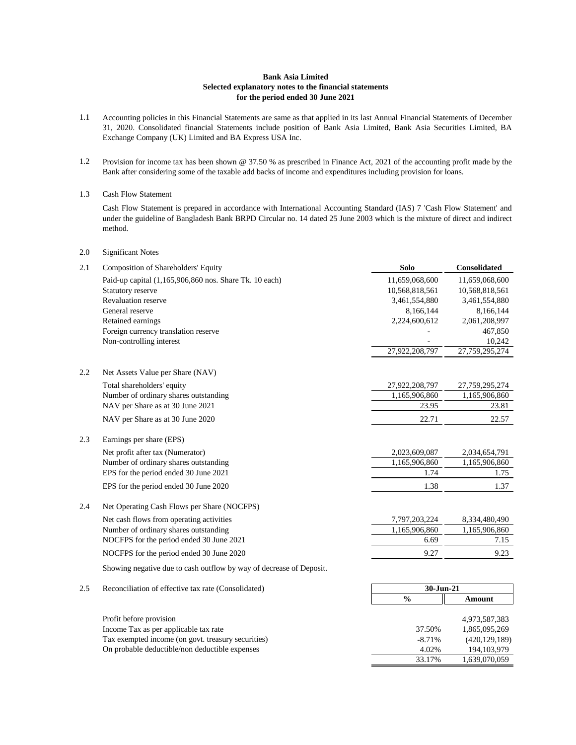#### **Bank Asia Limited Selected explanatory notes to the financial statements for the period ended 30 June 2021**

- 1.1 Accounting policies in this Financial Statements are same as that applied in its last Annual Financial Statements of December 31, 2020. Consolidated financial Statements include position of Bank Asia Limited, Bank Asia Securities Limited, BA Exchange Company (UK) Limited and BA Express USA Inc.
- 1.2 Provision for income tax has been shown @ 37.50 % as prescribed in Finance Act, 2021 of the accounting profit made by the Bank after considering some of the taxable add backs of income and expenditures including provision for loans.
- 1.3 Cash Flow Statement

Cash Flow Statement is prepared in accordance with International Accounting Standard (IAS) 7 'Cash Flow Statement' and under the guideline of Bangladesh Bank BRPD Circular no. 14 dated 25 June 2003 which is the mixture of direct and indirect method.

2.0 Significant Notes

Tax exempted income (on govt. treasury securities) On probable deductible/non deductible expenses

| 2.1 | Composition of Shareholders' Equity                                 | <b>Solo</b>    | <b>Consolidated</b> |
|-----|---------------------------------------------------------------------|----------------|---------------------|
|     | Paid-up capital (1,165,906,860 nos. Share Tk. 10 each)              | 11,659,068,600 | 11,659,068,600      |
|     | Statutory reserve                                                   | 10,568,818,561 | 10,568,818,561      |
|     | <b>Revaluation reserve</b>                                          | 3,461,554,880  | 3,461,554,880       |
|     | General reserve                                                     | 8,166,144      | 8,166,144           |
|     | Retained earnings                                                   | 2,224,600,612  | 2,061,208,997       |
|     | Foreign currency translation reserve                                |                | 467,850             |
|     | Non-controlling interest                                            |                | 10,242              |
|     |                                                                     | 27,922,208,797 | 27,759,295,274      |
| 2.2 | Net Assets Value per Share (NAV)                                    |                |                     |
|     | Total shareholders' equity                                          | 27,922,208,797 | 27,759,295,274      |
|     | Number of ordinary shares outstanding                               | 1,165,906,860  | 1,165,906,860       |
|     | NAV per Share as at 30 June 2021                                    | 23.95          | 23.81               |
|     | NAV per Share as at 30 June 2020                                    | 22.71          | 22.57               |
| 2.3 | Earnings per share (EPS)                                            |                |                     |
|     | Net profit after tax (Numerator)                                    | 2,023,609,087  | 2,034,654,791       |
|     | Number of ordinary shares outstanding                               | 1,165,906,860  | 1,165,906,860       |
|     | EPS for the period ended 30 June 2021                               | 1.74           | 1.75                |
|     | EPS for the period ended 30 June 2020                               | 1.38           | 1.37                |
| 2.4 | Net Operating Cash Flows per Share (NOCFPS)                         |                |                     |
|     | Net cash flows from operating activities                            | 7,797,203,224  | 8,334,480,490       |
|     | Number of ordinary shares outstanding                               | 1,165,906,860  | 1,165,906,860       |
|     | NOCFPS for the period ended 30 June 2021                            | 6.69           | 7.15                |
|     | NOCFPS for the period ended 30 June 2020                            | 9.27           | 9.23                |
|     | Showing negative due to cash outflow by way of decrease of Deposit. |                |                     |
| 2.5 | Reconciliation of effective tax rate (Consolidated)                 | 30-Jun-21      |                     |
|     |                                                                     | $\frac{0}{0}$  | Amount              |
|     | Profit before provision                                             |                | 4,973,587,383       |
|     | Income Tax as per applicable tax rate                               | 37.50%         | 1,865,095,269       |

-8.71% (420,129,189) 4.02% 194,103,979 33.17% 1,639,070,059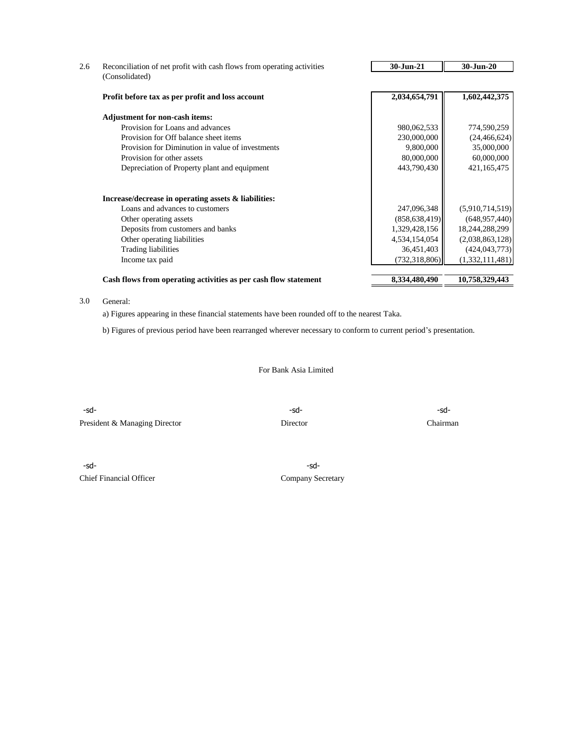| Reconciliation of net profit with cash flows from operating activities | 30-Jun-21       | 30-Jun-20       |
|------------------------------------------------------------------------|-----------------|-----------------|
| (Consolidated)                                                         |                 |                 |
| Profit before tax as per profit and loss account                       | 2,034,654,791   | 1,602,442,375   |
| <b>Adjustment for non-cash items:</b>                                  |                 |                 |
| Provision for Loans and advances                                       | 980,062,533     | 774,590,259     |
| Provision for Off balance sheet items                                  | 230,000,000     | (24, 466, 624)  |
| Provision for Diminution in value of investments                       | 9,800,000       | 35,000,000      |
| Provision for other assets                                             | 80,000,000      | 60,000,000      |
| Depreciation of Property plant and equipment                           | 443,790,430     | 421,165,475     |
| Increase/decrease in operating assets & liabilities:                   |                 |                 |
| Loans and advances to customers                                        | 247,096,348     | (5,910,714,519) |
| Other operating assets                                                 | (858, 638, 419) | (648, 957, 440) |
| Deposits from customers and banks                                      | 1,329,428,156   | 18,244,288,299  |
| Other operating liabilities                                            | 4,534,154,054   | (2,038,863,128) |
| <b>Trading liabilities</b>                                             | 36,451,403      | (424, 043, 773) |
| Income tax paid                                                        | (732, 318, 806) | (1,332,111,481) |
| Cash flows from operating activities as per cash flow statement        | 8,334,480,490   | 10,758,329,443  |

#### 3.0 General:

a) Figures appearing in these financial statements have been rounded off to the nearest Taka.

b) Figures of previous period have been rearranged wherever necessary to conform to current period's presentation.

For Bank Asia Limited

-sd- -sd- -sd-President & Managing Director Director Director Chairman

-sd- -sd-Chief Financial Officer Company Secretary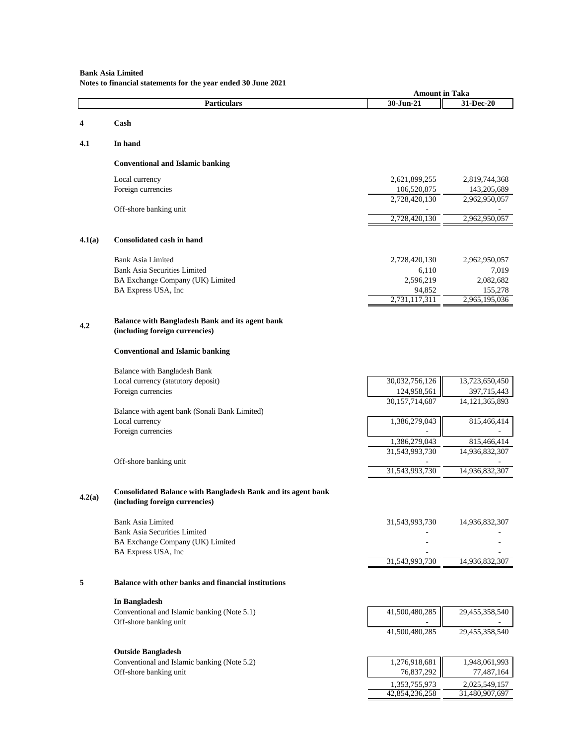# **Bank Asia Limited Notes to financial statements for the year ended 30 June 2021**

|        |                                                                                                       | <b>Amount in Taka</b>   |                          |
|--------|-------------------------------------------------------------------------------------------------------|-------------------------|--------------------------|
|        | <b>Particulars</b>                                                                                    | 30-Jun-21               | 31-Dec-20                |
| 4      | Cash                                                                                                  |                         |                          |
|        |                                                                                                       |                         |                          |
| 4.1    | In hand                                                                                               |                         |                          |
|        | <b>Conventional and Islamic banking</b>                                                               |                         |                          |
|        | Local currency                                                                                        | 2,621,899,255           | 2,819,744,368            |
|        | Foreign currencies                                                                                    | 106,520,875             | 143,205,689              |
|        |                                                                                                       | 2,728,420,130           | 2,962,950,057            |
|        | Off-shore banking unit                                                                                | 2,728,420,130           | 2,962,950,057            |
|        |                                                                                                       |                         |                          |
| 4.1(a) | <b>Consolidated cash in hand</b>                                                                      |                         |                          |
|        | <b>Bank Asia Limited</b>                                                                              | 2,728,420,130           | 2,962,950,057            |
|        | <b>Bank Asia Securities Limited</b>                                                                   | 6,110                   | 7,019                    |
|        | BA Exchange Company (UK) Limited                                                                      | 2,596,219               | 2,082,682                |
|        | BA Express USA, Inc                                                                                   | 94,852<br>2,731,117,311 | 155,278<br>2,965,195,036 |
|        |                                                                                                       |                         |                          |
| 4.2    | Balance with Bangladesh Bank and its agent bank                                                       |                         |                          |
|        | (including foreign currencies)                                                                        |                         |                          |
|        | <b>Conventional and Islamic banking</b>                                                               |                         |                          |
|        | Balance with Bangladesh Bank                                                                          |                         |                          |
|        | Local currency (statutory deposit)                                                                    | 30,032,756,126          | 13,723,650,450           |
|        | Foreign currencies                                                                                    | 124,958,561             | 397,715,443              |
|        |                                                                                                       | 30,157,714,687          | 14, 121, 365, 893        |
|        | Balance with agent bank (Sonali Bank Limited)<br>Local currency                                       | 1,386,279,043           | 815,466,414              |
|        | Foreign currencies                                                                                    |                         |                          |
|        |                                                                                                       | 1,386,279,043           | 815,466,414              |
|        |                                                                                                       | 31,543,993,730          | 14,936,832,307           |
|        | Off-shore banking unit                                                                                | 31,543,993,730          | 14,936,832,307           |
|        |                                                                                                       |                         |                          |
| 4.2(a) | <b>Consolidated Balance with Bangladesh Bank and its agent bank</b><br>(including foreign currencies) |                         |                          |
|        | <b>Bank Asia Limited</b>                                                                              | 31,543,993,730          | 14,936,832,307           |
|        | <b>Bank Asia Securities Limited</b>                                                                   |                         |                          |
|        | BA Exchange Company (UK) Limited                                                                      |                         |                          |
|        | BA Express USA, Inc                                                                                   | 31,543,993,730          | 14,936,832,307           |
| 5      | Balance with other banks and financial institutions                                                   |                         |                          |
|        |                                                                                                       |                         |                          |
|        | In Bangladesh                                                                                         |                         |                          |
|        | Conventional and Islamic banking (Note 5.1)<br>Off-shore banking unit                                 | 41,500,480,285          | 29,455,358,540           |
|        |                                                                                                       | 41,500,480,285          | 29,455,358,540           |
|        | <b>Outside Bangladesh</b>                                                                             |                         |                          |
|        | Conventional and Islamic banking (Note 5.2)                                                           | 1,276,918,681           | 1,948,061,993            |
|        | Off-shore banking unit                                                                                | 76,837,292              | 77,487,164               |
|        |                                                                                                       | 1,353,755,973           | 2,025,549,157            |
|        |                                                                                                       | 42,854,236,258          | 31,480,907,697           |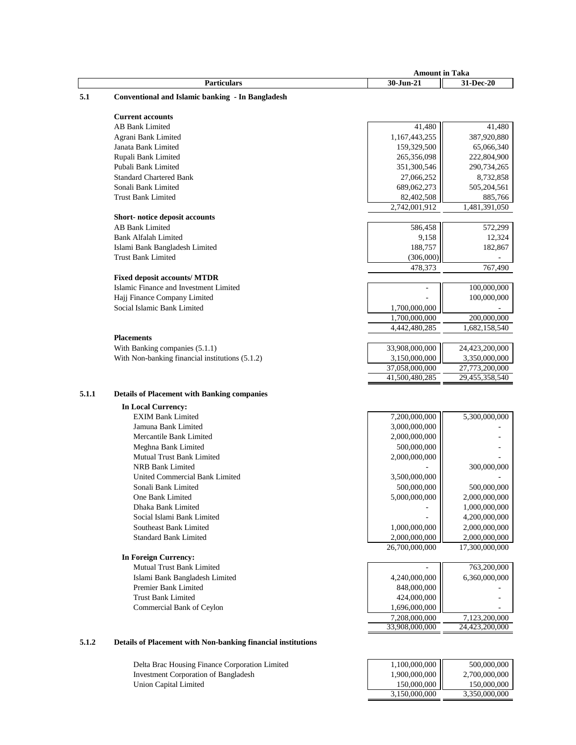|       |                                                    | <b>Amount in Taka</b>       |                          |
|-------|----------------------------------------------------|-----------------------------|--------------------------|
|       | <b>Particulars</b>                                 | 30-Jun-21                   | 31-Dec-20                |
| 5.1   | Conventional and Islamic banking - In Bangladesh   |                             |                          |
|       |                                                    |                             |                          |
|       | <b>Current accounts</b>                            |                             |                          |
|       | <b>AB Bank Limited</b>                             | 41,480                      | 41,480                   |
|       | Agrani Bank Limited                                | 1,167,443,255               | 387,920,880              |
|       | Janata Bank Limited                                | 159,329,500                 | 65,066,340               |
|       | Rupali Bank Limited                                | 265,356,098                 | 222,804,900              |
|       | Pubali Bank Limited                                | 351,300,546                 | 290,734,265              |
|       | <b>Standard Chartered Bank</b>                     | 27,066,252                  | 8,732,858                |
|       | Sonali Bank Limited                                | 689,062,273                 | 505,204,561              |
|       | <b>Trust Bank Limited</b>                          |                             |                          |
|       |                                                    | 82,402,508<br>2,742,001,912 | 885,766<br>1,481,391,050 |
|       |                                                    |                             |                          |
|       | Short-notice deposit accounts                      |                             |                          |
|       | <b>AB Bank Limited</b>                             | 586,458                     | 572,299                  |
|       | <b>Bank Alfalah Limited</b>                        | 9,158                       | 12,324                   |
|       | Islami Bank Bangladesh Limited                     | 188,757                     | 182,867                  |
|       | <b>Trust Bank Limited</b>                          | (306,000)                   |                          |
|       |                                                    | 478,373                     | 767,490                  |
|       | <b>Fixed deposit accounts/ MTDR</b>                |                             |                          |
|       | Islamic Finance and Investment Limited             |                             | 100,000,000              |
|       | Hajj Finance Company Limited                       |                             | 100,000,000              |
|       | Social Islamic Bank Limited                        | 1,700,000,000               |                          |
|       |                                                    | 1,700,000,000               | 200,000,000              |
|       |                                                    | 4,442,480,285               | 1,682,158,540            |
|       | <b>Placements</b>                                  |                             |                          |
|       | With Banking companies (5.1.1)                     | 33,908,000,000              | 24,423,200,000           |
|       | With Non-banking financial institutions (5.1.2)    | 3,150,000,000               | 3,350,000,000            |
|       |                                                    | 37,058,000,000              | 27,773,200,000           |
|       |                                                    | 41,500,480,285              | 29,455,358,540           |
| 5.1.1 | <b>Details of Placement with Banking companies</b> |                             |                          |
|       |                                                    |                             |                          |
|       | <b>In Local Currency:</b>                          |                             |                          |
|       | <b>EXIM Bank Limited</b>                           | 7,200,000,000               | 5,300,000,000            |
|       | Jamuna Bank Limited                                | 3,000,000,000               |                          |
|       | Mercantile Bank Limited                            | 2,000,000,000               |                          |
|       | Meghna Bank Limited                                | 500,000,000                 |                          |
|       | Mutual Trust Bank Limited                          | 2,000,000,000               |                          |
|       | <b>NRB Bank Limited</b>                            |                             | 300,000,000              |
|       | <b>United Commercial Bank Limited</b>              | 3,500,000,000               |                          |
|       | Sonali Bank Limited                                | 500,000,000                 | 500,000,000              |
|       | One Bank Limited                                   | 5,000,000,000               | 2,000,000,000            |
|       | Dhaka Bank Limited                                 |                             | 1,000,000,000            |
|       | Social Islami Bank Limited                         |                             | 4,200,000,000            |
|       | Southeast Bank Limited                             | 1,000,000,000               | 2,000,000,000            |
|       | <b>Standard Bank Limited</b>                       | 2,000,000,000               | 2,000,000,000            |
|       |                                                    | 26,700,000,000              | 17,300,000,000           |
|       | <b>In Foreign Currency:</b>                        |                             |                          |
|       | Mutual Trust Bank Limited                          |                             | 763,200,000              |
|       | Islami Bank Bangladesh Limited                     | 4,240,000,000               | 6,360,000,000            |
|       | Premier Bank Limited                               | 848,000,000                 |                          |
|       | <b>Trust Bank Limited</b>                          | 424,000,000                 |                          |
|       | Commercial Bank of Ceylon                          | 1,696,000,000               |                          |
|       |                                                    | 7,208,000,000               | 7,123,200,000            |
|       |                                                    | 33,908,000,000              | 24,423,200,000           |
|       |                                                    |                             |                          |

# **5.1.2 Details of Placement with Non-banking financial institutions**

Delta Brac Housing Finance Corporation Limited Investment Corporation of Bangladesh Union Capital Limited 150,000,000 150,000,000 150,000 150,000 150,000 150,000 150,000 150,000 150,000 150,000

| 1,100,000,000 | 500,000,000   |
|---------------|---------------|
| 1,900,000,000 | 2,700,000,000 |
| 150,000,000   | 150,000,000   |
| 3,150,000,000 | 3,350,000,000 |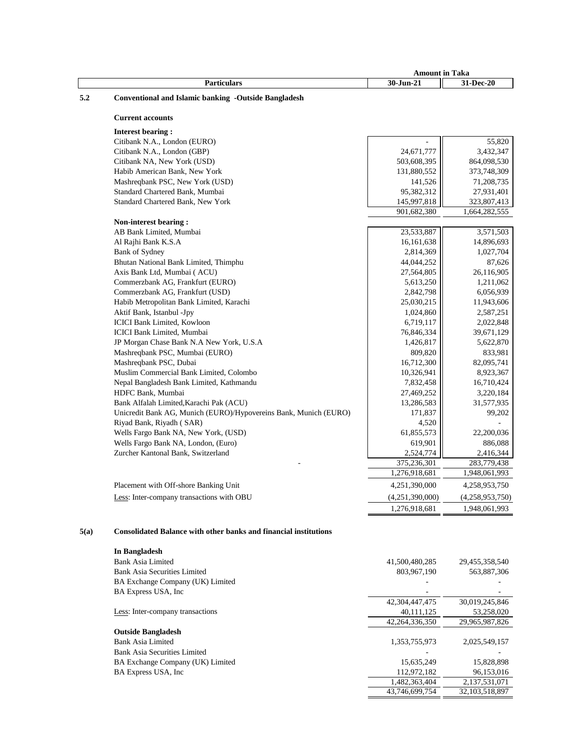|      |                                                                         | <b>Amount in Taka</b>   |                         |
|------|-------------------------------------------------------------------------|-------------------------|-------------------------|
|      | <b>Particulars</b>                                                      | 30-Jun-21               | 31-Dec-20               |
| 5.2  | <b>Conventional and Islamic banking -Outside Bangladesh</b>             |                         |                         |
|      |                                                                         |                         |                         |
|      | <b>Current accounts</b>                                                 |                         |                         |
|      | <b>Interest bearing:</b>                                                |                         |                         |
|      | Citibank N.A., London (EURO)                                            |                         | 55,820                  |
|      | Citibank N.A., London (GBP)                                             | 24,671,777              | 3,432,347               |
|      | Citibank NA, New York (USD)                                             | 503,608,395             | 864,098,530             |
|      | Habib American Bank, New York                                           | 131,880,552             | 373,748,309             |
|      | Mashreqbank PSC, New York (USD)                                         | 141,526                 | 71,208,735              |
|      | Standard Chartered Bank, Mumbai                                         | 95,382,312              | 27,931,401              |
|      | Standard Chartered Bank, New York                                       | 145,997,818             | 323,807,413             |
|      |                                                                         | 901,682,380             | 1,664,282,555           |
|      | Non-interest bearing:                                                   |                         |                         |
|      | AB Bank Limited, Mumbai                                                 | 23,533,887              | 3,571,503               |
|      | Al Rajhi Bank K.S.A                                                     | 16, 161, 638            | 14,896,693              |
|      | Bank of Sydney                                                          | 2,814,369               | 1,027,704               |
|      | Bhutan National Bank Limited, Thimphu                                   | 44,044,252              | 87,626                  |
|      | Axis Bank Ltd, Mumbai (ACU)                                             | 27,564,805              | 26,116,905              |
|      | Commerzbank AG, Frankfurt (EURO)                                        | 5,613,250               | 1,211,062               |
|      | Commerzbank AG, Frankfurt (USD)                                         | 2,842,798               | 6,056,939               |
|      | Habib Metropolitan Bank Limited, Karachi                                | 25,030,215              | 11,943,606              |
|      | Aktif Bank, Istanbul -Jpy                                               | 1,024,860               | 2,587,251               |
|      | ICICI Bank Limited, Kowloon                                             | 6,719,117               | 2,022,848               |
|      | ICICI Bank Limited, Mumbai<br>JP Morgan Chase Bank N.A New York, U.S.A  | 76,846,334<br>1,426,817 | 39,671,129<br>5,622,870 |
|      | Mashreqbank PSC, Mumbai (EURO)                                          | 809,820                 | 833,981                 |
|      | Mashreqbank PSC, Dubai                                                  | 16,712,300              | 82,095,741              |
|      | Muslim Commercial Bank Limited, Colombo                                 | 10,326,941              | 8,923,367               |
|      | Nepal Bangladesh Bank Limited, Kathmandu                                | 7,832,458               | 16,710,424              |
|      | HDFC Bank, Mumbai                                                       | 27,469,252              | 3,220,184               |
|      | Bank Alfalah Limited, Karachi Pak (ACU)                                 | 13,286,583              | 31,577,935              |
|      | Unicredit Bank AG, Munich (EURO)/Hypovereins Bank, Munich (EURO)        | 171,837                 | 99,202                  |
|      | Riyad Bank, Riyadh (SAR)                                                | 4,520                   |                         |
|      | Wells Fargo Bank NA, New York, (USD)                                    | 61,855,573              | 22,200,036              |
|      | Wells Fargo Bank NA, London, (Euro)                                     | 619,901                 | 886,088                 |
|      | Zurcher Kantonal Bank, Switzerland                                      | 2,524,774               | 2,416,344               |
|      |                                                                         | 375,236,301             | 283,779,438             |
|      |                                                                         | 1,276,918,681           | 1,948,061,993           |
|      | Placement with Off-shore Banking Unit                                   | 4,251,390,000           | 4,258,953,750           |
|      | Less: Inter-company transactions with OBU                               | (4,251,390,000)         | (4,258,953,750)         |
|      |                                                                         | 1,276,918,681           | 1,948,061,993           |
|      |                                                                         |                         |                         |
| 5(a) | <b>Consolidated Balance with other banks and financial institutions</b> |                         |                         |
|      | In Bangladesh                                                           |                         |                         |
|      | <b>Bank Asia Limited</b>                                                | 41,500,480,285          | 29,455,358,540          |
|      | <b>Bank Asia Securities Limited</b>                                     | 803,967,190             | 563,887,306             |
|      | BA Exchange Company (UK) Limited                                        |                         |                         |
|      | BA Express USA, Inc                                                     |                         |                         |
|      |                                                                         | 42,304,447,475          | 30,019,245,846          |
|      | Less: Inter-company transactions                                        | 40,111,125              | 53,258,020              |
|      |                                                                         | 42,264,336,350          | 29,965,987,826          |
|      | <b>Outside Bangladesh</b>                                               |                         |                         |
|      | <b>Bank Asia Limited</b>                                                | 1,353,755,973           | 2,025,549,157           |
|      | <b>Bank Asia Securities Limited</b>                                     |                         |                         |
|      | BA Exchange Company (UK) Limited                                        | 15,635,249              | 15,828,898              |
|      | BA Express USA, Inc                                                     | 112,972,182             | 96,153,016              |

 1,482,363,404 2,137,531,071 43,746,699,754 32,103,518,897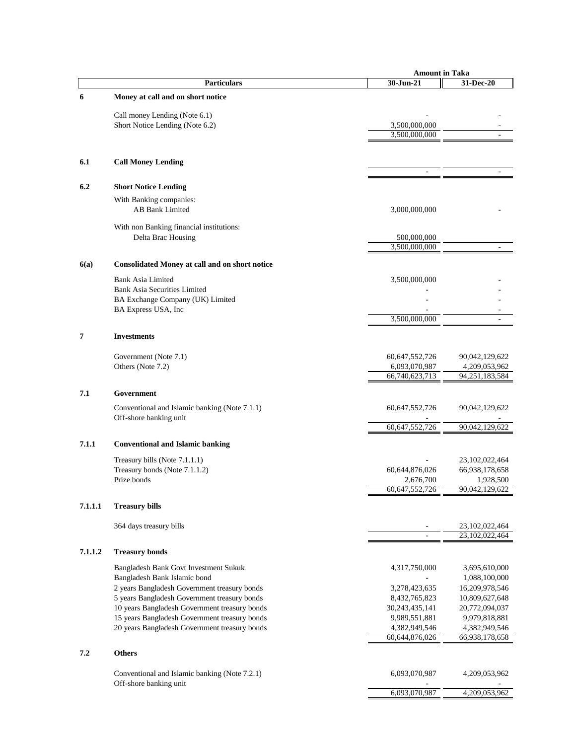|         |                                                | <b>Amount in Taka</b> |                |
|---------|------------------------------------------------|-----------------------|----------------|
|         | <b>Particulars</b>                             | 30-Jun-21             | 31-Dec-20      |
| 6       | Money at call and on short notice              |                       |                |
|         | Call money Lending (Note 6.1)                  |                       |                |
|         | Short Notice Lending (Note 6.2)                | 3,500,000,000         |                |
|         |                                                | 3,500,000,000         |                |
|         |                                                |                       |                |
| 6.1     | <b>Call Money Lending</b>                      |                       |                |
|         |                                                |                       |                |
| 6.2     | <b>Short Notice Lending</b>                    |                       |                |
|         | With Banking companies:                        |                       |                |
|         | <b>AB Bank Limited</b>                         | 3,000,000,000         |                |
|         | With non Banking financial institutions:       |                       |                |
|         | Delta Brac Housing                             | 500,000,000           |                |
|         |                                                | 3,500,000,000         |                |
| 6(a)    | Consolidated Money at call and on short notice |                       |                |
|         | <b>Bank Asia Limited</b>                       | 3,500,000,000         |                |
|         | <b>Bank Asia Securities Limited</b>            |                       |                |
|         | BA Exchange Company (UK) Limited               |                       |                |
|         | BA Express USA, Inc                            | 3,500,000,000         |                |
|         |                                                |                       |                |
| 7       | <b>Investments</b>                             |                       |                |
|         | Government (Note 7.1)                          | 60,647,552,726        | 90,042,129,622 |
|         | Others (Note 7.2)                              | 6,093,070,987         | 4,209,053,962  |
|         |                                                | 66,740,623,713        | 94,251,183,584 |
| 7.1     | Government                                     |                       |                |
|         | Conventional and Islamic banking (Note 7.1.1)  | 60,647,552,726        | 90,042,129,622 |
|         | Off-shore banking unit                         |                       |                |
|         |                                                | 60,647,552,726        | 90,042,129,622 |
| 7.1.1   | <b>Conventional and Islamic banking</b>        |                       |                |
|         | Treasury bills (Note 7.1.1.1)                  |                       | 23,102,022,464 |
|         | Treasury bonds (Note 7.1.1.2)                  | 60,644,876,026        | 66,938,178,658 |
|         | Prize bonds                                    | 2,676,700             | 1,928,500      |
|         |                                                | 60,647,552,726        | 90,042,129,622 |
| 7.1.1.1 | <b>Treasury bills</b>                          |                       |                |
|         | 364 days treasury bills                        |                       | 23,102,022,464 |
|         |                                                |                       | 23,102,022,464 |
| 7.1.1.2 | <b>Treasury bonds</b>                          |                       |                |
|         | Bangladesh Bank Govt Investment Sukuk          | 4,317,750,000         | 3,695,610,000  |
|         | Bangladesh Bank Islamic bond                   |                       | 1,088,100,000  |
|         | 2 years Bangladesh Government treasury bonds   | 3,278,423,635         | 16,209,978,546 |
|         | 5 years Bangladesh Government treasury bonds   | 8,432,765,823         | 10,809,627,648 |
|         | 10 years Bangladesh Government treasury bonds  | 30,243,435,141        | 20,772,094,037 |
|         | 15 years Bangladesh Government treasury bonds  | 9,989,551,881         | 9,979,818,881  |
|         | 20 years Bangladesh Government treasury bonds  | 4,382,949,546         | 4,382,949,546  |
|         |                                                | 60,644,876,026        | 66,938,178,658 |
| 7.2     | <b>Others</b>                                  |                       |                |
|         | Conventional and Islamic banking (Note 7.2.1)  | 6,093,070,987         | 4,209,053,962  |
|         | Off-shore banking unit                         |                       |                |
|         |                                                | 6,093,070,987         | 4,209,053,962  |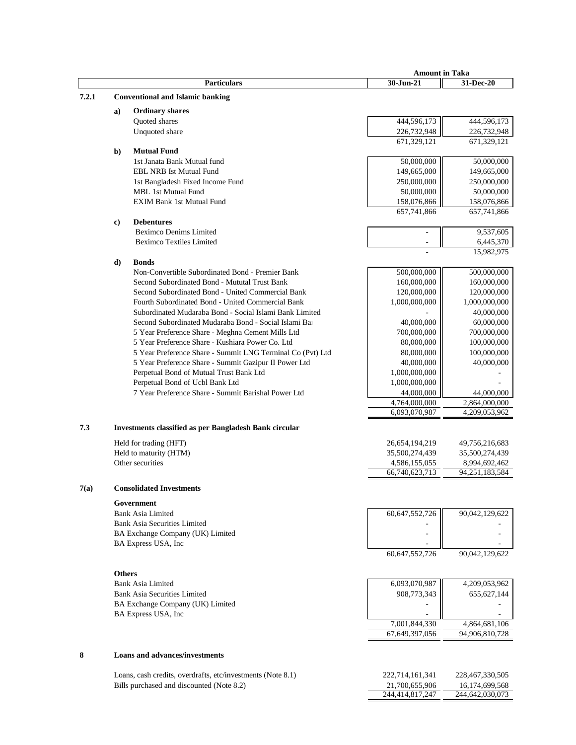|       |               |                                                                  | <b>Amount in Taka</b>          |                                |
|-------|---------------|------------------------------------------------------------------|--------------------------------|--------------------------------|
|       |               | <b>Particulars</b>                                               | 30-Jun-21                      | 31-Dec-20                      |
| 7.2.1 |               | <b>Conventional and Islamic banking</b>                          |                                |                                |
|       | a)            | <b>Ordinary shares</b>                                           |                                |                                |
|       |               | Quoted shares                                                    | 444,596,173                    | 444,596,173                    |
|       |               | Unquoted share                                                   | 226,732,948                    | 226,732,948                    |
|       |               |                                                                  | 671,329,121                    | 671,329,121                    |
|       | $b$           | <b>Mutual Fund</b>                                               |                                |                                |
|       |               | 1st Janata Bank Mutual fund                                      | 50,000,000                     | 50,000,000                     |
|       |               | <b>EBL NRB Ist Mutual Fund</b>                                   | 149,665,000                    | 149,665,000                    |
|       |               | 1st Bangladesh Fixed Income Fund                                 | 250,000,000                    | 250,000,000                    |
|       |               | MBL 1st Mutual Fund                                              | 50,000,000                     | 50,000,000                     |
|       |               | <b>EXIM Bank 1st Mutual Fund</b>                                 | 158,076,866                    | 158,076,866                    |
|       |               |                                                                  | 657,741,866                    | 657,741,866                    |
|       | c)            | <b>Debentures</b>                                                |                                |                                |
|       |               | <b>Beximco Denims Limited</b><br><b>Beximco Textiles Limited</b> |                                | 9,537,605                      |
|       |               |                                                                  |                                | 6,445,370<br>15,982,975        |
|       | $\mathbf{d}$  | <b>Bonds</b>                                                     |                                |                                |
|       |               | Non-Convertible Subordinated Bond - Premier Bank                 | 500,000,000                    | 500,000,000                    |
|       |               | Second Subordinated Bond - Mututal Trust Bank                    | 160,000,000                    | 160,000,000                    |
|       |               | Second Subordinated Bond - United Commercial Bank                | 120,000,000                    | 120,000,000                    |
|       |               | Fourth Subordinated Bond - United Commercial Bank                | 1,000,000,000                  | 1,000,000,000                  |
|       |               | Subordinated Mudaraba Bond - Social Islami Bank Limited          |                                | 40,000,000                     |
|       |               | Second Subordinated Mudaraba Bond - Social Islami Bar            | 40,000,000                     | 60,000,000                     |
|       |               | 5 Year Preference Share - Meghna Cement Mills Ltd                | 700,000,000                    | 700,000,000                    |
|       |               | 5 Year Preference Share - Kushiara Power Co. Ltd                 | 80,000,000                     | 100,000,000                    |
|       |               | 5 Year Preference Share - Summit LNG Terminal Co (Pvt) Ltd       | 80,000,000                     | 100,000,000                    |
|       |               | 5 Year Preference Share - Summit Gazipur II Power Ltd            | 40,000,000                     | 40,000,000                     |
|       |               | Perpetual Bond of Mutual Trust Bank Ltd                          | 1,000,000,000                  |                                |
|       |               | Perpetual Bond of Ucbl Bank Ltd                                  | 1,000,000,000                  |                                |
|       |               | 7 Year Preference Share - Summit Barishal Power Ltd              | 44,000,000                     | 44,000,000                     |
|       |               |                                                                  | 4,764,000,000<br>6,093,070,987 | 2,864,000,000<br>4,209,053,962 |
|       |               |                                                                  |                                |                                |
| 7.3   |               | Investments classified as per Bangladesh Bank circular           |                                |                                |
|       |               | Held for trading (HFT)                                           | 26,654,194,219                 | 49,756,216,683                 |
|       |               | Held to maturity (HTM)                                           | 35,500,274,439                 | 35,500,274,439                 |
|       |               | Other securities                                                 | 4,586,155,055                  | 8,994,692,462                  |
|       |               |                                                                  | 66,740,623,713                 | 94,251,183,584                 |
| 7(a)  |               | <b>Consolidated Investments</b>                                  |                                |                                |
|       |               |                                                                  |                                |                                |
|       |               | Government                                                       |                                |                                |
|       |               | <b>Bank Asia Limited</b><br><b>Bank Asia Securities Limited</b>  | 60,647,552,726                 | 90,042,129,622                 |
|       |               | BA Exchange Company (UK) Limited                                 |                                |                                |
|       |               | BA Express USA, Inc                                              |                                |                                |
|       |               |                                                                  | 60,647,552,726                 | 90,042,129,622                 |
|       |               |                                                                  |                                |                                |
|       | <b>Others</b> |                                                                  |                                |                                |
|       |               | <b>Bank Asia Limited</b>                                         | 6,093,070,987                  | 4,209,053,962                  |
|       |               | <b>Bank Asia Securities Limited</b>                              | 908,773,343                    | 655, 627, 144                  |
|       |               | BA Exchange Company (UK) Limited                                 |                                |                                |
|       |               | BA Express USA, Inc                                              |                                |                                |
|       |               |                                                                  | 7,001,844,330                  | 4,864,681,106                  |
|       |               |                                                                  | 67,649,397,056                 | 94,906,810,728                 |
|       |               |                                                                  |                                |                                |
| 8     |               | <b>Loans and advances/investments</b>                            |                                |                                |
|       |               | Loans, cash credits, overdrafts, etc/investments (Note 8.1)      | 222,714,161,341                | 228,467,330,505                |
|       |               | Bills purchased and discounted (Note 8.2)                        | 21,700,655,906                 | 16,174,699,568                 |
|       |               |                                                                  |                                |                                |

244,414,817,247 244,642,030,073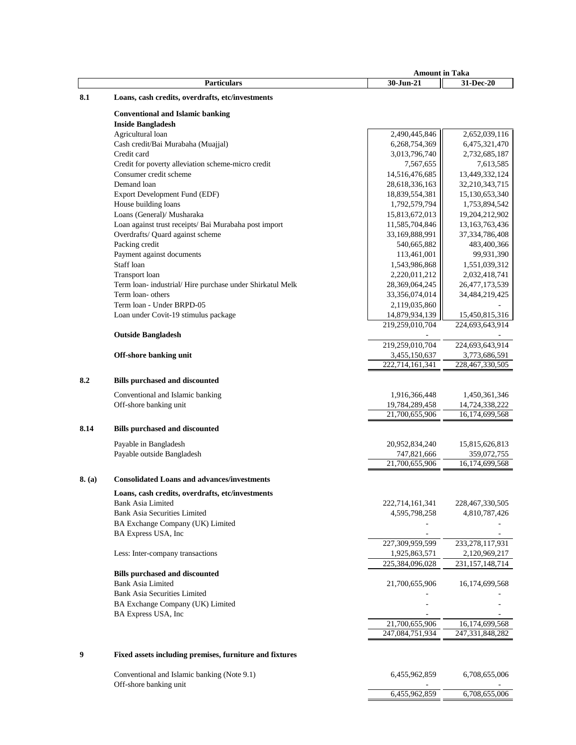|        |                                                          | <b>Amount in Taka</b>            |                    |
|--------|----------------------------------------------------------|----------------------------------|--------------------|
|        | <b>Particulars</b>                                       | 30-Jun-21                        | 31-Dec-20          |
| 8.1    | Loans, cash credits, overdrafts, etc/investments         |                                  |                    |
|        |                                                          |                                  |                    |
|        | <b>Conventional and Islamic banking</b>                  |                                  |                    |
|        | <b>Inside Bangladesh</b>                                 |                                  |                    |
|        | Agricultural loan                                        | 2,490,445,846                    | 2,652,039,116      |
|        | Cash credit/Bai Murabaha (Muajjal)                       | 6,268,754,369                    | 6,475,321,470      |
|        | Credit card                                              | 3,013,796,740                    | 2,732,685,187      |
|        | Credit for poverty alleviation scheme-micro credit       | 7,567,655                        | 7,613,585          |
|        | Consumer credit scheme                                   | 14,516,476,685                   | 13,449,332,124     |
|        | Demand loan                                              | 28,618,336,163                   | 32,210,343,715     |
|        | Export Development Fund (EDF)                            | 18,839,554,381                   | 15,130,653,340     |
|        | House building loans                                     | 1,792,579,794                    | 1,753,894,542      |
|        | Loans (General)/ Musharaka                               | 15,813,672,013                   | 19,204,212,902     |
|        | Loan against trust receipts/ Bai Murabaha post import    | 11,585,704,846                   | 13, 163, 763, 436  |
|        | Overdrafts/ Quard against scheme                         | 33,169,888,991                   | 37, 334, 786, 408  |
|        | Packing credit                                           | 540,665,882                      | 483,400,366        |
|        | Payment against documents                                | 113,461,001                      | 99,931,390         |
|        | Staff loan                                               | 1,543,986,868                    | 1,551,039,312      |
|        | Transport loan                                           | 2,220,011,212                    | 2,032,418,741      |
|        | Term loan- industrial/Hire purchase under Shirkatul Melk | 28,369,064,245                   | 26,477,173,539     |
|        | Term loan- others                                        | 33,356,074,014                   | 34,484,219,425     |
|        | Term loan - Under BRPD-05                                | 2,119,035,860                    |                    |
|        | Loan under Covit-19 stimulus package                     | 14,879,934,139                   | 15,450,815,316     |
|        |                                                          | 219,259,010,704                  | 224,693,643,914    |
|        | <b>Outside Bangladesh</b>                                |                                  |                    |
|        |                                                          | 219,259,010,704                  | 224,693,643,914    |
|        | Off-shore banking unit                                   | 3,455,150,637<br>222,714,161,341 | 3,773,686,591      |
|        |                                                          |                                  | 228,467,330,505    |
|        |                                                          |                                  |                    |
| 8.2    | <b>Bills purchased and discounted</b>                    |                                  |                    |
|        | Conventional and Islamic banking                         | 1,916,366,448                    | 1,450,361,346      |
|        | Off-shore banking unit                                   | 19,784,289,458                   | 14,724,338,222     |
|        |                                                          | 21,700,655,906                   | 16,174,699,568     |
|        |                                                          |                                  |                    |
| 8.14   | <b>Bills purchased and discounted</b>                    |                                  |                    |
|        | Payable in Bangladesh                                    | 20,952,834,240                   | 15,815,626,813     |
|        | Payable outside Bangladesh                               | 747,821,666                      | 359,072,755        |
|        |                                                          | 21,700,655,906                   | 16,174,699,568     |
|        |                                                          |                                  |                    |
| 8. (a) | <b>Consolidated Loans and advances/investments</b>       |                                  |                    |
|        | Loans, cash credits, overdrafts, etc/investments         |                                  |                    |
|        | Bank Asia Limited                                        | 222,714,161,341                  | 228,467,330,505    |
|        | <b>Bank Asia Securities Limited</b>                      | 4,595,798,258                    | 4,810,787,426      |
|        | BA Exchange Company (UK) Limited                         |                                  |                    |
|        | BA Express USA, Inc                                      |                                  |                    |
|        |                                                          | 227,309,959,599                  | 233, 278, 117, 931 |
|        | Less: Inter-company transactions                         | 1,925,863,571                    | 2,120,969,217      |
|        |                                                          | 225,384,096,028                  | 231, 157, 148, 714 |
|        | <b>Bills purchased and discounted</b>                    |                                  |                    |
|        | <b>Bank Asia Limited</b>                                 | 21,700,655,906                   | 16,174,699,568     |
|        | <b>Bank Asia Securities Limited</b>                      |                                  |                    |
|        | BA Exchange Company (UK) Limited                         |                                  |                    |
|        | BA Express USA, Inc                                      |                                  |                    |
|        |                                                          | 21,700,655,906                   | 16,174,699,568     |
|        |                                                          | 247,084,751,934                  | 247, 331, 848, 282 |
|        |                                                          |                                  |                    |
| 9      | Fixed assets including premises, furniture and fixtures  |                                  |                    |
|        |                                                          |                                  |                    |
|        | Conventional and Islamic banking (Note 9.1)              | 6,455,962,859                    | 6,708,655,006      |
|        | Off-shore banking unit                                   |                                  |                    |
|        |                                                          |                                  |                    |

6,455,962,859 6,708,655,006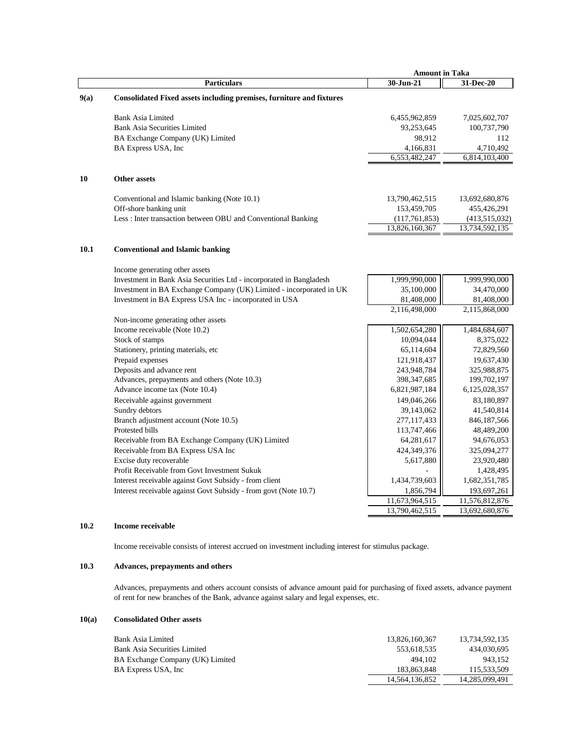|      |                                                                                | <b>Amount in Taka</b>        |                             |
|------|--------------------------------------------------------------------------------|------------------------------|-----------------------------|
|      | <b>Particulars</b>                                                             | 30-Jun-21                    | 31-Dec-20                   |
| 9(a) | Consolidated Fixed assets including premises, furniture and fixtures           |                              |                             |
|      | <b>Bank Asia Limited</b>                                                       | 6,455,962,859                | 7,025,602,707               |
|      | <b>Bank Asia Securities Limited</b>                                            | 93,253,645                   | 100,737,790                 |
|      | BA Exchange Company (UK) Limited                                               | 98,912                       | 112                         |
|      | BA Express USA, Inc                                                            | 4,166,831                    | 4,710,492                   |
|      |                                                                                | 6,553,482,247                | 6,814,103,400               |
| 10   | <b>Other assets</b>                                                            |                              |                             |
|      | Conventional and Islamic banking (Note 10.1)                                   | 13,790,462,515               | 13,692,680,876              |
|      | Off-shore banking unit                                                         | 153,459,705                  | 455,426,291                 |
|      | Less: Inter transaction between OBU and Conventional Banking                   | (117,761,853)                | (413,515,032)               |
|      |                                                                                | 13,826,160,367               | 13,734,592,135              |
|      |                                                                                |                              |                             |
| 10.1 | <b>Conventional and Islamic banking</b>                                        |                              |                             |
|      | Income generating other assets                                                 |                              |                             |
|      | Investment in Bank Asia Securities Ltd - incorporated in Bangladesh            | 1,999,990,000                | 1,999,990,000               |
|      | Investment in BA Exchange Company (UK) Limited - incorporated in UK            | 35,100,000                   | 34,470,000                  |
|      | Investment in BA Express USA Inc - incorporated in USA                         | 81,408,000                   | 81,408,000                  |
|      |                                                                                | 2,116,498,000                | 2,115,868,000               |
|      | Non-income generating other assets                                             |                              |                             |
|      | Income receivable (Note 10.2)                                                  | 1,502,654,280                | 1,484,684,607               |
|      | Stock of stamps                                                                | 10,094,044                   | 8,375,022                   |
|      | Stationery, printing materials, etc                                            | 65,114,604                   | 72,829,560                  |
|      | Prepaid expenses                                                               | 121,918,437                  | 19,637,430                  |
|      | Deposits and advance rent                                                      | 243,948,784                  | 325,988,875                 |
|      | Advances, prepayments and others (Note 10.3)<br>Advance income tax (Note 10.4) | 398, 347, 685                | 199,702,197                 |
|      |                                                                                | 6,821,987,184<br>149,046,266 | 6,125,028,357<br>83,180,897 |
|      | Receivable against government                                                  | 39,143,062                   | 41,540,814                  |
|      | Sundry debtors<br>Branch adjustment account (Note 10.5)                        | 277,117,433                  | 846,187,566                 |
|      | Protested bills                                                                | 113,747,466                  | 48,489,200                  |
|      | Receivable from BA Exchange Company (UK) Limited                               | 64,281,617                   | 94,676,053                  |
|      | Receivable from BA Express USA Inc                                             | 424,349,376                  | 325,094,277                 |
|      | Excise duty recoverable                                                        | 5,617,880                    | 23,920,480                  |
|      | Profit Receivable from Govt Investment Sukuk                                   |                              | 1,428,495                   |
|      | Interest receivable against Govt Subsidy - from client                         | 1,434,739,603                | 1,682,351,785               |
|      | Interest receivable against Govt Subsidy - from govt (Note 10.7)               | 1,856,794                    | 193,697,261                 |
|      |                                                                                | 11,673,964,515               | 11,576,812,876              |
|      |                                                                                | 13,790,462,515               | 13,692,680,876              |
|      |                                                                                |                              |                             |

#### **10.2 Income receivable**

Income receivable consists of interest accrued on investment including interest for stimulus package.

# **10.3 Advances, prepayments and others**

Advances, prepayments and others account consists of advance amount paid for purchasing of fixed assets, advance payment of rent for new branches of the Bank, advance against salary and legal expenses, etc.

# **10(a) Consolidated Other assets**

| Bank Asia Limited                | 13.826.160.367 | 13.734.592.135 |
|----------------------------------|----------------|----------------|
| Bank Asia Securities Limited     | 553.618.535    | 434,030,695    |
| BA Exchange Company (UK) Limited | 494.102        | 943.152        |
| BA Express USA, Inc.             | 183,863,848    | 115,533,509    |
|                                  | 14.564.136.852 | 14,285,099,491 |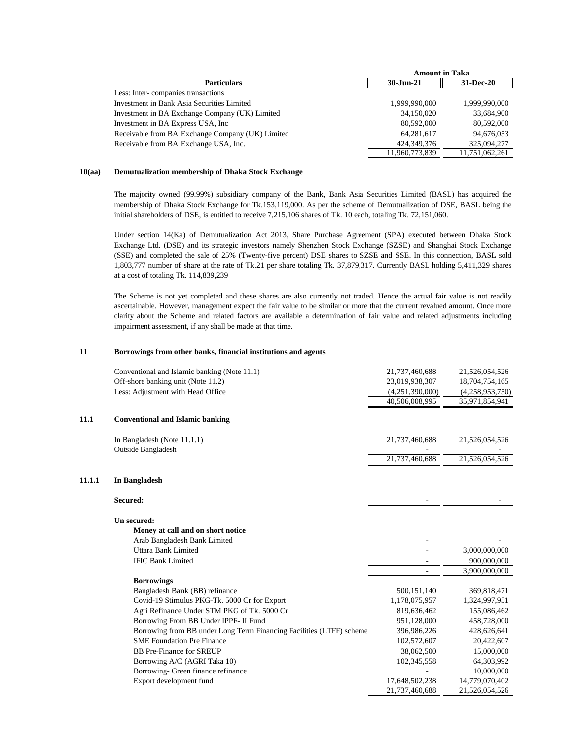|                                                  | <b>Amount in Taka</b> |                |
|--------------------------------------------------|-----------------------|----------------|
| <b>Particulars</b>                               | $30 - Jun-21$         | 31-Dec-20      |
| Less: Inter-companies transactions               |                       |                |
| Investment in Bank Asia Securities Limited       | 1,999,990,000         | 1,999,990,000  |
| Investment in BA Exchange Company (UK) Limited   | 34,150,020            | 33,684,900     |
| Investment in BA Express USA, Inc.               | 80,592,000            | 80,592,000     |
| Receivable from BA Exchange Company (UK) Limited | 64,281,617            | 94,676,053     |
| Receivable from BA Exchange USA, Inc.            | 424, 349, 376         | 325,094,277    |
|                                                  | 11,960,773,839        | 11,751,062,261 |

#### **10(aa) Demutualization membership of Dhaka Stock Exchange**

The majority owned (99.99%) subsidiary company of the Bank, Bank Asia Securities Limited (BASL) has acquired the membership of Dhaka Stock Exchange for Tk.153,119,000. As per the scheme of Demutualization of DSE, BASL being the initial shareholders of DSE, is entitled to receive 7,215,106 shares of Tk. 10 each, totaling Tk. 72,151,060.

Under section 14(Ka) of Demutualization Act 2013, Share Purchase Agreement (SPA) executed between Dhaka Stock Exchange Ltd. (DSE) and its strategic investors namely Shenzhen Stock Exchange (SZSE) and Shanghai Stock Exchange (SSE) and completed the sale of 25% (Twenty-five percent) DSE shares to SZSE and SSE. In this connection, BASL sold 1,803,777 number of share at the rate of Tk.21 per share totaling Tk. 37,879,317. Currently BASL holding 5,411,329 shares at a cost of totaling Tk. 114,839,239

The Scheme is not yet completed and these shares are also currently not traded. Hence the actual fair value is not readily ascertainable. However, management expect the fair value to be similar or more that the current revalued amount. Once more clarity about the Scheme and related factors are available a determination of fair value and related adjustments including impairment assessment, if any shall be made at that time.

#### **11 Borrowings from other banks, financial institutions and agents**

|        | Conventional and Islamic banking (Note 11.1)                         | 21,737,460,688  | 21,526,054,526  |
|--------|----------------------------------------------------------------------|-----------------|-----------------|
|        | Off-shore banking unit (Note 11.2)                                   | 23,019,938,307  | 18,704,754,165  |
|        | Less: Adjustment with Head Office                                    | (4,251,390,000) | (4,258,953,750) |
|        |                                                                      | 40,506,008,995  | 35,971,854,941  |
| 11.1   | <b>Conventional and Islamic banking</b>                              |                 |                 |
|        | In Bangladesh (Note 11.1.1)                                          | 21,737,460,688  | 21,526,054,526  |
|        | Outside Bangladesh                                                   | 21,737,460,688  | 21,526,054,526  |
| 11.1.1 | In Bangladesh                                                        |                 |                 |
|        | Secured:                                                             |                 |                 |
|        | Un secured:                                                          |                 |                 |
|        | Money at call and on short notice                                    |                 |                 |
|        | Arab Bangladesh Bank Limited                                         |                 |                 |
|        | Uttara Bank Limited                                                  |                 | 3,000,000,000   |
|        | <b>IFIC Bank Limited</b>                                             |                 | 900,000,000     |
|        |                                                                      |                 | 3,900,000,000   |
|        | <b>Borrowings</b>                                                    |                 |                 |
|        | Bangladesh Bank (BB) refinance                                       | 500,151,140     | 369,818,471     |
|        | Covid-19 Stimulus PKG-Tk. 5000 Cr for Export                         | 1,178,075,957   | 1,324,997,951   |
|        | Agri Refinance Under STM PKG of Tk. 5000 Cr                          | 819,636,462     | 155,086,462     |
|        | Borrowing From BB Under IPPF- II Fund                                | 951,128,000     | 458,728,000     |
|        | Borrowing from BB under Long Term Financing Facilities (LTFF) scheme | 396,986,226     | 428,626,641     |
|        | <b>SME Foundation Pre Finance</b>                                    | 102,572,607     | 20,422,607      |
|        | <b>BB</b> Pre-Finance for SREUP                                      | 38,062,500      | 15,000,000      |
|        | Borrowing A/C (AGRI Taka 10)                                         | 102,345,558     | 64,303,992      |
|        | Borrowing- Green finance refinance                                   |                 | 10,000,000      |
|        | Export development fund                                              | 17,648,502,238  | 14,779,070,402  |
|        |                                                                      | 21,737,460,688  | 21,526,054,526  |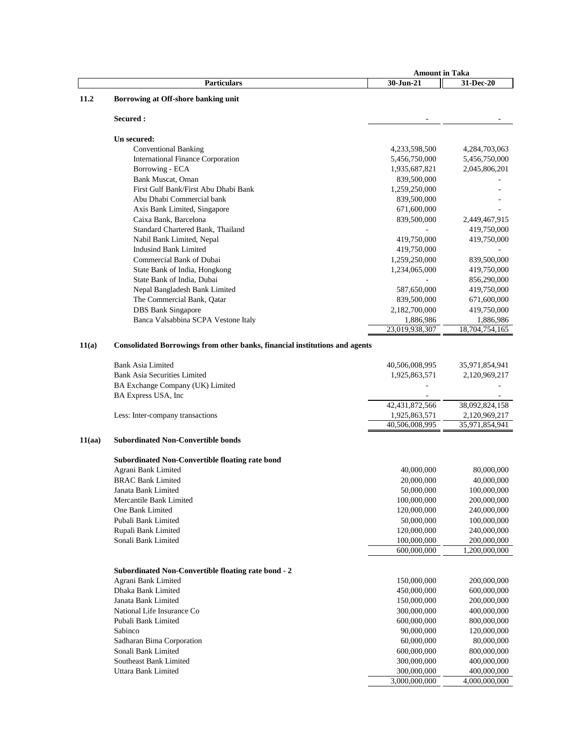|        |                                                                             | <b>Amount in Taka</b> |                |
|--------|-----------------------------------------------------------------------------|-----------------------|----------------|
|        | <b>Particulars</b>                                                          | 30-Jun-21             | 31-Dec-20      |
| 11.2   | Borrowing at Off-shore banking unit                                         |                       |                |
|        |                                                                             |                       |                |
|        | Secured :                                                                   |                       |                |
|        | Un secured:                                                                 |                       |                |
|        | <b>Conventional Banking</b>                                                 | 4,233,598,500         | 4,284,703,063  |
|        | <b>International Finance Corporation</b>                                    | 5,456,750,000         | 5,456,750,000  |
|        |                                                                             |                       |                |
|        | Borrowing - ECA                                                             | 1,935,687,821         | 2,045,806,201  |
|        | Bank Muscat, Oman                                                           | 839,500,000           |                |
|        | First Gulf Bank/First Abu Dhabi Bank                                        | 1,259,250,000         |                |
|        | Abu Dhabi Commercial bank                                                   | 839,500,000           |                |
|        | Axis Bank Limited, Singapore                                                | 671,600,000           |                |
|        | Caixa Bank, Barcelona                                                       | 839,500,000           | 2,449,467,915  |
|        | Standard Chartered Bank, Thailand                                           |                       | 419,750,000    |
|        | Nabil Bank Limited, Nepal                                                   | 419,750,000           | 419,750,000    |
|        | <b>Indusind Bank Limited</b>                                                | 419,750,000           |                |
|        | Commercial Bank of Dubai                                                    | 1,259,250,000         | 839,500,000    |
|        | State Bank of India, Hongkong                                               | 1,234,065,000         | 419,750,000    |
|        | State Bank of India, Dubai                                                  |                       | 856,290,000    |
|        | Nepal Bangladesh Bank Limited                                               | 587,650,000           | 419,750,000    |
|        | The Commercial Bank, Qatar                                                  | 839,500,000           | 671,600,000    |
|        | <b>DBS</b> Bank Singapore                                                   | 2,182,700,000         | 419,750,000    |
|        | Banca Valsabbina SCPA Vestone Italy                                         | 1,886,986             | 1,886,986      |
|        |                                                                             | 23,019,938,307        | 18,704,754,165 |
| 11(a)  | Consolidated Borrowings from other banks, financial institutions and agents |                       |                |
|        |                                                                             |                       |                |
|        | <b>Bank Asia Limited</b>                                                    | 40,506,008,995        | 35,971,854,941 |
|        | <b>Bank Asia Securities Limited</b>                                         | 1,925,863,571         | 2,120,969,217  |
|        | BA Exchange Company (UK) Limited                                            |                       |                |
|        | BA Express USA, Inc                                                         |                       |                |
|        |                                                                             | 42,431,872,566        | 38,092,824,158 |
|        | Less: Inter-company transactions                                            | 1,925,863,571         | 2,120,969,217  |
|        |                                                                             | 40,506,008,995        | 35,971,854,941 |
| 11(aa) | <b>Subordinated Non-Convertible bonds</b>                                   |                       |                |
|        | <b>Subordinated Non-Convertible floating rate bond</b>                      |                       |                |
|        | Agrani Bank Limited                                                         | 40,000,000            | 80,000,000     |
|        | <b>BRAC Bank Limited</b>                                                    | 20,000,000            | 40,000,000     |
|        | Janata Bank Limited                                                         | 50,000,000            | 100,000,000    |
|        | Mercantile Bank Limited                                                     | 100,000,000           | 200,000,000    |
|        | One Bank Limited                                                            | 120,000,000           | 240,000,000    |
|        | Pubali Bank Limited                                                         | 50,000,000            | 100,000,000    |
|        | Rupali Bank Limited                                                         | 120,000,000           | 240,000,000    |
|        | Sonali Bank Limited                                                         | 100,000,000           | 200,000,000    |
|        |                                                                             | 600,000,000           | 1,200,000,000  |
|        |                                                                             |                       |                |
|        | Subordinated Non-Convertible floating rate bond - 2                         |                       |                |
|        | Agrani Bank Limited                                                         | 150,000,000           | 200,000,000    |
|        | Dhaka Bank Limited                                                          | 450,000,000           | 600,000,000    |
|        | Janata Bank Limited                                                         | 150,000,000           | 200,000,000    |
|        | National Life Insurance Co                                                  | 300,000,000           | 400,000,000    |
|        | Pubali Bank Limited                                                         | 600,000,000           | 800,000,000    |
|        | Sabinco                                                                     | 90,000,000            | 120,000,000    |
|        | Sadharan Bima Corporation                                                   | 60,000,000            | 80,000,000     |
|        | Sonali Bank Limited                                                         | 600,000,000           | 800,000,000    |
|        | Southeast Bank Limited                                                      | 300,000,000           | 400,000,000    |
|        | Uttara Bank Limited                                                         | 300,000,000           | 400,000,000    |
|        |                                                                             | 3,000,000,000         | 4,000,000,000  |
|        |                                                                             |                       |                |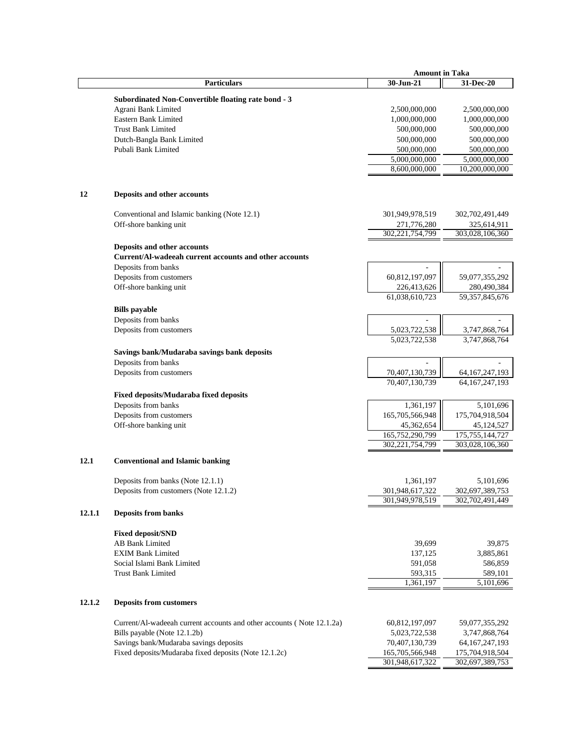|        |                                                                       | <b>Amount in Taka</b> |                      |
|--------|-----------------------------------------------------------------------|-----------------------|----------------------|
|        | Particulars                                                           | 30-Jun-21             | 31-Dec-20            |
|        |                                                                       |                       |                      |
|        | Subordinated Non-Convertible floating rate bond - 3                   |                       |                      |
|        | Agrani Bank Limited                                                   | 2,500,000,000         | 2,500,000,000        |
|        | Eastern Bank Limited                                                  | 1,000,000,000         | 1,000,000,000        |
|        | <b>Trust Bank Limited</b>                                             | 500,000,000           | 500,000,000          |
|        | Dutch-Bangla Bank Limited                                             | 500,000,000           | 500,000,000          |
|        | Pubali Bank Limited                                                   | 500,000,000           | 500,000,000          |
|        |                                                                       | 5,000,000,000         | 5,000,000,000        |
|        |                                                                       | 8,600,000,000         | 10,200,000,000       |
|        |                                                                       |                       |                      |
| 12     | Deposits and other accounts                                           |                       |                      |
|        | Conventional and Islamic banking (Note 12.1)                          | 301,949,978,519       | 302,702,491,449      |
|        | Off-shore banking unit                                                | 271,776,280           | 325,614,911          |
|        |                                                                       | 302,221,754,799       | 303,028,106,360      |
|        | Deposits and other accounts                                           |                       |                      |
|        | Current/Al-wadeeah current accounts and other accounts                |                       |                      |
|        | Deposits from banks                                                   |                       |                      |
|        |                                                                       |                       |                      |
|        | Deposits from customers                                               | 60,812,197,097        | 59,077,355,292       |
|        | Off-shore banking unit                                                | 226,413,626           | 280,490,384          |
|        |                                                                       | 61,038,610,723        | 59, 357, 845, 676    |
|        | <b>Bills</b> payable                                                  |                       |                      |
|        | Deposits from banks                                                   |                       |                      |
|        | Deposits from customers                                               | 5,023,722,538         | 3,747,868,764        |
|        |                                                                       | 5,023,722,538         | 3,747,868,764        |
|        | Savings bank/Mudaraba savings bank deposits                           |                       |                      |
|        | Deposits from banks                                                   |                       |                      |
|        | Deposits from customers                                               | 70,407,130,739        | 64, 167, 247, 193    |
|        |                                                                       | 70,407,130,739        | 64, 167, 247, 193    |
|        | Fixed deposits/Mudaraba fixed deposits                                |                       |                      |
|        | Deposits from banks                                                   | 1,361,197             | 5,101,696            |
|        | Deposits from customers                                               | 165,705,566,948       | 175,704,918,504      |
|        | Off-shore banking unit                                                | 45,362,654            | 45,124,527           |
|        |                                                                       | 165,752,290,799       | 175, 755, 144, 727   |
|        |                                                                       | 302, 221, 754, 799    | 303,028,106,360      |
|        |                                                                       |                       |                      |
| 12.1   | <b>Conventional and Islamic banking</b>                               |                       |                      |
|        | Deposits from banks (Note 12.1.1)                                     | 1,361,197             | 5,101,696            |
|        | Deposits from customers (Note 12.1.2)                                 | 301,948,617,322       | 302,697,389,753      |
|        |                                                                       | 301,949,978,519       | 302,702,491,449      |
| 12.1.1 | <b>Deposits from banks</b>                                            |                       |                      |
|        | <b>Fixed deposit/SND</b>                                              |                       |                      |
|        | <b>AB Bank Limited</b>                                                | 39,699                | 39,875               |
|        | <b>EXIM Bank Limited</b>                                              |                       |                      |
|        |                                                                       | 137,125               | 3,885,861            |
|        | Social Islami Bank Limited                                            | 591,058               | 586,859              |
|        | <b>Trust Bank Limited</b>                                             | 593,315               | 589,101<br>5,101,696 |
|        |                                                                       | 1,361,197             |                      |
| 12.1.2 | <b>Deposits from customers</b>                                        |                       |                      |
|        |                                                                       |                       |                      |
|        | Current/Al-wadeeah current accounts and other accounts (Note 12.1.2a) | 60,812,197,097        | 59,077,355,292       |
|        | Bills payable (Note 12.1.2b)                                          | 5,023,722,538         | 3,747,868,764        |
|        | Savings bank/Mudaraba savings deposits                                | 70,407,130,739        | 64, 167, 247, 193    |
|        | Fixed deposits/Mudaraba fixed deposits (Note 12.1.2c)                 | 165,705,566,948       | 175,704,918,504      |
|        |                                                                       | 301,948,617,322       | 302,697,389,753      |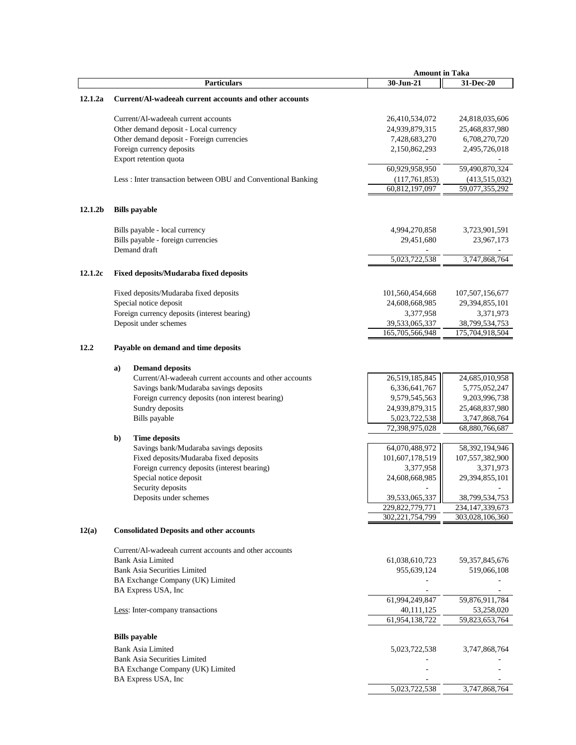|                     |    |                                                              | <b>Amount in Taka</b> |                    |
|---------------------|----|--------------------------------------------------------------|-----------------------|--------------------|
|                     |    | <b>Particulars</b>                                           | 30-Jun-21             | 31-Dec-20          |
| 12.1.2a             |    | Current/Al-wadeeah current accounts and other accounts       |                       |                    |
|                     |    |                                                              |                       |                    |
|                     |    | Current/Al-wadeeah current accounts                          | 26,410,534,072        | 24,818,035,606     |
|                     |    | Other demand deposit - Local currency                        | 24,939,879,315        | 25,468,837,980     |
|                     |    | Other demand deposit - Foreign currencies                    | 7,428,683,270         | 6,708,270,720      |
|                     |    | Foreign currency deposits                                    | 2,150,862,293         | 2,495,726,018      |
|                     |    | Export retention quota                                       |                       |                    |
|                     |    |                                                              | 60,929,958,950        | 59,490,870,324     |
|                     |    | Less: Inter transaction between OBU and Conventional Banking | (117,761,853)         | (413,515,032)      |
|                     |    |                                                              | 60,812,197,097        | 59,077,355,292     |
| 12.1.2 <sub>b</sub> |    | <b>Bills</b> payable                                         |                       |                    |
|                     |    | Bills payable - local currency                               | 4,994,270,858         | 3,723,901,591      |
|                     |    | Bills payable - foreign currencies                           | 29,451,680            | 23,967,173         |
|                     |    | Demand draft                                                 |                       |                    |
|                     |    |                                                              | 5,023,722,538         | 3,747,868,764      |
| 12.1.2c             |    | <b>Fixed deposits/Mudaraba fixed deposits</b>                |                       |                    |
|                     |    |                                                              |                       |                    |
|                     |    | Fixed deposits/Mudaraba fixed deposits                       | 101,560,454,668       | 107,507,156,677    |
|                     |    | Special notice deposit                                       | 24,608,668,985        | 29,394,855,101     |
|                     |    | Foreign currency deposits (interest bearing)                 | 3,377,958             | 3,371,973          |
|                     |    | Deposit under schemes                                        | 39,533,065,337        | 38,799,534,753     |
|                     |    |                                                              | 165,705,566,948       | 175,704,918,504    |
| 12.2                |    | Payable on demand and time deposits                          |                       |                    |
|                     |    |                                                              |                       |                    |
|                     | a) | <b>Demand deposits</b>                                       |                       |                    |
|                     |    | Current/Al-wadeeah current accounts and other accounts       | 26,519,185,845        | 24,685,010,958     |
|                     |    | Savings bank/Mudaraba savings deposits                       | 6,336,641,767         | 5,775,052,247      |
|                     |    | Foreign currency deposits (non interest bearing)             | 9,579,545,563         | 9,203,996,738      |
|                     |    | Sundry deposits                                              | 24,939,879,315        | 25,468,837,980     |
|                     |    | Bills payable                                                | 5,023,722,538         | 3,747,868,764      |
|                     |    |                                                              | 72,398,975,028        | 68,880,766,687     |
|                     | b) | <b>Time deposits</b>                                         |                       |                    |
|                     |    | Savings bank/Mudaraba savings deposits                       | 64,070,488,972        | 58,392,194,946     |
|                     |    | Fixed deposits/Mudaraba fixed deposits                       | 101,607,178,519       | 107,557,382,900    |
|                     |    | Foreign currency deposits (interest bearing)                 | 3,377,958             | 3,371,973          |
|                     |    | Special notice deposit                                       | 24,608,668,985        | 29,394,855,101     |
|                     |    | Security deposits                                            |                       |                    |
|                     |    | Deposits under schemes                                       | 39,533,065,337        | 38,799,534,753     |
|                     |    |                                                              | 229,822,779,771       | 234, 147, 339, 673 |
|                     |    |                                                              | 302,221,754,799       | 303,028,106,360    |
| 12(a)               |    | <b>Consolidated Deposits and other accounts</b>              |                       |                    |
|                     |    | Current/Al-wadeeah current accounts and other accounts       |                       |                    |
|                     |    | <b>Bank Asia Limited</b>                                     | 61,038,610,723        | 59, 357, 845, 676  |
|                     |    | <b>Bank Asia Securities Limited</b>                          | 955,639,124           | 519,066,108        |
|                     |    | BA Exchange Company (UK) Limited                             |                       |                    |
|                     |    | BA Express USA, Inc                                          |                       |                    |
|                     |    |                                                              | 61,994,249,847        | 59,876,911,784     |
|                     |    | Less: Inter-company transactions                             | 40,111,125            | 53,258,020         |
|                     |    |                                                              | 61,954,138,722        | 59,823,653,764     |
|                     |    |                                                              |                       |                    |
|                     |    | <b>Bills</b> payable                                         |                       |                    |
|                     |    | <b>Bank Asia Limited</b>                                     | 5,023,722,538         | 3,747,868,764      |
|                     |    | <b>Bank Asia Securities Limited</b>                          |                       |                    |
|                     |    | BA Exchange Company (UK) Limited                             |                       |                    |
|                     |    | BA Express USA, Inc.                                         |                       |                    |
|                     |    |                                                              | 5,023,722,538         | 3,747,868,764      |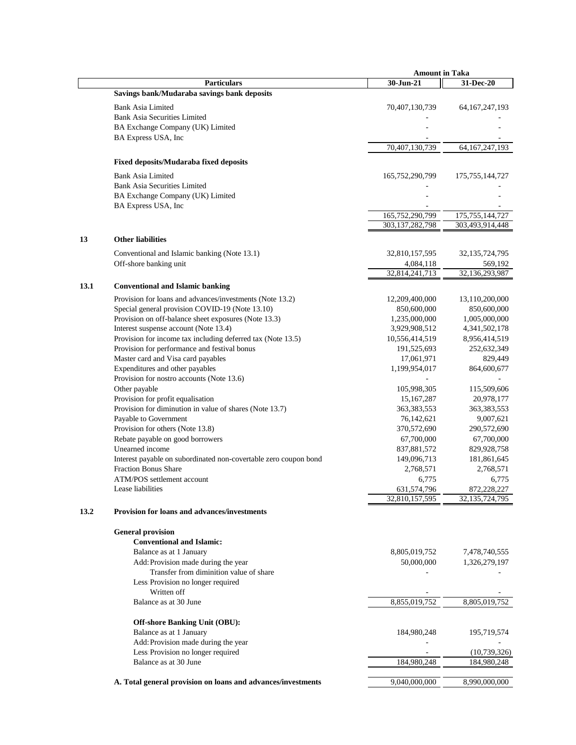|      |                                                                  | <b>Amount in Taka</b> |                    |
|------|------------------------------------------------------------------|-----------------------|--------------------|
|      | <b>Particulars</b>                                               | 30-Jun-21             | 31-Dec-20          |
|      | Savings bank/Mudaraba savings bank deposits                      |                       |                    |
|      |                                                                  |                       |                    |
|      | <b>Bank Asia Limited</b><br><b>Bank Asia Securities Limited</b>  | 70,407,130,739        | 64, 167, 247, 193  |
|      |                                                                  |                       |                    |
|      | BA Exchange Company (UK) Limited                                 |                       |                    |
|      | BA Express USA, Inc.                                             |                       |                    |
|      |                                                                  | 70,407,130,739        | 64, 167, 247, 193  |
|      | <b>Fixed deposits/Mudaraba fixed deposits</b>                    |                       |                    |
|      | <b>Bank Asia Limited</b>                                         | 165,752,290,799       | 175, 755, 144, 727 |
|      | <b>Bank Asia Securities Limited</b>                              |                       |                    |
|      | BA Exchange Company (UK) Limited                                 |                       |                    |
|      | BA Express USA, Inc.                                             |                       |                    |
|      |                                                                  | 165,752,290,799       | 175, 755, 144, 727 |
|      |                                                                  | 303,137,282,798       | 303,493,914,448    |
|      |                                                                  |                       |                    |
| 13   | <b>Other liabilities</b>                                         |                       |                    |
|      | Conventional and Islamic banking (Note 13.1)                     | 32,810,157,595        | 32, 135, 724, 795  |
|      | Off-shore banking unit                                           | 4,084,118             | 569,192            |
|      |                                                                  | 32,814,241,713        | 32,136,293,987     |
| 13.1 | <b>Conventional and Islamic banking</b>                          |                       |                    |
|      |                                                                  |                       |                    |
|      | Provision for loans and advances/investments (Note 13.2)         | 12,209,400,000        | 13,110,200,000     |
|      | Special general provision COVID-19 (Note 13.10)                  | 850,600,000           | 850,600,000        |
|      | Provision on off-balance sheet exposures (Note 13.3)             | 1,235,000,000         | 1,005,000,000      |
|      | Interest suspense account (Note 13.4)                            | 3,929,908,512         | 4, 341, 502, 178   |
|      | Provision for income tax including deferred tax (Note 13.5)      | 10,556,414,519        | 8,956,414,519      |
|      | Provision for performance and festival bonus                     | 191,525,693           | 252,632,349        |
|      | Master card and Visa card payables                               | 17,061,971            | 829,449            |
|      | Expenditures and other payables                                  | 1,199,954,017         | 864,600,677        |
|      | Provision for nostro accounts (Note 13.6)                        |                       |                    |
|      | Other payable                                                    | 105,998,305           | 115,509,606        |
|      | Provision for profit equalisation                                | 15,167,287            | 20,978,177         |
|      | Provision for diminution in value of shares (Note 13.7)          | 363,383,553           | 363, 383, 553      |
|      | Payable to Government                                            | 76,142,621            | 9,007,621          |
|      | Provision for others (Note 13.8)                                 | 370,572,690           | 290,572,690        |
|      | Rebate payable on good borrowers                                 | 67,700,000            | 67,700,000         |
|      | Unearned income                                                  | 837,881,572           | 829,928,758        |
|      | Interest payable on subordinated non-covertable zero coupon bond | 149,096,713           | 181,861,645        |
|      | Fraction Bonus Share                                             | 2,768,571             | 2,768,571          |
|      | ATM/POS settlement account                                       | 6,775                 | 6,775              |
|      | Lease liabilities                                                | 631,574,796           | 872,228,227        |
|      |                                                                  | 32,810,157,595        | 32, 135, 724, 795  |
| 13.2 | <b>Provision for loans and advances/investments</b>              |                       |                    |
|      | <b>General provision</b>                                         |                       |                    |
|      | <b>Conventional and Islamic:</b>                                 |                       |                    |
|      | Balance as at 1 January                                          | 8,805,019,752         | 7,478,740,555      |
|      | Add Provision made during the year                               | 50,000,000            | 1,326,279,197      |
|      | Transfer from diminition value of share                          |                       |                    |
|      | Less Provision no longer required                                |                       |                    |
|      | Written off                                                      |                       |                    |
|      | Balance as at 30 June                                            | 8,855,019,752         | 8,805,019,752      |
|      |                                                                  |                       |                    |
|      | <b>Off-shore Banking Unit (OBU):</b>                             |                       |                    |
|      | Balance as at 1 January                                          | 184,980,248           | 195,719,574        |
|      | Add Provision made during the year                               |                       |                    |
|      | Less Provision no longer required                                |                       | (10, 739, 326)     |
|      | Balance as at 30 June                                            | 184,980,248           | 184,980,248        |
|      | A. Total general provision on loans and advances/investments     | 9,040,000,000         | 8,990,000,000      |
|      |                                                                  |                       |                    |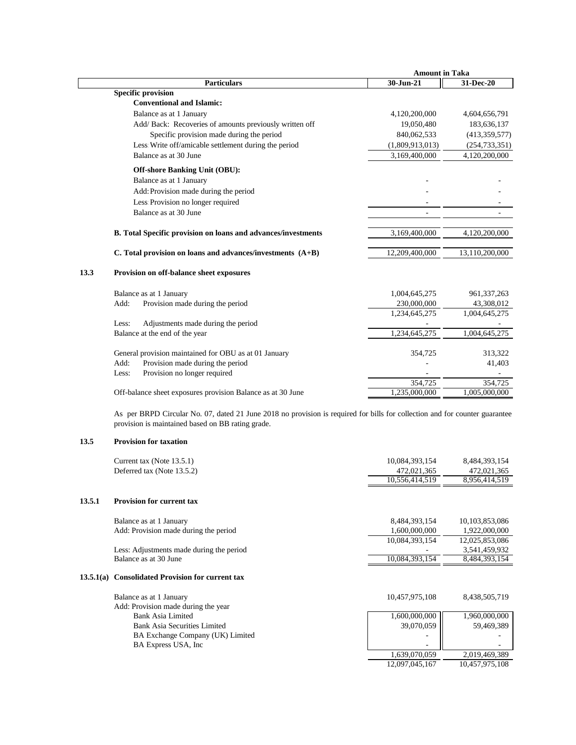|      |                                                                      | <b>Amount in Taka</b> |                 |  |
|------|----------------------------------------------------------------------|-----------------------|-----------------|--|
|      | <b>Particulars</b>                                                   | 30-Jun-21             | 31-Dec-20       |  |
|      | <b>Specific provision</b>                                            |                       |                 |  |
|      | <b>Conventional and Islamic:</b>                                     |                       |                 |  |
|      | Balance as at 1 January                                              | 4,120,200,000         | 4,604,656,791   |  |
|      | Add/ Back: Recoveries of amounts previously written off              | 19,050,480            | 183,636,137     |  |
|      | Specific provision made during the period                            | 840,062,533           | (413, 359, 577) |  |
|      | Less Write off/amicable settlement during the period                 | (1,809,913,013)       | (254, 733, 351) |  |
|      | Balance as at 30 June                                                | 3,169,400,000         | 4,120,200,000   |  |
|      | <b>Off-shore Banking Unit (OBU):</b>                                 |                       |                 |  |
|      | Balance as at 1 January                                              |                       |                 |  |
|      | Add: Provision made during the period                                |                       |                 |  |
|      | Less Provision no longer required                                    |                       |                 |  |
|      | Balance as at 30 June                                                |                       |                 |  |
|      | <b>B.</b> Total Specific provision on loans and advances/investments | 3,169,400,000         | 4,120,200,000   |  |
|      | C. Total provision on loans and advances/investments (A+B)           | 12,209,400,000        | 13,110,200,000  |  |
| 13.3 | Provision on off-balance sheet exposures                             |                       |                 |  |
|      | Balance as at 1 January                                              | 1,004,645,275         | 961, 337, 263   |  |
|      | Provision made during the period<br>Add:                             | 230,000,000           | 43,308,012      |  |
|      |                                                                      | 1,234,645,275         | 1,004,645,275   |  |
|      | Adjustments made during the period<br>Less:                          |                       |                 |  |
|      | Balance at the end of the year                                       | 1,234,645,275         | 1,004,645,275   |  |
|      | General provision maintained for OBU as at 01 January                | 354,725               | 313,322         |  |
|      | Provision made during the period<br>Add:                             |                       | 41,403          |  |
|      | Provision no longer required<br>Less:                                |                       |                 |  |
|      |                                                                      | 354,725               | 354,725         |  |
|      | Off-balance sheet exposures provision Balance as at 30 June          | 1,235,000,000         | 1,005,000,000   |  |
|      |                                                                      |                       |                 |  |

As per BRPD Circular No. 07, dated 21 June 2018 no provision is required for bills for collection and for counter guarantee provision is maintained based on BB rating grade.

# **13.5 Provision for taxation**

| Current tax (Note 13.5.1)<br>10,084,393,154            | 8,484,393,154  |
|--------------------------------------------------------|----------------|
| Deferred tax (Note 13.5.2)<br>472,021,365              | 472,021,365    |
| 10,556,414,519                                         | 8,956,414,519  |
|                                                        |                |
| 13.5.1<br><b>Provision for current tax</b>             |                |
| Balance as at 1 January<br>8,484,393,154               | 10,103,853,086 |
| 1,600,000,000<br>Add: Provision made during the period | 1,922,000,000  |
| 10,084,393,154                                         | 12,025,853,086 |
| Less: Adjustments made during the period               | 3,541,459,932  |
| 10,084,393,154<br>Balance as at 30 June                | 8,484,393,154  |
| 13.5.1(a) Consolidated Provision for current tax       |                |
| Balance as at 1 January<br>10,457,975,108              | 8,438,505,719  |
| Add: Provision made during the year                    |                |
| 1,600,000,000<br>Bank Asia Limited                     | 1,960,000,000  |
| 39,070,059<br><b>Bank Asia Securities Limited</b>      | 59,469,389     |
| BA Exchange Company (UK) Limited                       |                |
| BA Express USA, Inc.                                   |                |
| 1,639,070,059                                          | 2,019,469,389  |
| 12,097,045,167                                         | 10,457,975,108 |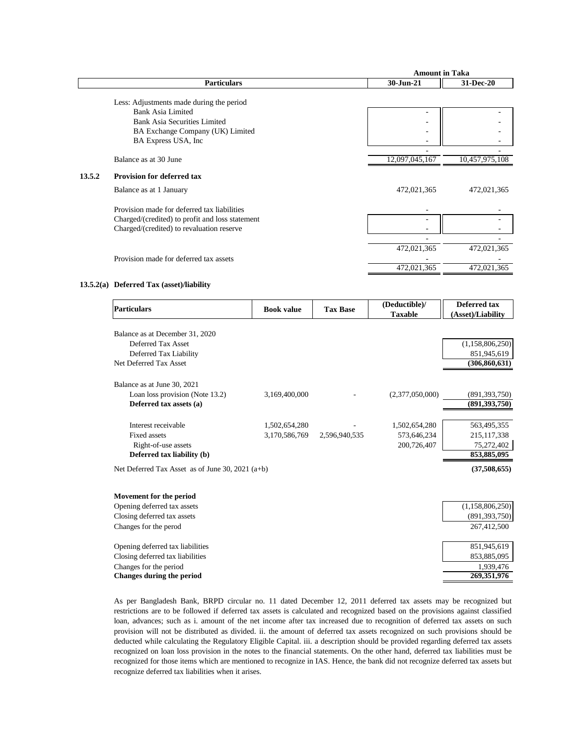|        |                                                 | <b>Amount in Taka</b> |                |
|--------|-------------------------------------------------|-----------------------|----------------|
|        | <b>Particulars</b>                              | 30-Jun-21             | 31-Dec-20      |
|        |                                                 |                       |                |
|        | Less: Adjustments made during the period        |                       |                |
|        | <b>Bank Asia Limited</b>                        |                       |                |
|        | <b>Bank Asia Securities Limited</b>             |                       |                |
|        | BA Exchange Company (UK) Limited                | -                     |                |
|        | BA Express USA, Inc.                            |                       |                |
|        |                                                 |                       |                |
|        | Balance as at 30 June                           | 12,097,045,167        | 10,457,975,108 |
| 13.5.2 | <b>Provision for deferred tax</b>               |                       |                |
|        | Balance as at 1 January                         | 472,021,365           | 472,021,365    |
|        | Provision made for deferred tax liabilities     |                       |                |
|        | Charged/(credited) to profit and loss statement |                       |                |
|        | Charged/(credited) to revaluation reserve       |                       |                |
|        |                                                 |                       |                |
|        |                                                 | 472,021,365           | 472,021,365    |
|        | Provision made for deferred tax assets          |                       |                |
|        |                                                 | 472,021,365           | 472,021,365    |
|        |                                                 |                       |                |

#### **13.5.2(a) Deferred Tax (asset)/liability**

| Particulars                                        | <b>Book value</b> | <b>Tax Base</b> | (Deductible)/<br><b>Taxable</b> | Deferred tax<br>(Asset)/Liability |
|----------------------------------------------------|-------------------|-----------------|---------------------------------|-----------------------------------|
| Balance as at December 31, 2020                    |                   |                 |                                 |                                   |
| Deferred Tax Asset                                 |                   |                 |                                 | (1,158,806,250)                   |
| Deferred Tax Liability                             |                   |                 |                                 | 851,945,619                       |
| Net Deferred Tax Asset                             |                   |                 |                                 | (306, 860, 631)                   |
| Balance as at June 30, 2021                        |                   |                 |                                 |                                   |
| Loan loss provision (Note 13.2)                    | 3,169,400,000     |                 | (2,377,050,000)                 | (891, 393, 750)                   |
| Deferred tax assets (a)                            |                   |                 |                                 | (891, 393, 750)                   |
| Interest receivable                                | 1,502,654,280     |                 | 1,502,654,280                   | 563,495,355                       |
| <b>Fixed assets</b>                                | 3,170,586,769     | 2,596,940,535   | 573,646,234                     | 215, 117, 338                     |
| Right-of-use assets                                |                   |                 | 200,726,407                     | 75,272,402                        |
| Deferred tax liability (b)                         |                   |                 |                                 | 853,885,095                       |
| Net Deferred Tax Asset as of June 30, 2021 $(a+b)$ |                   |                 |                                 | (37,508,655)                      |
| Movement for the period                            |                   |                 |                                 |                                   |
| Opening deferred tax assets                        |                   |                 |                                 | (1,158,806,250)                   |
| Closing deferred tax assets                        |                   |                 |                                 | (891, 393, 750)                   |
| Changes for the perod                              |                   |                 |                                 | 267,412,500                       |
| Opening deferred tax liabilities                   |                   |                 |                                 | 851,945,619                       |
| Closing deferred tax liabilities                   |                   |                 |                                 | 853,885,095                       |
| Changes for the period                             |                   |                 |                                 | 1,939,476                         |
| <b>Changes during the period</b>                   |                   |                 |                                 | 269,351,976                       |

As per Bangladesh Bank, BRPD circular no. 11 dated December 12, 2011 deferred tax assets may be recognized but restrictions are to be followed if deferred tax assets is calculated and recognized based on the provisions against classified loan, advances; such as i. amount of the net income after tax increased due to recognition of deferred tax assets on such provision will not be distributed as divided. ii. the amount of deferred tax assets recognized on such provisions should be deducted while calculating the Regulatory Eligible Capital. iii. a description should be provided regarding deferred tax assets recognized on loan loss provision in the notes to the financial statements. On the other hand, deferred tax liabilities must be recognized for those items which are mentioned to recognize in IAS. Hence, the bank did not recognize deferred tax assets but recognize deferred tax liabilities when it arises.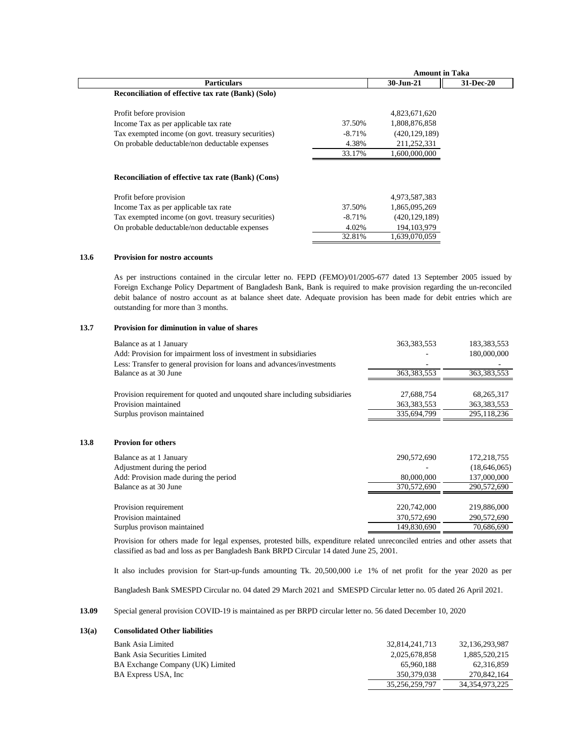|                                                    |           | <b>Amount in Taka</b> |           |
|----------------------------------------------------|-----------|-----------------------|-----------|
| <b>Particulars</b>                                 |           | 30-Jun-21             | 31-Dec-20 |
| Reconciliation of effective tax rate (Bank) (Solo) |           |                       |           |
| Profit before provision                            |           | 4,823,671,620         |           |
| Income Tax as per applicable tax rate              | 37.50%    | 1,808,876,858         |           |
| Tax exempted income (on govt. treasury securities) | $-8.71\%$ | (420, 129, 189)       |           |
| On probable deductable/non deductable expenses     | 4.38%     | 211,252,331           |           |
|                                                    | 33.17%    | 1.600.000.000         |           |
| Reconciliation of effective tax rate (Bank) (Cons) |           |                       |           |
| Profit before provision                            |           | 4,973,587,383         |           |
| Income Tax as per applicable tax rate              | 37.50%    | 1,865,095,269         |           |
| Tax exempted income (on govt. treasury securities) | $-8.71\%$ | (420, 129, 189)       |           |
| On probable deductable/non deductable expenses     | 4.02%     | 194, 103, 979         |           |
|                                                    | 32.81%    | 1.639.070.059         |           |

#### **13.6 Provision for nostro accounts**

**13.8** 

As per instructions contained in the circular letter no. FEPD (FEMO)/01/2005-677 dated 13 September 2005 issued by Foreign Exchange Policy Department of Bangladesh Bank, Bank is required to make provision regarding the un-reconciled debit balance of nostro account as at balance sheet date. Adequate provision has been made for debit entries which are outstanding for more than 3 months.

#### **13.7 Provision for diminution in value of shares**

| Balance as at 1 January                                                    | 363, 383, 553 | 183,383,553   |
|----------------------------------------------------------------------------|---------------|---------------|
| Add: Provision for impairment loss of investment in subsidiaries           |               | 180,000,000   |
| Less: Transfer to general provision for loans and advances/investments     |               |               |
| Balance as at 30 June                                                      | 363, 383, 553 | 363, 383, 553 |
|                                                                            |               |               |
| Provision requirement for quoted and unqouted share including subsidiaries | 27,688,754    | 68, 265, 317  |
| Provision maintained                                                       | 363, 383, 553 | 363, 383, 553 |
| Surplus provison maintained                                                | 335,694,799   | 295,118,236   |
| <b>Provion for others</b>                                                  |               |               |
| Balance as at 1 January                                                    | 290,572,690   | 172,218,755   |
| Adjustment during the period                                               |               | (18,646,065)  |
| Add: Provision made during the period                                      | 80,000,000    | 137,000,000   |
| Balance as at 30 June                                                      | 370,572,690   | 290,572,690   |
|                                                                            |               |               |
|                                                                            |               |               |
| Provision requirement                                                      | 220,742,000   | 219,886,000   |
| Provision maintained                                                       | 370,572,690   | 290,572,690   |
| Surplus provison maintained                                                | 149,830,690   | 70,686,690    |

Provision for others made for legal expenses, protested bills, expenditure related unreconciled entries and other assets that classified as bad and loss as per Bangladesh Bank BRPD Circular 14 dated June 25, 2001.

It also includes provision for Start-up-funds amounting Tk. 20,500,000 i.e 1% of net profit for the year 2020 as per

Bangladesh Bank SMESPD Circular no. 04 dated 29 March 2021 and SMESPD Circular letter no. 05 dated 26 April 2021.

**13.09** Special general provision COVID-19 is maintained as per BRPD circular letter no. 56 dated December 10, 2020

#### **13(a) Consolidated Other liabilities**

| Bank Asia Limited                   | 32.814.241.713 | 32.136.293.987 |
|-------------------------------------|----------------|----------------|
| <b>Bank Asia Securities Limited</b> | 2.025.678.858  | 1.885.520.215  |
| BA Exchange Company (UK) Limited    | 65,960,188     | 62.316.859     |
| BA Express USA, Inc.                | 350.379.038    | 270.842.164    |
|                                     | 35,256,259,797 | 34,354,973,225 |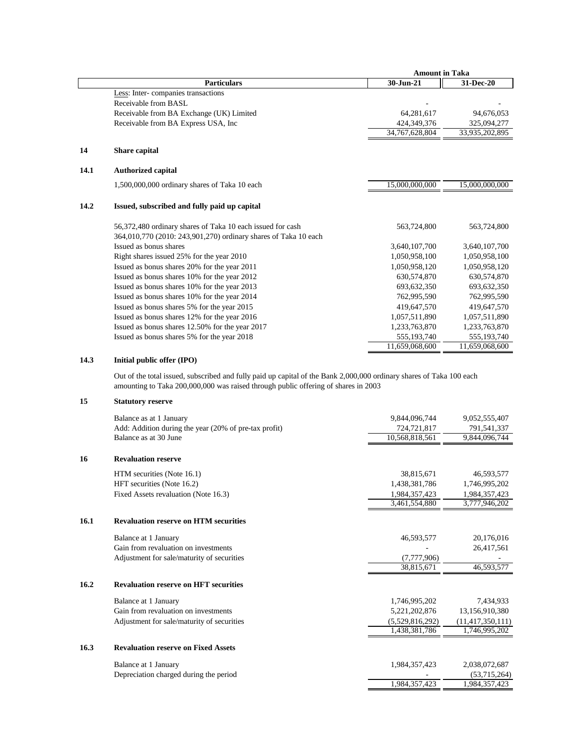|      |                                                                 | <b>Amount in Taka</b> |                |  |
|------|-----------------------------------------------------------------|-----------------------|----------------|--|
|      | <b>Particulars</b>                                              | 30-Jun-21             | 31-Dec-20      |  |
|      | Less: Inter-companies transactions                              |                       |                |  |
|      | Receivable from BASL                                            |                       |                |  |
|      | Receivable from BA Exchange (UK) Limited                        | 64,281,617            | 94,676,053     |  |
|      | Receivable from BA Express USA, Inc.                            | 424,349,376           | 325,094,277    |  |
|      |                                                                 | 34,767,628,804        | 33,935,202,895 |  |
| 14   | Share capital                                                   |                       |                |  |
| 14.1 | <b>Authorized capital</b>                                       |                       |                |  |
|      | 1,500,000,000 ordinary shares of Taka 10 each                   | 15,000,000,000        | 15,000,000,000 |  |
| 14.2 | Issued, subscribed and fully paid up capital                    |                       |                |  |
|      | 56,372,480 ordinary shares of Taka 10 each issued for cash      | 563,724,800           | 563,724,800    |  |
|      | 364,010,770 (2010: 243,901,270) ordinary shares of Taka 10 each |                       |                |  |
|      | Issued as bonus shares                                          | 3,640,107,700         | 3,640,107,700  |  |
|      | Right shares issued 25% for the year 2010                       | 1,050,958,100         | 1,050,958,100  |  |
|      | Issued as bonus shares 20% for the year 2011                    | 1,050,958,120         | 1,050,958,120  |  |
|      | Issued as bonus shares 10% for the year 2012                    | 630,574,870           | 630,574,870    |  |
|      | Issued as bonus shares 10% for the year 2013                    | 693,632,350           | 693,632,350    |  |
|      | Issued as bonus shares 10% for the year 2014                    | 762,995,590           | 762,995,590    |  |
|      | Issued as bonus shares 5% for the year 2015                     | 419,647,570           | 419,647,570    |  |
|      | Issued as bonus shares 12% for the year 2016                    | 1,057,511,890         | 1,057,511,890  |  |
|      | Issued as bonus shares 12.50% for the year 2017                 | 1,233,763,870         | 1,233,763,870  |  |
|      | Issued as bonus shares 5% for the year 2018                     | 555,193,740           | 555,193,740    |  |
|      |                                                                 | 11,659,068,600        | 11,659,068,600 |  |

# **14.3 Initial public offer (IPO)**

Out of the total issued, subscribed and fully paid up capital of the Bank 2,000,000 ordinary shares of Taka 100 each amounting to Taka 200,000,000 was raised through public offering of shares in 2003

# **15 Statutory reserve**

|      | Balance as at 1 January                               | 9.844.096.744   | 9,052,555,407       |
|------|-------------------------------------------------------|-----------------|---------------------|
|      | Add: Addition during the year (20% of pre-tax profit) | 724,721,817     | 791,541,337         |
|      | Balance as at 30 June                                 | 10,568,818,561  | 9,844,096,744       |
| 16   | <b>Revaluation reserve</b>                            |                 |                     |
|      | HTM securities (Note 16.1)                            | 38,815,671      | 46,593,577          |
|      | HFT securities (Note 16.2)                            | 1,438,381,786   | 1,746,995,202       |
|      | Fixed Assets revaluation (Note 16.3)                  | 1,984,357,423   | 1,984,357,423       |
|      |                                                       | 3,461,554,880   | 3,777,946,202       |
| 16.1 | <b>Revaluation reserve on HTM securities</b>          |                 |                     |
|      | Balance at 1 January                                  | 46,593,577      | 20,176,016          |
|      | Gain from revaluation on investments                  |                 | 26,417,561          |
|      | Adjustment for sale/maturity of securities            | (7,777,906)     |                     |
|      |                                                       | 38,815,671      | 46,593,577          |
| 16.2 | <b>Revaluation reserve on HFT securities</b>          |                 |                     |
|      | Balance at 1 January                                  | 1,746,995,202   | 7,434,933           |
|      | Gain from revaluation on investments                  | 5,221,202,876   | 13,156,910,380      |
|      | Adjustment for sale/maturity of securities            | (5,529,816,292) | (11, 417, 350, 111) |
|      |                                                       | 1,438,381,786   | 1,746,995,202       |
| 16.3 | <b>Revaluation reserve on Fixed Assets</b>            |                 |                     |
|      | Balance at 1 January                                  | 1,984,357,423   | 2,038,072,687       |
|      | Depreciation charged during the period                |                 | (53,715,264)        |
|      |                                                       | 1,984,357,423   | 1,984,357,423       |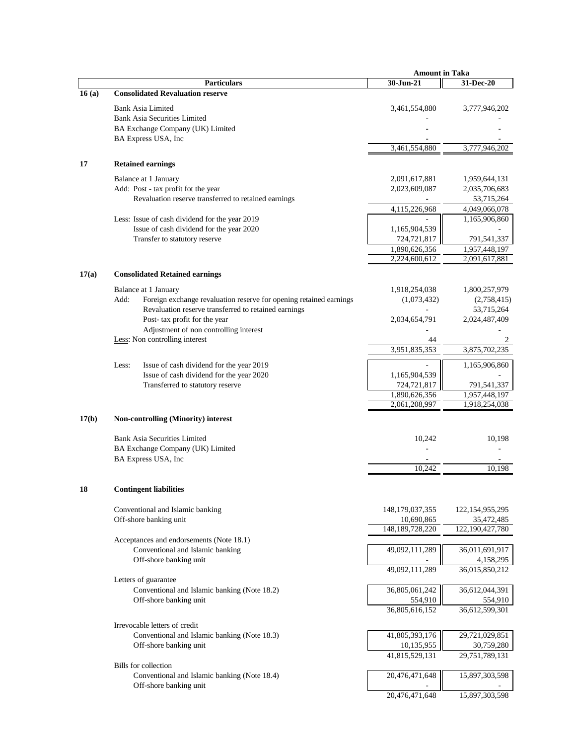|       |                                                                            | <b>Amount in Taka</b> |                    |
|-------|----------------------------------------------------------------------------|-----------------------|--------------------|
|       | <b>Particulars</b>                                                         | 30-Jun-21             | 31-Dec-20          |
| 16(a) | <b>Consolidated Revaluation reserve</b>                                    |                       |                    |
|       | <b>Bank Asia Limited</b>                                                   | 3,461,554,880         | 3,777,946,202      |
|       | <b>Bank Asia Securities Limited</b>                                        |                       |                    |
|       | BA Exchange Company (UK) Limited                                           |                       |                    |
|       | BA Express USA, Inc                                                        |                       |                    |
|       |                                                                            | 3,461,554,880         | 3,777,946,202      |
|       |                                                                            |                       |                    |
| 17    | <b>Retained earnings</b>                                                   |                       |                    |
|       | Balance at 1 January                                                       | 2,091,617,881         | 1,959,644,131      |
|       | Add: Post - tax profit fot the year                                        | 2,023,609,087         | 2,035,706,683      |
|       | Revaluation reserve transferred to retained earnings                       |                       | 53,715,264         |
|       |                                                                            | 4,115,226,968         | 4,049,066,078      |
|       | Less: Issue of cash dividend for the year 2019                             |                       | 1,165,906,860      |
|       | Issue of cash dividend for the year 2020                                   | 1,165,904,539         |                    |
|       | Transfer to statutory reserve                                              | 724,721,817           | 791,541,337        |
|       |                                                                            | 1,890,626,356         | 1,957,448,197      |
|       |                                                                            | 2,224,600,612         | 2,091,617,881      |
|       |                                                                            |                       |                    |
| 17(a) | <b>Consolidated Retained earnings</b>                                      |                       |                    |
|       | Balance at 1 January                                                       | 1,918,254,038         | 1,800,257,979      |
|       | Add:<br>Foreign exchange revaluation reserve for opening retained earnings | (1,073,432)           | (2,758,415)        |
|       | Revaluation reserve transferred to retained earnings                       |                       | 53,715,264         |
|       | Post- tax profit for the year                                              | 2,034,654,791         | 2,024,487,409      |
|       | Adjustment of non controlling interest                                     |                       |                    |
|       | Less: Non controlling interest                                             | 44                    | 2                  |
|       |                                                                            | 3,951,835,353         | 3,875,702,235      |
|       |                                                                            |                       |                    |
|       | Issue of cash dividend for the year 2019<br>Less:                          |                       | 1,165,906,860      |
|       | Issue of cash dividend for the year 2020                                   | 1,165,904,539         |                    |
|       | Transferred to statutory reserve                                           | 724,721,817           | 791,541,337        |
|       |                                                                            | 1,890,626,356         | 1,957,448,197      |
|       |                                                                            | 2,061,208,997         | 1,918,254,038      |
| 17(b) | <b>Non-controlling (Minority) interest</b>                                 |                       |                    |
|       |                                                                            |                       |                    |
|       | <b>Bank Asia Securities Limited</b>                                        | 10,242                | 10,198             |
|       | BA Exchange Company (UK) Limited                                           |                       |                    |
|       | BA Express USA, Inc                                                        |                       |                    |
|       |                                                                            | 10,242                | 10.198             |
|       |                                                                            |                       |                    |
| 18    | <b>Contingent liabilities</b>                                              |                       |                    |
|       |                                                                            |                       |                    |
|       | Conventional and Islamic banking                                           | 148, 179, 037, 355    | 122, 154, 955, 295 |
|       | Off-shore banking unit                                                     | 10,690,865            | 35,472,485         |
|       |                                                                            | 148, 189, 728, 220    | 122,190,427,780    |
|       | Acceptances and endorsements (Note 18.1)                                   |                       |                    |
|       | Conventional and Islamic banking                                           | 49,092,111,289        | 36,011,691,917     |
|       | Off-shore banking unit                                                     |                       | 4,158,295          |
|       |                                                                            | 49,092,111,289        | 36,015,850,212     |
|       | Letters of guarantee                                                       |                       |                    |
|       | Conventional and Islamic banking (Note 18.2)                               | 36,805,061,242        | 36,612,044,391     |
|       | Off-shore banking unit                                                     | 554,910               | 554,910            |
|       |                                                                            | 36,805,616,152        | 36,612,599,301     |
|       | Irrevocable letters of credit                                              |                       |                    |
|       | Conventional and Islamic banking (Note 18.3)                               | 41,805,393,176        | 29,721,029,851     |
|       | Off-shore banking unit                                                     | 10,135,955            | 30,759,280         |
|       |                                                                            | 41,815,529,131        | 29,751,789,131     |
|       | <b>Bills</b> for collection                                                |                       |                    |
|       | Conventional and Islamic banking (Note 18.4)                               | 20,476,471,648        | 15,897,303,598     |
|       | Off-shore banking unit                                                     |                       |                    |
|       |                                                                            | 20,476,471,648        | 15,897,303,598     |
|       |                                                                            |                       |                    |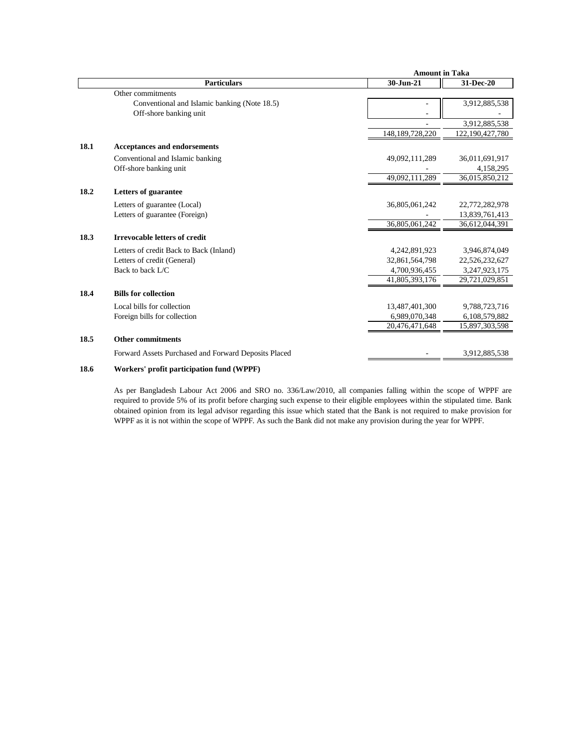|      |                                                      | <b>Amount in Taka</b> |                 |
|------|------------------------------------------------------|-----------------------|-----------------|
|      | <b>Particulars</b>                                   | 30-Jun-21             | 31-Dec-20       |
|      | Other commitments                                    |                       |                 |
|      | Conventional and Islamic banking (Note 18.5)         |                       | 3,912,885,538   |
|      | Off-shore banking unit                               |                       |                 |
|      |                                                      |                       | 3,912,885,538   |
|      |                                                      | 148, 189, 728, 220    | 122,190,427,780 |
| 18.1 | <b>Acceptances and endorsements</b>                  |                       |                 |
|      | Conventional and Islamic banking                     | 49,092,111,289        | 36,011,691,917  |
|      | Off-shore banking unit                               |                       | 4,158,295       |
|      |                                                      | 49,092,111,289        | 36,015,850,212  |
| 18.2 | Letters of guarantee                                 |                       |                 |
|      | Letters of guarantee (Local)                         | 36,805,061,242        | 22,772,282,978  |
|      | Letters of guarantee (Foreign)                       |                       | 13,839,761,413  |
|      |                                                      | 36,805,061,242        | 36,612,044,391  |
| 18.3 | <b>Irrevocable letters of credit</b>                 |                       |                 |
|      | Letters of credit Back to Back (Inland)              | 4,242,891,923         | 3,946,874,049   |
|      | Letters of credit (General)                          | 32,861,564,798        | 22,526,232,627  |
|      | Back to back L/C                                     | 4,700,936,455         | 3,247,923,175   |
|      |                                                      | 41,805,393,176        | 29,721,029,851  |
| 18.4 | <b>Bills for collection</b>                          |                       |                 |
|      | Local bills for collection                           | 13,487,401,300        | 9,788,723,716   |
|      | Foreign bills for collection                         | 6,989,070,348         | 6,108,579,882   |
|      |                                                      | 20,476,471,648        | 15,897,303,598  |
| 18.5 | <b>Other commitments</b>                             |                       |                 |
|      | Forward Assets Purchased and Forward Deposits Placed |                       | 3,912,885,538   |
| 18.6 | Workers' profit participation fund (WPPF)            |                       |                 |

As per Bangladesh Labour Act 2006 and SRO no. 336/Law/2010, all companies falling within the scope of WPPF are required to provide 5% of its profit before charging such expense to their eligible employees within the stipulated time. Bank obtained opinion from its legal advisor regarding this issue which stated that the Bank is not required to make provision for WPPF as it is not within the scope of WPPF. As such the Bank did not make any provision during the year for WPPF.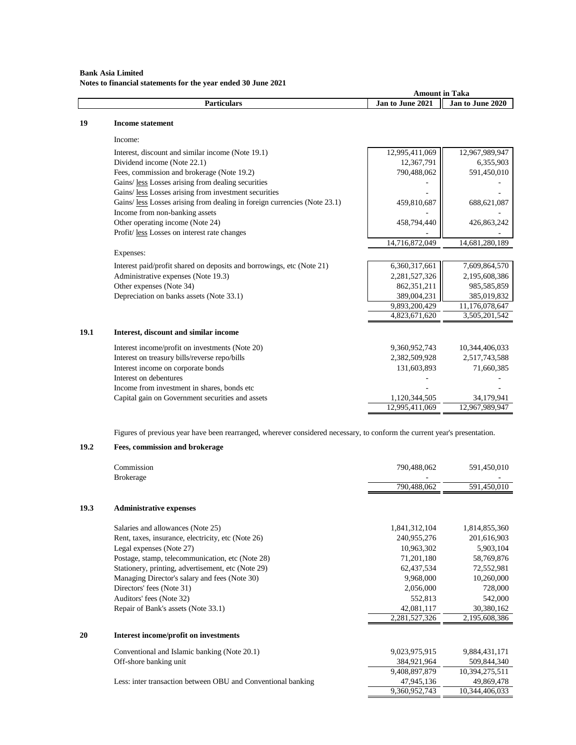# **Bank Asia Limited Notes to financial statements for the year ended 30 June 2021**

|      |                                                                           | <b>Amount in Taka</b> |                  |
|------|---------------------------------------------------------------------------|-----------------------|------------------|
|      | <b>Particulars</b>                                                        | Jan to June 2021      | Jan to June 2020 |
| 19   | <b>Income statement</b>                                                   |                       |                  |
|      | Income:                                                                   |                       |                  |
|      | Interest, discount and similar income (Note 19.1)                         | 12,995,411,069        | 12,967,989,947   |
|      | Dividend income (Note 22.1)                                               | 12,367,791            | 6,355,903        |
|      | Fees, commission and brokerage (Note 19.2)                                | 790,488,062           | 591,450,010      |
|      | Gains/less Losses arising from dealing securities                         |                       |                  |
|      | Gains/ less Losses arising from investment securities                     |                       |                  |
|      | Gains/ less Losses arising from dealing in foreign currencies (Note 23.1) | 459,810,687           | 688,621,087      |
|      | Income from non-banking assets                                            |                       |                  |
|      | Other operating income (Note 24)                                          | 458,794,440           | 426,863,242      |
|      | Profit/less Losses on interest rate changes                               |                       |                  |
|      |                                                                           | 14,716,872,049        | 14,681,280,189   |
|      | Expenses:                                                                 |                       |                  |
|      | Interest paid/profit shared on deposits and borrowings, etc (Note 21)     | 6,360,317,661         | 7,609,864,570    |
|      | Administrative expenses (Note 19.3)                                       | 2,281,527,326         | 2,195,608,386    |
|      | Other expenses (Note 34)                                                  | 862,351,211           | 985,585,859      |
|      | Depreciation on banks assets (Note 33.1)                                  | 389,004,231           | 385,019,832      |
|      |                                                                           | 9,893,200,429         | 11,176,078,647   |
|      |                                                                           | 4,823,671,620         | 3,505,201,542    |
| 19.1 | Interest, discount and similar income                                     |                       |                  |
|      | Interest income/profit on investments (Note 20)                           | 9,360,952,743         | 10,344,406,033   |
|      | Interest on treasury bills/reverse repo/bills                             | 2,382,509,928         | 2,517,743,588    |
|      | Interest income on corporate bonds                                        | 131,603,893           | 71,660,385       |
|      | Interest on debentures                                                    |                       |                  |
|      | Income from investment in shares, bonds etc                               |                       |                  |
|      | Capital gain on Government securities and assets                          | 1,120,344,505         | 34,179,941       |
|      |                                                                           | 12,995,411,069        | 12,967,989,947   |

Figures of previous year have been rearranged, wherever considered necessary, to conform the current year's presentation.

# **19.2 Fees, commission and brokerage**

|      | Commission                                                   | 790,488,062   | 591,450,010    |
|------|--------------------------------------------------------------|---------------|----------------|
|      | <b>Brokerage</b>                                             | 790,488,062   | 591,450,010    |
| 19.3 | <b>Administrative expenses</b>                               |               |                |
|      | Salaries and allowances (Note 25)                            | 1,841,312,104 | 1,814,855,360  |
|      | Rent, taxes, insurance, electricity, etc (Note 26)           | 240,955,276   | 201,616,903    |
|      | Legal expenses (Note 27)                                     | 10,963,302    | 5,903,104      |
|      | Postage, stamp, telecommunication, etc (Note 28)             | 71,201,180    | 58,769,876     |
|      | Stationery, printing, advertisement, etc (Note 29)           | 62,437,534    | 72,552,981     |
|      | Managing Director's salary and fees (Note 30)                | 9,968,000     | 10,260,000     |
|      | Directors' fees (Note 31)                                    | 2,056,000     | 728,000        |
|      | Auditors' fees (Note 32)                                     | 552,813       | 542,000        |
|      | Repair of Bank's assets (Note 33.1)                          | 42,081,117    | 30,380,162     |
|      |                                                              | 2,281,527,326 | 2,195,608,386  |
| 20   | Interest income/profit on investments                        |               |                |
|      | Conventional and Islamic banking (Note 20.1)                 | 9,023,975,915 | 9,884,431,171  |
|      | Off-shore banking unit                                       | 384,921,964   | 509,844,340    |
|      |                                                              | 9,408,897,879 | 10,394,275,511 |
|      | Less: inter transaction between OBU and Conventional banking | 47,945,136    | 49,869,478     |
|      |                                                              | 9,360,952,743 | 10,344,406,033 |
|      |                                                              |               |                |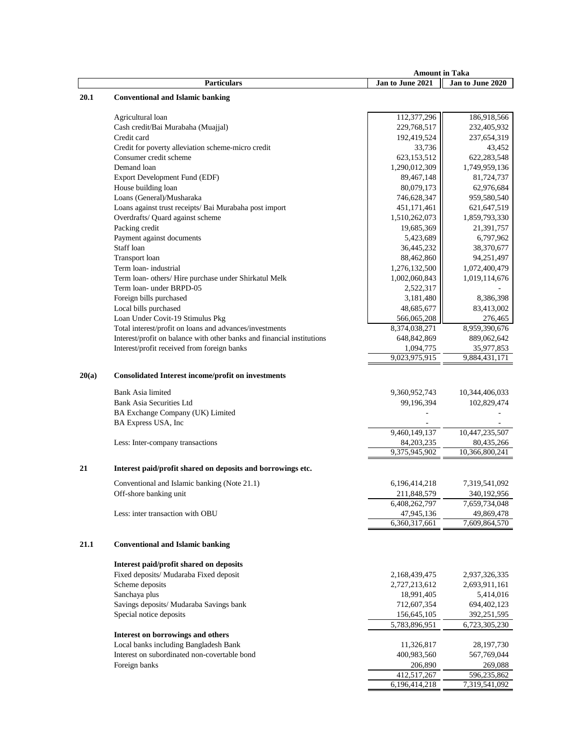|       |                                                                        | <b>Amount in Taka</b>        |                              |
|-------|------------------------------------------------------------------------|------------------------------|------------------------------|
|       | <b>Particulars</b>                                                     | Jan to June 2021             | Jan to June 2020             |
| 20.1  | <b>Conventional and Islamic banking</b>                                |                              |                              |
|       |                                                                        |                              |                              |
|       | Agricultural loan                                                      | 112,377,296                  | 186,918,566                  |
|       | Cash credit/Bai Murabaha (Muajjal)                                     | 229,768,517                  | 232,405,932                  |
|       | Credit card                                                            | 192,419,524                  | 237,654,319                  |
|       | Credit for poverty alleviation scheme-micro credit                     | 33,736                       | 43,452                       |
|       | Consumer credit scheme                                                 | 623,153,512                  | 622,283,548                  |
|       | Demand loan                                                            | 1,290,012,309                | 1,749,959,136                |
|       | Export Development Fund (EDF)                                          | 89,467,148                   | 81,724,737                   |
|       | House building loan                                                    | 80,079,173                   | 62,976,684                   |
|       | Loans (General)/Musharaka                                              | 746,628,347                  | 959,580,540                  |
|       | Loans against trust receipts/ Bai Murabaha post import                 | 451,171,461                  | 621,647,519                  |
|       | Overdrafts/ Quard against scheme                                       | 1,510,262,073                | 1,859,793,330                |
|       | Packing credit                                                         | 19,685,369                   | 21,391,757                   |
|       | Payment against documents                                              | 5,423,689                    | 6,797,962                    |
|       | Staff loan                                                             | 36,445,232                   | 38,370,677                   |
|       | Transport loan                                                         | 88,462,860                   | 94,251,497                   |
|       | Term loan-industrial                                                   | 1,276,132,500                | 1,072,400,479                |
|       | Term loan- others/ Hire purchase under Shirkatul Melk                  | 1,002,060,843                | 1,019,114,676                |
|       | Term loan- under BRPD-05                                               | 2,522,317                    |                              |
|       | Foreign bills purchased                                                | 3,181,480                    | 8,386,398                    |
|       | Local bills purchased                                                  | 48,685,677                   | 83,413,002                   |
|       | Loan Under Covit-19 Stimulus Pkg                                       |                              |                              |
|       | Total interest/profit on loans and advances/investments                | 566,065,208                  | 276,465                      |
|       | Interest/profit on balance with other banks and financial institutions | 8,374,038,271<br>648,842,869 | 8,959,390,676<br>889,062,642 |
|       |                                                                        |                              |                              |
|       | Interest/profit received from foreign banks                            | 1,094,775<br>9,023,975,915   | 35,977,853<br>9,884,431,171  |
|       |                                                                        |                              |                              |
| 20(a) | <b>Consolidated Interest income/profit on investments</b>              |                              |                              |
|       |                                                                        |                              |                              |
|       | Bank Asia limited                                                      | 9,360,952,743                | 10,344,406,033               |
|       | <b>Bank Asia Securities Ltd</b>                                        | 99,196,394                   | 102,829,474                  |
|       | BA Exchange Company (UK) Limited                                       |                              |                              |
|       | BA Express USA, Inc                                                    |                              |                              |
|       |                                                                        | 9,460,149,137                | 10,447,235,507               |
|       | Less: Inter-company transactions                                       | 84,203,235                   | 80,435,266                   |
|       |                                                                        | 9,375,945,902                | 10,366,800,241               |
| 21    | Interest paid/profit shared on deposits and borrowings etc.            |                              |                              |
|       |                                                                        |                              |                              |
|       | Conventional and Islamic banking (Note 21.1)                           | 6,196,414,218                | 7,319,541,092                |
|       | Off-shore banking unit                                                 | 211,848,579                  | 340,192,956                  |
|       |                                                                        | 6,408,262,797                | 7,659,734,048                |
|       | Less: inter transaction with OBU                                       | 47,945,136                   | 49,869,478                   |
|       |                                                                        | 6,360,317,661                | 7,609,864,570                |
| 21.1  | <b>Conventional and Islamic banking</b>                                |                              |                              |
|       |                                                                        |                              |                              |
|       | Interest paid/profit shared on deposits                                |                              |                              |
|       | Fixed deposits/ Mudaraba Fixed deposit                                 | 2,168,439,475                | 2,937,326,335                |
|       | Scheme deposits                                                        | 2,727,213,612                | 2,693,911,161                |
|       | Sanchaya plus                                                          | 18,991,405                   | 5,414,016                    |
|       | Savings deposits/ Mudaraba Savings bank                                | 712,607,354                  | 694,402,123                  |
|       | Special notice deposits                                                | 156,645,105                  | 392,251,595                  |
|       |                                                                        | 5,783,896,951                | 6,723,305,230                |
|       | Interest on borrowings and others                                      |                              |                              |
|       | Local banks including Bangladesh Bank                                  | 11,326,817                   | 28, 197, 730                 |
|       | Interest on subordinated non-covertable bond                           | 400,983,560                  | 567,769,044                  |
|       | Foreign banks                                                          | 206,890                      | 269,088                      |
|       |                                                                        | 412,517,267                  | 596,235,862                  |
|       |                                                                        | 6,196,414,218                | 7,319,541,092                |
|       |                                                                        |                              |                              |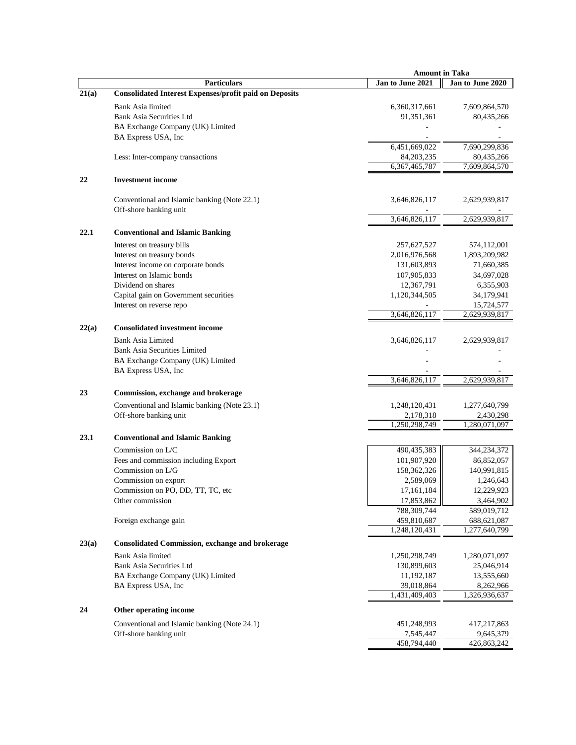|       |                                                               | <b>Amount in Taka</b>      |                                |
|-------|---------------------------------------------------------------|----------------------------|--------------------------------|
|       | <b>Particulars</b>                                            | Jan to June 2021           | Jan to June 2020               |
| 21(a) | <b>Consolidated Interest Expenses/profit paid on Deposits</b> |                            |                                |
|       | Bank Asia limited                                             | 6,360,317,661              | 7,609,864,570                  |
|       | <b>Bank Asia Securities Ltd</b>                               | 91, 351, 361               | 80,435,266                     |
|       | BA Exchange Company (UK) Limited                              |                            |                                |
|       | BA Express USA, Inc                                           |                            |                                |
|       |                                                               | 6,451,669,022              | 7,690,299,836                  |
|       | Less: Inter-company transactions                              | 84, 203, 235               | 80,435,266                     |
|       |                                                               | 6,367,465,787              | 7,609,864,570                  |
| 22    | <b>Investment</b> income                                      |                            |                                |
|       |                                                               |                            |                                |
|       | Conventional and Islamic banking (Note 22.1)                  | 3,646,826,117              | 2,629,939,817                  |
|       | Off-shore banking unit                                        |                            |                                |
|       |                                                               | 3,646,826,117              | 2,629,939,817                  |
| 22.1  | <b>Conventional and Islamic Banking</b>                       |                            |                                |
|       |                                                               |                            |                                |
|       | Interest on treasury bills                                    | 257,627,527                | 574,112,001                    |
|       | Interest on treasury bonds                                    | 2,016,976,568              | 1,893,209,982                  |
|       | Interest income on corporate bonds                            | 131,603,893                | 71,660,385                     |
|       | Interest on Islamic bonds                                     | 107,905,833                | 34,697,028                     |
|       | Dividend on shares                                            | 12,367,791                 | 6,355,903                      |
|       | Capital gain on Government securities                         | 1,120,344,505              | 34,179,941                     |
|       | Interest on reverse repo                                      |                            | 15,724,577                     |
|       |                                                               | 3,646,826,117              | 2,629,939,817                  |
| 22(a) | <b>Consolidated investment income</b>                         |                            |                                |
|       | <b>Bank Asia Limited</b>                                      | 3,646,826,117              | 2,629,939,817                  |
|       | <b>Bank Asia Securities Limited</b>                           |                            |                                |
|       | BA Exchange Company (UK) Limited                              |                            |                                |
|       | BA Express USA, Inc.                                          |                            |                                |
|       |                                                               | 3,646,826,117              | 2,629,939,817                  |
| 23    | Commission, exchange and brokerage                            |                            |                                |
|       | Conventional and Islamic banking (Note 23.1)                  | 1,248,120,431              | 1,277,640,799                  |
|       | Off-shore banking unit                                        | 2,178,318                  | 2,430,298                      |
|       |                                                               | 1,250,298,749              | 1,280,071,097                  |
| 23.1  | <b>Conventional and Islamic Banking</b>                       |                            |                                |
|       |                                                               |                            |                                |
|       | Commission on L/C                                             | 490,435,383                | 344,234,372                    |
|       | Fees and commission including Export                          | 101,907,920                | 86,852,057                     |
|       | Commission on L/G                                             | 158,362,326                | 140,991,815                    |
|       | Commission on export                                          | 2,589,069                  | 1,246,643                      |
|       | Commission on PO, DD, TT, TC, etc                             | 17,161,184                 | 12,229,923                     |
|       | Other commission                                              | 17,853,862                 | 3,464,902                      |
|       | Foreign exchange gain                                         | 788,309,744<br>459,810,687 | 589,019,712                    |
|       |                                                               | 1,248,120,431              | 688, 621, 087<br>1,277,640,799 |
|       |                                                               |                            |                                |
| 23(a) | <b>Consolidated Commission, exchange and brokerage</b>        |                            |                                |
|       | <b>Bank Asia limited</b>                                      | 1,250,298,749              | 1,280,071,097                  |
|       | <b>Bank Asia Securities Ltd</b>                               | 130,899,603                | 25,046,914                     |
|       | BA Exchange Company (UK) Limited                              | 11,192,187                 | 13,555,660                     |
|       | BA Express USA, Inc.                                          | 39,018,864                 | 8,262,966                      |
|       |                                                               | 1,431,409,403              | 1,326,936,637                  |
| 24    | Other operating income                                        |                            |                                |
|       |                                                               |                            |                                |
|       | Conventional and Islamic banking (Note 24.1)                  | 451,248,993                | 417,217,863                    |
|       | Off-shore banking unit                                        | 7,545,447<br>458,794,440   | 9,645,379<br>426,863,242       |
|       |                                                               |                            |                                |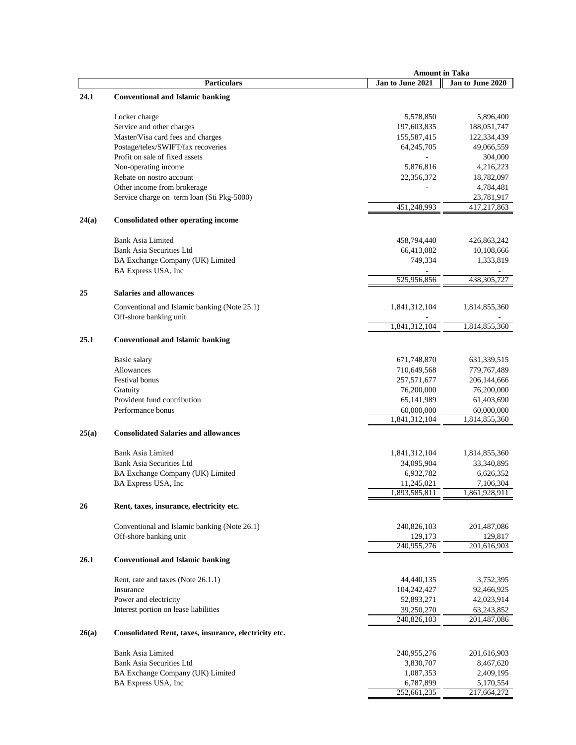|       |                                                                        | <b>Amount in Taka</b> |                  |
|-------|------------------------------------------------------------------------|-----------------------|------------------|
|       | <b>Particulars</b>                                                     | Jan to June 2021      | Jan to June 2020 |
| 24.1  | <b>Conventional and Islamic banking</b>                                |                       |                  |
|       | Locker charge                                                          | 5,578,850             | 5,896,400        |
|       | Service and other charges                                              | 197,603,835           | 188,051,747      |
|       | Master/Visa card fees and charges                                      | 155,587,415           | 122,334,439      |
|       | Postage/telex/SWIFT/fax recoveries                                     | 64,245,705            | 49,066,559       |
|       | Profit on sale of fixed assets                                         |                       | 304,000          |
|       | Non-operating income                                                   | 5,876,816             | 4,216,223        |
|       | Rebate on nostro account                                               | 22,356,372            | 18,782,097       |
|       | Other income from brokerage                                            |                       | 4,784,481        |
|       | Service charge on term loan (Sti Pkg-5000)                             |                       | 23,781,917       |
|       |                                                                        | 451,248,993           | 417,217,863      |
| 24(a) | <b>Consolidated other operating income</b>                             |                       |                  |
|       | <b>Bank Asia Limited</b>                                               | 458,794,440           | 426,863,242      |
|       | Bank Asia Securities Ltd                                               | 66,413,082            | 10,108,666       |
|       | BA Exchange Company (UK) Limited                                       | 749,334               | 1,333,819        |
|       | BA Express USA, Inc                                                    |                       |                  |
|       |                                                                        | 525,956,856           | 438, 305, 727    |
| 25    | <b>Salaries and allowances</b>                                         |                       |                  |
|       | Conventional and Islamic banking (Note 25.1)<br>Off-shore banking unit | 1,841,312,104         | 1,814,855,360    |
|       |                                                                        | 1,841,312,104         | 1,814,855,360    |
| 25.1  | <b>Conventional and Islamic banking</b>                                |                       |                  |
|       | Basic salary                                                           | 671,748,870           | 631, 339, 515    |
|       | Allowances                                                             | 710,649,568           | 779,767,489      |
|       | Festival bonus                                                         | 257,571,677           | 206, 144, 666    |
|       | Gratuity                                                               | 76,200,000            | 76,200,000       |
|       | Provident fund contribution                                            | 65,141,989            | 61,403,690       |
|       | Performance bonus                                                      | 60,000,000            | 60,000,000       |
|       |                                                                        | 1,841,312,104         | 1,814,855,360    |
| 25(a) | <b>Consolidated Salaries and allowances</b>                            |                       |                  |
|       | <b>Bank Asia Limited</b>                                               | 1,841,312,104         | 1,814,855,360    |
|       | Bank Asia Securities Ltd                                               | 34,095,904            | 33,340,895       |
|       | BA Exchange Company (UK) Limited                                       | 6,932,782             | 6,626,352        |
|       | BA Express USA, Inc                                                    | 11,245,021            | 7,106,304        |
|       |                                                                        | 1,893,585,811         | 1,861,928,911    |
| 26    | Rent, taxes, insurance, electricity etc.                               |                       |                  |
|       | Conventional and Islamic banking (Note 26.1)                           | 240,826,103           | 201,487,086      |
|       | Off-shore banking unit                                                 | 129,173               | 129,817          |
|       |                                                                        | 240,955,276           | 201,616,903      |
| 26.1  | <b>Conventional and Islamic banking</b>                                |                       |                  |
|       | Rent, rate and taxes (Note 26.1.1)                                     | 44,440,135            | 3,752,395        |
|       | Insurance                                                              | 104,242,427           | 92,466,925       |
|       | Power and electricity                                                  | 52,893,271            | 42,023,914       |
|       | Interest portion on lease liabilities                                  | 39,250,270            | 63,243,852       |
|       |                                                                        | 240,826,103           | 201,487,086      |
| 26(a) | Consolidated Rent, taxes, insurance, electricity etc.                  |                       |                  |
|       | <b>Bank Asia Limited</b>                                               | 240,955,276           | 201,616,903      |
|       | Bank Asia Securities Ltd                                               | 3,830,707             | 8,467,620        |
|       | BA Exchange Company (UK) Limited                                       | 1,087,353             | 2,409,195        |
|       | BA Express USA, Inc                                                    | 6,787,899             | 5,170,554        |
|       |                                                                        | 252,661,235           | 217,664,272      |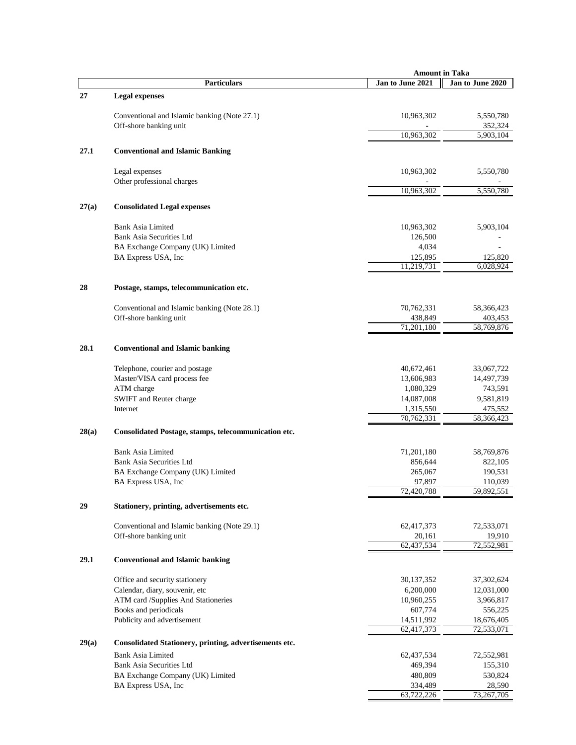|       |                                                             | <b>Amount in Taka</b>   |                       |  |
|-------|-------------------------------------------------------------|-------------------------|-----------------------|--|
|       | <b>Particulars</b>                                          | Jan to June 2021        | Jan to June 2020      |  |
| 27    | <b>Legal expenses</b>                                       |                         |                       |  |
|       | Conventional and Islamic banking (Note 27.1)                | 10,963,302              | 5,550,780             |  |
|       | Off-shore banking unit                                      |                         | 352,324               |  |
|       |                                                             | 10,963,302              | 5,903,104             |  |
| 27.1  | <b>Conventional and Islamic Banking</b>                     |                         |                       |  |
|       | Legal expenses                                              | 10,963,302              | 5,550,780             |  |
|       | Other professional charges                                  | 10,963,302              | 5,550,780             |  |
| 27(a) | <b>Consolidated Legal expenses</b>                          |                         |                       |  |
|       |                                                             |                         |                       |  |
|       | <b>Bank Asia Limited</b>                                    | 10,963,302              | 5,903,104             |  |
|       | Bank Asia Securities Ltd                                    | 126,500                 |                       |  |
|       | BA Exchange Company (UK) Limited                            | 4,034                   |                       |  |
|       | BA Express USA, Inc                                         | 125,895<br>11,219,731   | 125,820<br>6,028,924  |  |
|       |                                                             |                         |                       |  |
| 28    | Postage, stamps, telecommunication etc.                     |                         |                       |  |
|       | Conventional and Islamic banking (Note 28.1)                | 70,762,331              | 58,366,423            |  |
|       | Off-shore banking unit                                      | 438,849                 | 403,453               |  |
|       |                                                             | 71,201,180              | 58,769,876            |  |
| 28.1  | <b>Conventional and Islamic banking</b>                     |                         |                       |  |
|       |                                                             |                         |                       |  |
|       | Telephone, courier and postage                              | 40,672,461              | 33,067,722            |  |
|       | Master/VISA card process fee                                | 13,606,983              | 14,497,739<br>743,591 |  |
|       | ATM charge<br>SWIFT and Reuter charge                       | 1,080,329<br>14,087,008 | 9,581,819             |  |
|       | Internet                                                    | 1,315,550               | 475,552               |  |
|       |                                                             | 70,762,331              | 58,366,423            |  |
| 28(a) | Consolidated Postage, stamps, telecommunication etc.        |                         |                       |  |
|       | <b>Bank Asia Limited</b>                                    | 71,201,180              | 58,769,876            |  |
|       | Bank Asia Securities Ltd                                    | 856,644                 | 822,105               |  |
|       | BA Exchange Company (UK) Limited                            | 265,067                 | 190,531               |  |
|       | BA Express USA, Inc                                         | 97,897                  | 110,039               |  |
|       |                                                             | 72,420,788              | 59,892,551            |  |
| 29    | Stationery, printing, advertisements etc.                   |                         |                       |  |
|       | Conventional and Islamic banking (Note 29.1)                | 62,417,373              | 72,533,071            |  |
|       | Off-shore banking unit                                      | 20,161                  | 19,910                |  |
|       |                                                             | 62,437,534              | 72,552,981            |  |
| 29.1  | <b>Conventional and Islamic banking</b>                     |                         |                       |  |
|       | Office and security stationery                              | 30,137,352              | 37,302,624            |  |
|       | Calendar, diary, souvenir, etc                              | 6,200,000               | 12,031,000            |  |
|       | ATM card /Supplies And Stationeries                         | 10,960,255              | 3,966,817             |  |
|       | Books and periodicals                                       | 607,774                 | 556,225               |  |
|       | Publicity and advertisement                                 | 14,511,992              | 18,676,405            |  |
|       |                                                             | 62,417,373              | 72,533,071            |  |
| 29(a) | Consolidated Stationery, printing, advertisements etc.      |                         |                       |  |
|       | <b>Bank Asia Limited</b><br><b>Bank Asia Securities Ltd</b> | 62,437,534<br>469,394   | 72,552,981<br>155,310 |  |
|       | BA Exchange Company (UK) Limited                            | 480,809                 | 530,824               |  |
|       | BA Express USA, Inc.                                        | 334,489                 | 28,590                |  |
|       |                                                             | 63,722,226              | 73,267,705            |  |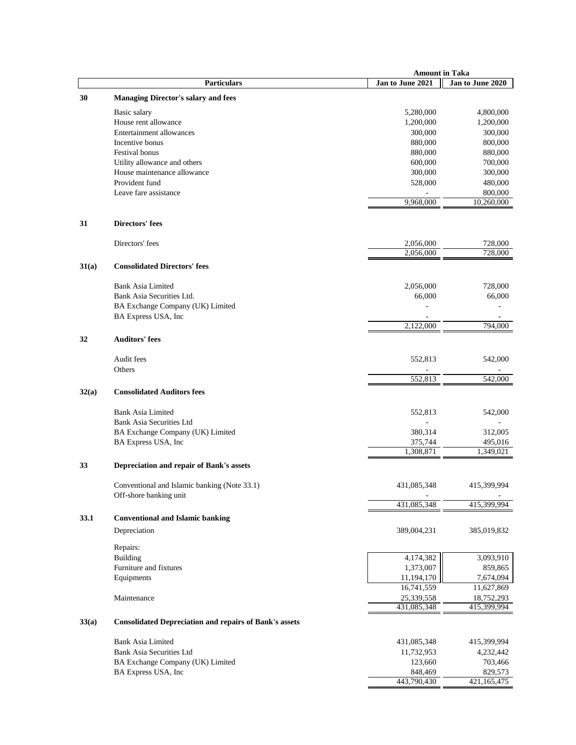|       |                                                               |                  | <b>Amount in Taka</b> |
|-------|---------------------------------------------------------------|------------------|-----------------------|
|       | Particulars                                                   | Jan to June 2021 | Jan to June 2020      |
| 30    | <b>Managing Director's salary and fees</b>                    |                  |                       |
|       | Basic salary                                                  | 5,280,000        | 4,800,000             |
|       | House rent allowance                                          | 1,200,000        | 1,200,000             |
|       | Entertainment allowances                                      | 300,000          | 300,000               |
|       | Incentive bonus                                               | 880,000          | 800,000               |
|       | Festival bonus                                                | 880,000          | 880,000               |
|       | Utility allowance and others                                  | 600,000          | 700,000               |
|       | House maintenance allowance                                   | 300,000          | 300,000               |
|       | Provident fund                                                | 528,000          | 480,000               |
|       | Leave fare assistance                                         |                  | 800,000               |
|       |                                                               | 9,968,000        | 10,260,000            |
|       |                                                               |                  |                       |
| 31    | Directors' fees                                               |                  |                       |
|       | Directors' fees                                               | 2,056,000        | 728,000               |
|       |                                                               | 2,056,000        | 728,000               |
| 31(a) | <b>Consolidated Directors' fees</b>                           |                  |                       |
|       | <b>Bank Asia Limited</b>                                      | 2,056,000        | 728,000               |
|       | Bank Asia Securities Ltd.                                     | 66,000           | 66,000                |
|       | BA Exchange Company (UK) Limited                              |                  |                       |
|       | BA Express USA, Inc                                           |                  |                       |
|       |                                                               | 2,122,000        | 794,000               |
| 32    | <b>Auditors' fees</b>                                         |                  |                       |
|       | Audit fees                                                    | 552,813          | 542,000               |
|       | Others                                                        |                  |                       |
|       |                                                               | 552,813          | 542,000               |
| 32(a) | <b>Consolidated Auditors fees</b>                             |                  |                       |
|       | <b>Bank Asia Limited</b>                                      | 552,813          | 542,000               |
|       | Bank Asia Securities Ltd                                      |                  |                       |
|       | BA Exchange Company (UK) Limited                              | 380,314          | 312,005               |
|       | BA Express USA, Inc                                           | 375,744          | 495,016               |
|       |                                                               | 1,308,871        | 1,349,021             |
| 33    | Depreciation and repair of Bank's assets                      |                  |                       |
|       | Conventional and Islamic banking (Note 33.1)                  | 431,085,348      | 415,399,994           |
|       | Off-shore banking unit                                        |                  |                       |
|       |                                                               | 431,085,348      | 415,399,994           |
| 33.1  | <b>Conventional and Islamic banking</b>                       |                  |                       |
|       | Depreciation                                                  | 389,004,231      | 385,019,832           |
|       | Repairs:                                                      |                  |                       |
|       | Building                                                      | 4,174,382        | 3,093,910             |
|       | Furniture and fixtures                                        | 1,373,007        | 859,865               |
|       | Equipments                                                    | 11,194,170       | 7,674,094             |
|       |                                                               | 16,741,559       | 11,627,869            |
|       | Maintenance                                                   | 25,339,558       | 18,752,293            |
|       |                                                               | 431,085,348      | 415,399,994           |
| 33(a) | <b>Consolidated Depreciation and repairs of Bank's assets</b> |                  |                       |
|       | <b>Bank Asia Limited</b>                                      | 431,085,348      | 415,399,994           |
|       | Bank Asia Securities Ltd                                      | 11,732,953       | 4,232,442             |
|       | BA Exchange Company (UK) Limited                              | 123,660          | 703,466               |
|       | BA Express USA, Inc                                           | 848,469          | 829,573               |
|       |                                                               | 443,790,430      | 421,165,475           |
|       |                                                               |                  |                       |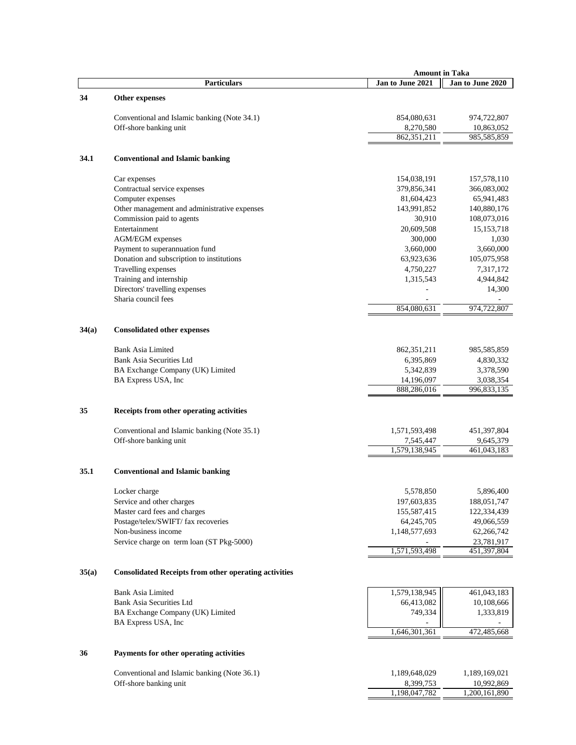|       |                                                                  | <b>Amount in Taka</b> |                          |
|-------|------------------------------------------------------------------|-----------------------|--------------------------|
|       | <b>Particulars</b>                                               | Jan to June 2021      | Jan to June 2020         |
| 34    | Other expenses                                                   |                       |                          |
|       | Conventional and Islamic banking (Note 34.1)                     | 854,080,631           | 974,722,807              |
|       | Off-shore banking unit                                           | 8,270,580             | 10,863,052               |
|       |                                                                  | 862,351,211           | 985,585,859              |
| 34.1  | <b>Conventional and Islamic banking</b>                          |                       |                          |
|       | Car expenses                                                     | 154,038,191           | 157,578,110              |
|       | Contractual service expenses                                     | 379,856,341           | 366,083,002              |
|       | Computer expenses                                                | 81,604,423            | 65,941,483               |
|       | Other management and administrative expenses                     | 143,991,852           | 140,880,176              |
|       | Commission paid to agents                                        | 30,910                | 108,073,016              |
|       | Entertainment                                                    | 20,609,508            | 15, 153, 718             |
|       | <b>AGM/EGM</b> expenses                                          | 300,000               | 1,030                    |
|       | Payment to superannuation fund                                   | 3,660,000             | 3,660,000                |
|       | Donation and subscription to institutions                        | 63,923,636            | 105,075,958              |
|       | Travelling expenses                                              | 4,750,227             | 7,317,172                |
|       | Training and internship                                          | 1,315,543             | 4,944,842                |
|       | Directors' travelling expenses                                   |                       | 14,300                   |
|       | Sharia council fees                                              | 854,080,631           | 974,722,807              |
|       |                                                                  |                       |                          |
| 34(a) | <b>Consolidated other expenses</b>                               |                       |                          |
|       | <b>Bank Asia Limited</b>                                         | 862,351,211           | 985,585,859              |
|       | <b>Bank Asia Securities Ltd</b>                                  | 6,395,869             | 4,830,332                |
|       | BA Exchange Company (UK) Limited                                 | 5,342,839             | 3,378,590                |
|       | BA Express USA, Inc                                              | 14,196,097            | 3,038,354                |
|       |                                                                  | 888,286,016           | 996,833,135              |
| 35    | Receipts from other operating activities                         |                       |                          |
|       | Conventional and Islamic banking (Note 35.1)                     | 1,571,593,498         | 451,397,804              |
|       | Off-shore banking unit                                           | 7,545,447             | 9,645,379                |
|       |                                                                  | 1,579,138,945         | 461,043,183              |
| 35.1  | <b>Conventional and Islamic banking</b>                          |                       |                          |
|       | Locker charge                                                    | 5,578,850             | 5,896,400                |
|       | Service and other charges                                        | 197,603,835           | 188,051,747              |
|       | Master card fees and charges                                     | 155,587,415           | 122,334,439              |
|       | Postage/telex/SWIFT/ fax recoveries                              | 64, 245, 705          | 49,066,559               |
|       | Non-business income<br>Service charge on term loan (ST Pkg-5000) | 1,148,577,693         | 62,266,742<br>23,781,917 |
|       |                                                                  | 1,571,593,498         | 451,397,804              |
| 35(a) | <b>Consolidated Receipts from other operating activities</b>     |                       |                          |
|       | Bank Asia Limited                                                | 1,579,138,945         | 461,043,183              |
|       | <b>Bank Asia Securities Ltd</b>                                  | 66,413,082            | 10,108,666               |
|       | BA Exchange Company (UK) Limited                                 | 749,334               | 1,333,819                |
|       | BA Express USA, Inc                                              |                       |                          |
|       |                                                                  | 1,646,301,361         | 472,485,668              |
| 36    | Payments for other operating activities                          |                       |                          |
|       | Conventional and Islamic banking (Note 36.1)                     | 1,189,648,029         | 1,189,169,021            |
|       | Off-shore banking unit                                           | 8,399,753             | 10,992,869               |
|       |                                                                  | 1,198,047,782         | 1,200,161,890            |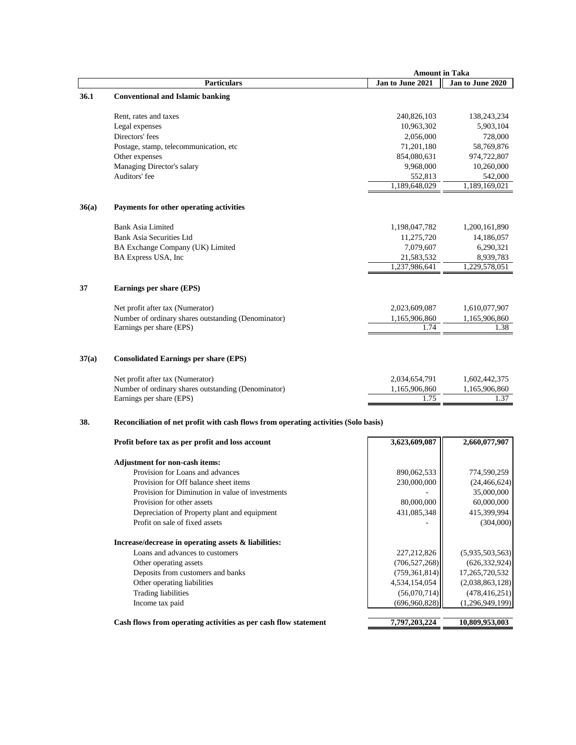|       |                                                                                                                                                                     | <b>Amount in Taka</b>                  |                                        |
|-------|---------------------------------------------------------------------------------------------------------------------------------------------------------------------|----------------------------------------|----------------------------------------|
|       | <b>Particulars</b>                                                                                                                                                  | Jan to June 2021                       | Jan to June 2020                       |
| 36.1  | <b>Conventional and Islamic banking</b>                                                                                                                             |                                        |                                        |
|       | Rent, rates and taxes                                                                                                                                               | 240,826,103                            | 138,243,234                            |
|       | Legal expenses                                                                                                                                                      | 10,963,302                             | 5,903,104                              |
|       | Directors' fees                                                                                                                                                     | 2,056,000                              | 728,000                                |
|       | Postage, stamp, telecommunication, etc                                                                                                                              | 71,201,180                             | 58,769,876                             |
|       | Other expenses                                                                                                                                                      | 854,080,631                            | 974,722,807                            |
|       | Managing Director's salary                                                                                                                                          | 9,968,000                              | 10,260,000                             |
|       | Auditors' fee                                                                                                                                                       | 552,813                                | 542,000                                |
|       |                                                                                                                                                                     | 1,189,648,029                          | 1,189,169,021                          |
| 36(a) | Payments for other operating activities                                                                                                                             |                                        |                                        |
|       | <b>Bank Asia Limited</b>                                                                                                                                            | 1,198,047,782                          | 1,200,161,890                          |
|       | Bank Asia Securities Ltd                                                                                                                                            | 11,275,720                             | 14,186,057                             |
|       | BA Exchange Company (UK) Limited                                                                                                                                    | 7,079,607                              | 6,290,321                              |
|       | BA Express USA, Inc                                                                                                                                                 | 21,583,532                             | 8,939,783                              |
|       |                                                                                                                                                                     | 1,237,986,641                          | 1,229,578,051                          |
| 37    | Earnings per share (EPS)                                                                                                                                            |                                        |                                        |
|       | Net profit after tax (Numerator)                                                                                                                                    | 2,023,609,087                          | 1,610,077,907                          |
|       | Number of ordinary shares outstanding (Denominator)                                                                                                                 | 1,165,906,860                          | 1,165,906,860                          |
|       | Earnings per share (EPS)                                                                                                                                            | 1.74                                   | 1.38                                   |
| 37(a) | <b>Consolidated Earnings per share (EPS)</b><br>Net profit after tax (Numerator)<br>Number of ordinary shares outstanding (Denominator)<br>Earnings per share (EPS) | 2,034,654,791<br>1,165,906,860<br>1.75 | 1,602,442,375<br>1,165,906,860<br>1.37 |
| 38.   | Reconciliation of net profit with cash flows from operating activities (Solo basis)                                                                                 |                                        |                                        |
|       | Profit before tax as per profit and loss account                                                                                                                    | 3,623,609,087                          | 2,660,077,907                          |
|       | <b>Adjustment for non-cash items:</b>                                                                                                                               |                                        |                                        |
|       | Provision for Loans and advances                                                                                                                                    | 890,062,533                            | 774,590,259                            |
|       | Provision for Off balance sheet items                                                                                                                               | 230,000,000                            | (24, 466, 624)                         |
|       | Provision for Diminution in value of investments                                                                                                                    |                                        | 35,000,000                             |
|       | Provision for other assets                                                                                                                                          | 80,000,000                             | 60,000,000                             |
|       | Depreciation of Property plant and equipment                                                                                                                        | 431,085,348                            | 415,399,994                            |
|       | Profit on sale of fixed assets                                                                                                                                      |                                        | (304,000)                              |
|       | Increase/decrease in operating assets & liabilities:                                                                                                                |                                        |                                        |
|       | Loans and advances to customers                                                                                                                                     | 227,212,826                            | (5,935,503,563)                        |
|       | Other operating assets                                                                                                                                              | (706, 527, 268)                        | (626, 332, 924)                        |
|       | Deposits from customers and banks                                                                                                                                   | (759, 361, 814)                        | 17,265,720,532                         |
|       | Other operating liabilities                                                                                                                                         | 4,534,154,054                          | (2,038,863,128)                        |
|       | Trading liabilities                                                                                                                                                 | (56,070,714)                           | (478, 416, 251)                        |
|       | Income tax paid                                                                                                                                                     | (696,960,828)                          | (1,296,949,199)                        |
|       | Cash flows from operating activities as per cash flow statement                                                                                                     | 7,797,203,224                          | 10,809,953,003                         |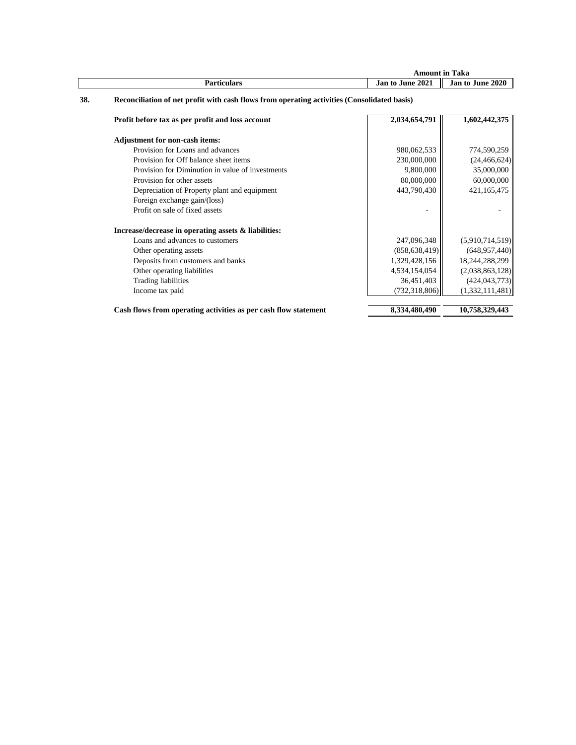|     |                                                                                             | <b>Amount in Taka</b> |                  |
|-----|---------------------------------------------------------------------------------------------|-----------------------|------------------|
|     | <b>Particulars</b>                                                                          | Jan to June 2021      | Jan to June 2020 |
| 38. | Reconciliation of net profit with cash flows from operating activities (Consolidated basis) |                       |                  |
|     | Profit before tax as per profit and loss account                                            | 2,034,654,791         | 1,602,442,375    |
|     | <b>Adjustment for non-cash items:</b>                                                       |                       |                  |
|     | Provision for Loans and advances                                                            | 980,062,533           | 774,590,259      |
|     | Provision for Off balance sheet items                                                       | 230,000,000           | (24, 466, 624)   |
|     | Provision for Diminution in value of investments                                            | 9,800,000             | 35,000,000       |
|     | Provision for other assets                                                                  | 80,000,000            | 60,000,000       |
|     | Depreciation of Property plant and equipment                                                | 443,790,430           | 421,165,475      |
|     | Foreign exchange gain/(loss)                                                                |                       |                  |
|     | Profit on sale of fixed assets                                                              |                       |                  |
|     | Increase/decrease in operating assets & liabilities:                                        |                       |                  |
|     | Loans and advances to customers                                                             | 247,096,348           | (5,910,714,519)  |
|     | Other operating assets                                                                      | (858, 638, 419)       | (648, 957, 440)  |
|     | Deposits from customers and banks                                                           | 1,329,428,156         | 18,244,288,299   |
|     | Other operating liabilities                                                                 | 4,534,154,054         | (2,038,863,128)  |
|     | <b>Trading liabilities</b>                                                                  | 36,451,403            | (424, 043, 773)  |
|     | Income tax paid                                                                             | (732, 318, 806)       | (1,332,111,481)  |
|     |                                                                                             |                       |                  |
|     | Cash flows from operating activities as per cash flow statement                             | 8,334,480,490         | 10,758,329,443   |